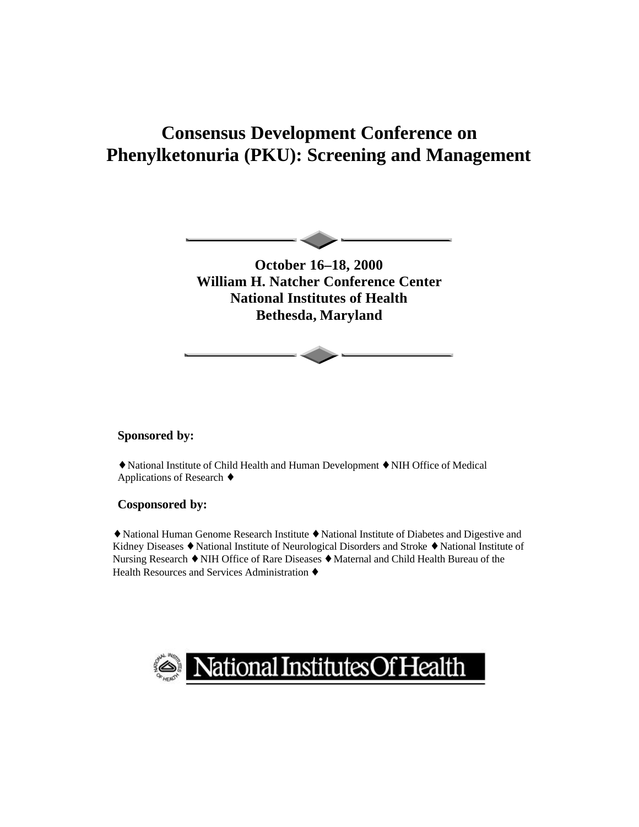# **Consensus Development Conference on Phenylketonuria (PKU): Screening and Management**



**October 16–18, 2000 William H. Natcher Conference Center National Institutes of Health Bethesda, Maryland**

#### **Sponsored by:**

◆ National Institute of Child Health and Human Development ◆ NIH Office of Medical Applications of Research  $\triangle$ 

#### **Cosponsored by:**

◆ National Human Genome Research Institute ◆ National Institute of Diabetes and Digestive and Kidney Diseases • National Institute of Neurological Disorders and Stroke • National Institute of Nursing Research  $\blacklozenge$  NIH Office of Rare Diseases  $\blacklozenge$  Maternal and Child Health Bureau of the Health Resources and Services Administration  $\triangle$ 

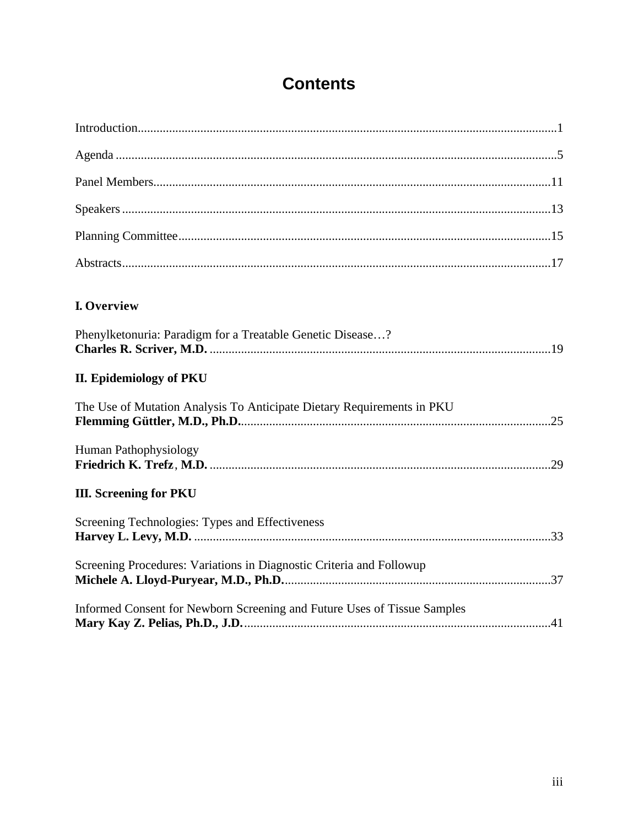# **Contents**

| I. Overview                                                              |  |
|--------------------------------------------------------------------------|--|
| Phenylketonuria: Paradigm for a Treatable Genetic Disease?               |  |
| <b>II. Epidemiology of PKU</b>                                           |  |
| The Use of Mutation Analysis To Anticipate Dietary Requirements in PKU   |  |
| Human Pathophysiology                                                    |  |
| <b>III. Screening for PKU</b>                                            |  |
| Screening Technologies: Types and Effectiveness                          |  |
| Screening Procedures: Variations in Diagnostic Criteria and Followup     |  |
| Informed Consent for Newborn Screening and Future Uses of Tissue Samples |  |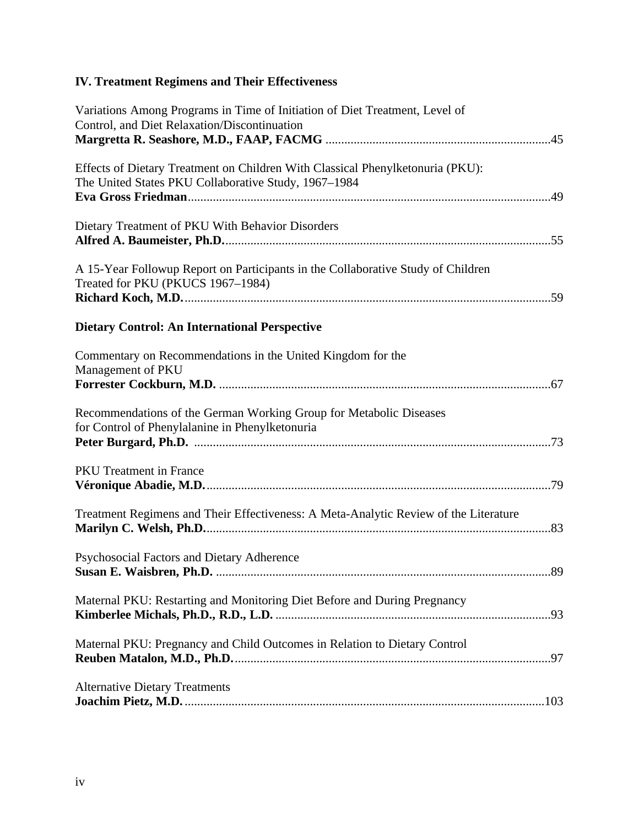## **IV. Treatment Regimens and Their Effectiveness**

| Variations Among Programs in Time of Initiation of Diet Treatment, Level of<br>Control, and Diet Relaxation/Discontinuation            |  |
|----------------------------------------------------------------------------------------------------------------------------------------|--|
| Effects of Dietary Treatment on Children With Classical Phenylketonuria (PKU):<br>The United States PKU Collaborative Study, 1967-1984 |  |
| Dietary Treatment of PKU With Behavior Disorders                                                                                       |  |
| A 15-Year Followup Report on Participants in the Collaborative Study of Children<br>Treated for PKU (PKUCS 1967-1984)                  |  |
| <b>Dietary Control: An International Perspective</b>                                                                                   |  |
| Commentary on Recommendations in the United Kingdom for the<br>Management of PKU                                                       |  |
| Recommendations of the German Working Group for Metabolic Diseases<br>for Control of Phenylalanine in Phenylketonuria                  |  |
| <b>PKU</b> Treatment in France                                                                                                         |  |
| Treatment Regimens and Their Effectiveness: A Meta-Analytic Review of the Literature                                                   |  |
| Psychosocial Factors and Dietary Adherence                                                                                             |  |
| Maternal PKU: Restarting and Monitoring Diet Before and During Pregnancy                                                               |  |
| Maternal PKU: Pregnancy and Child Outcomes in Relation to Dietary Control                                                              |  |
| <b>Alternative Dietary Treatments</b>                                                                                                  |  |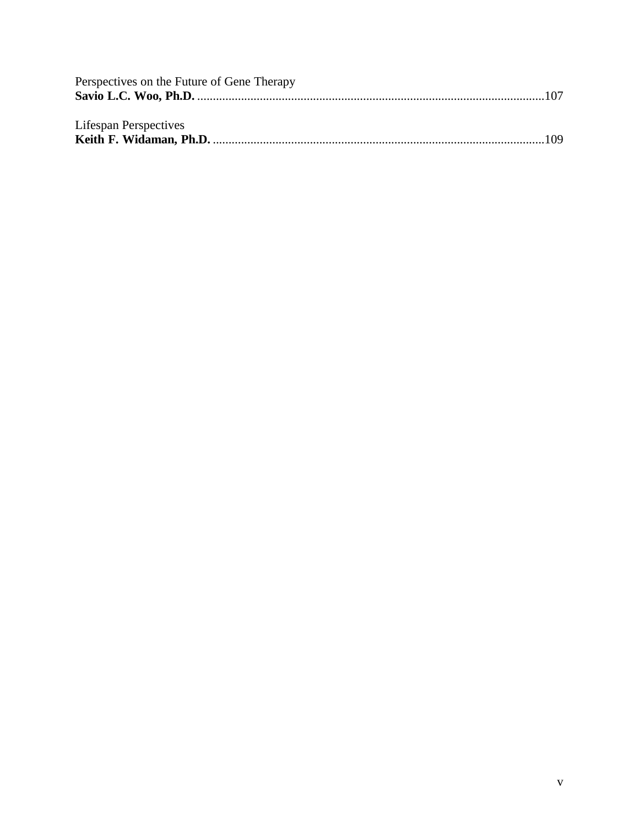| Perspectives on the Future of Gene Therapy |  |
|--------------------------------------------|--|
|                                            |  |
|                                            |  |
| Lifespan Perspectives                      |  |
|                                            |  |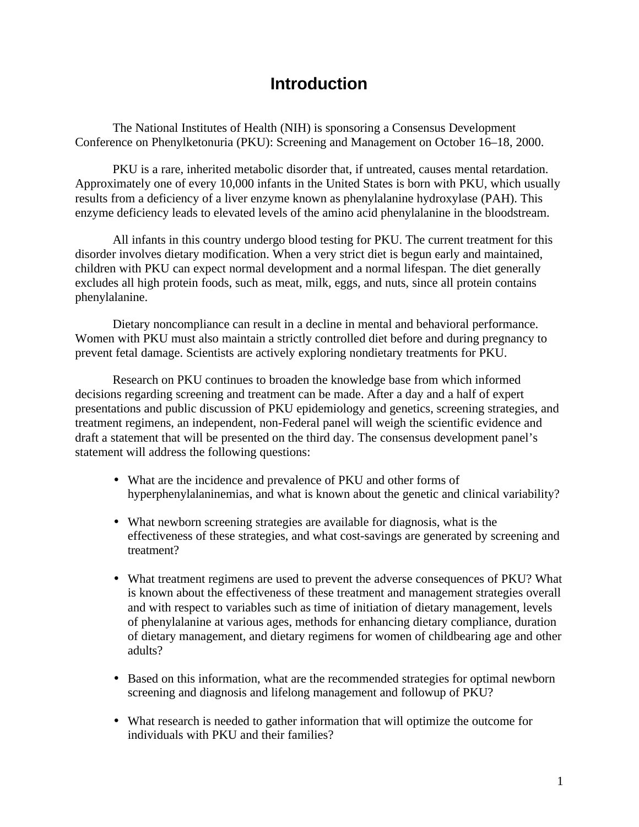## **Introduction**

The National Institutes of Health (NIH) is sponsoring a Consensus Development Conference on Phenylketonuria (PKU): Screening and Management on October 16–18, 2000.

PKU is a rare, inherited metabolic disorder that, if untreated, causes mental retardation. Approximately one of every 10,000 infants in the United States is born with PKU, which usually results from a deficiency of a liver enzyme known as phenylalanine hydroxylase (PAH). This enzyme deficiency leads to elevated levels of the amino acid phenylalanine in the bloodstream.

All infants in this country undergo blood testing for PKU. The current treatment for this disorder involves dietary modification. When a very strict diet is begun early and maintained, children with PKU can expect normal development and a normal lifespan. The diet generally excludes all high protein foods, such as meat, milk, eggs, and nuts, since all protein contains phenylalanine.

Dietary noncompliance can result in a decline in mental and behavioral performance. Women with PKU must also maintain a strictly controlled diet before and during pregnancy to prevent fetal damage. Scientists are actively exploring nondietary treatments for PKU.

Research on PKU continues to broaden the knowledge base from which informed decisions regarding screening and treatment can be made. After a day and a half of expert presentations and public discussion of PKU epidemiology and genetics, screening strategies, and treatment regimens, an independent, non-Federal panel will weigh the scientific evidence and draft a statement that will be presented on the third day. The consensus development panel's statement will address the following questions:

- What are the incidence and prevalence of PKU and other forms of hyperphenylalaninemias, and what is known about the genetic and clinical variability?
- What newborn screening strategies are available for diagnosis, what is the effectiveness of these strategies, and what cost-savings are generated by screening and treatment?
- What treatment regimens are used to prevent the adverse consequences of PKU? What is known about the effectiveness of these treatment and management strategies overall and with respect to variables such as time of initiation of dietary management, levels of phenylalanine at various ages, methods for enhancing dietary compliance, duration of dietary management, and dietary regimens for women of childbearing age and other adults?
- Based on this information, what are the recommended strategies for optimal newborn screening and diagnosis and lifelong management and followup of PKU?
- What research is needed to gather information that will optimize the outcome for individuals with PKU and their families?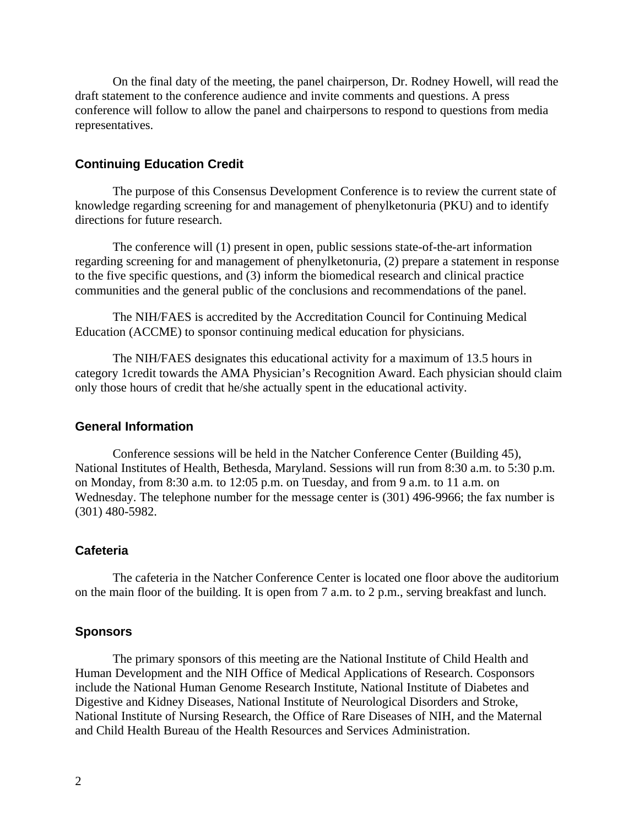On the final daty of the meeting, the panel chairperson, Dr. Rodney Howell, will read the draft statement to the conference audience and invite comments and questions. A press conference will follow to allow the panel and chairpersons to respond to questions from media representatives.

#### **Continuing Education Credit**

The purpose of this Consensus Development Conference is to review the current state of knowledge regarding screening for and management of phenylketonuria (PKU) and to identify directions for future research.

The conference will (1) present in open, public sessions state-of-the-art information regarding screening for and management of phenylketonuria, (2) prepare a statement in response to the five specific questions, and (3) inform the biomedical research and clinical practice communities and the general public of the conclusions and recommendations of the panel.

The NIH/FAES is accredited by the Accreditation Council for Continuing Medical Education (ACCME) to sponsor continuing medical education for physicians.

The NIH/FAES designates this educational activity for a maximum of 13.5 hours in category 1credit towards the AMA Physician's Recognition Award. Each physician should claim only those hours of credit that he/she actually spent in the educational activity.

#### **General Information**

Conference sessions will be held in the Natcher Conference Center (Building 45), National Institutes of Health, Bethesda, Maryland. Sessions will run from 8:30 a.m. to 5:30 p.m. on Monday, from 8:30 a.m. to 12:05 p.m. on Tuesday, and from 9 a.m. to 11 a.m. on Wednesday. The telephone number for the message center is (301) 496-9966; the fax number is (301) 480-5982.

#### **Cafeteria**

The cafeteria in the Natcher Conference Center is located one floor above the auditorium on the main floor of the building. It is open from 7 a.m. to 2 p.m., serving breakfast and lunch.

#### **Sponsors**

The primary sponsors of this meeting are the National Institute of Child Health and Human Development and the NIH Office of Medical Applications of Research. Cosponsors include the National Human Genome Research Institute, National Institute of Diabetes and Digestive and Kidney Diseases, National Institute of Neurological Disorders and Stroke, National Institute of Nursing Research, the Office of Rare Diseases of NIH, and the Maternal and Child Health Bureau of the Health Resources and Services Administration.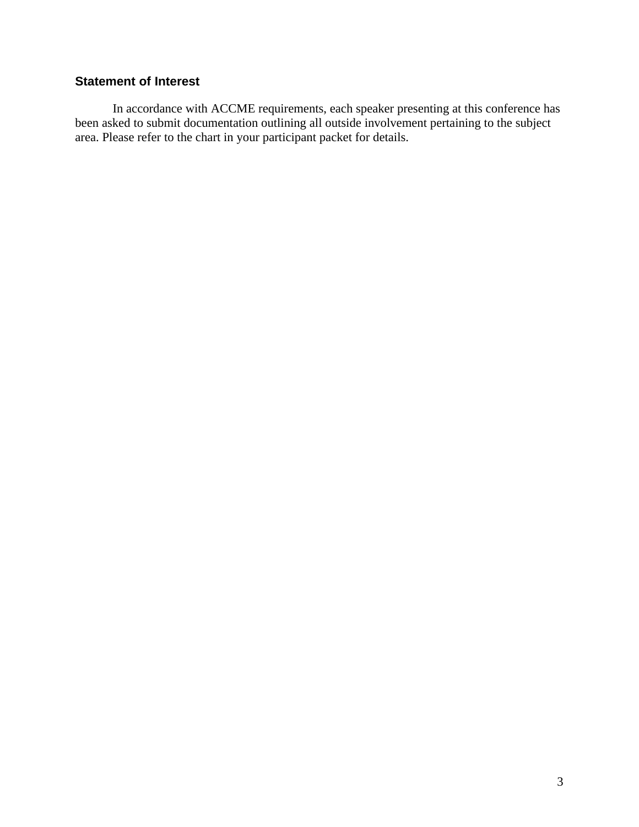#### **Statement of Interest**

In accordance with ACCME requirements, each speaker presenting at this conference has been asked to submit documentation outlining all outside involvement pertaining to the subject area. Please refer to the chart in your participant packet for details.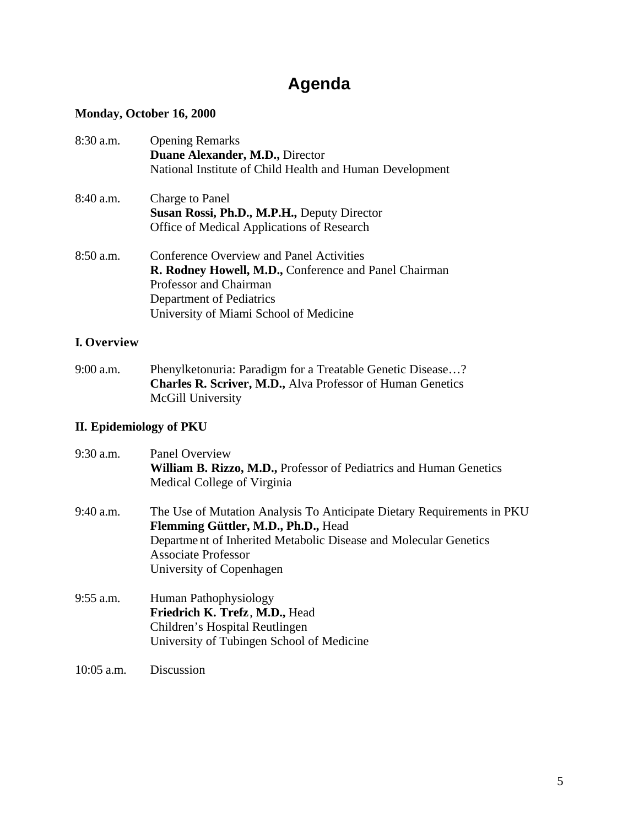# **Agenda**

## **Monday, October 16, 2000**

| 8:30 a.m.   | <b>Opening Remarks</b><br>Duane Alexander, M.D., Director<br>National Institute of Child Health and Human Development                                                                             |
|-------------|---------------------------------------------------------------------------------------------------------------------------------------------------------------------------------------------------|
| $8:40$ a.m. | Charge to Panel<br>Susan Rossi, Ph.D., M.P.H., Deputy Director<br>Office of Medical Applications of Research                                                                                      |
| 8:50 a.m.   | Conference Overview and Panel Activities<br>R. Rodney Howell, M.D., Conference and Panel Chairman<br>Professor and Chairman<br>Department of Pediatrics<br>University of Miami School of Medicine |

## **I. Overview**

9:00 a.m. Phenylketonuria: Paradigm for a Treatable Genetic Disease…? **Charles R. Scriver, M.D.,** Alva Professor of Human Genetics McGill University

#### **II. Epidemiology of PKU**

| 9:30 a.m.    | Panel Overview<br>William B. Rizzo, M.D., Professor of Pediatrics and Human Genetics<br>Medical College of Virginia                                                                                                                         |
|--------------|---------------------------------------------------------------------------------------------------------------------------------------------------------------------------------------------------------------------------------------------|
| 9:40 a.m.    | The Use of Mutation Analysis To Anticipate Dietary Requirements in PKU<br>Flemming Güttler, M.D., Ph.D., Head<br>Department of Inherited Metabolic Disease and Molecular Genetics<br><b>Associate Professor</b><br>University of Copenhagen |
| 9:55 a.m.    | Human Pathophysiology<br>Friedrich K. Trefz, M.D., Head<br>Children's Hospital Reutlingen<br>University of Tubingen School of Medicine                                                                                                      |
| $10:05$ a.m. | Discussion                                                                                                                                                                                                                                  |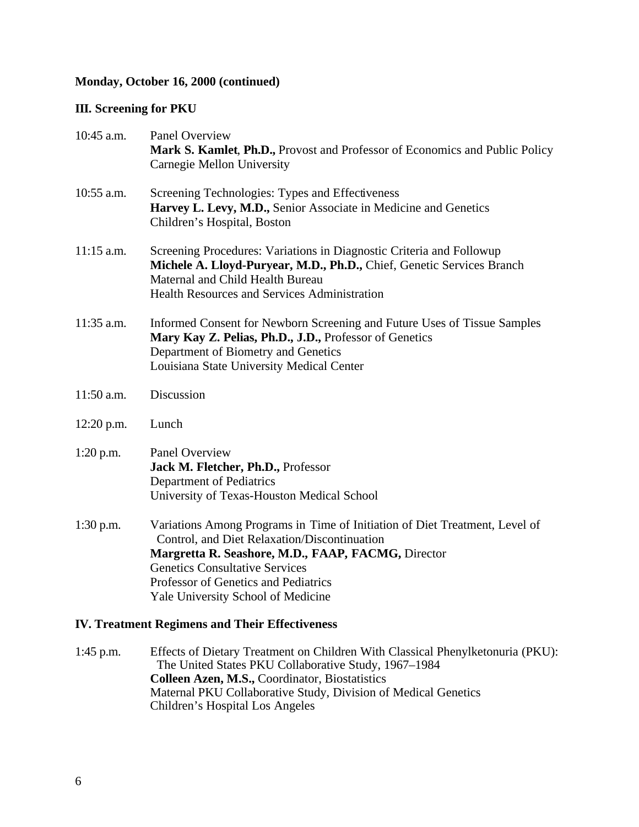#### **Monday, October 16, 2000 (continued)**

#### **III. Screening for PKU**

| 10:45 a.m.   | <b>Panel Overview</b><br>Mark S. Kamlet, Ph.D., Provost and Professor of Economics and Public Policy<br>Carnegie Mellon University                                                                                                                                                                       |
|--------------|----------------------------------------------------------------------------------------------------------------------------------------------------------------------------------------------------------------------------------------------------------------------------------------------------------|
| 10:55 a.m.   | Screening Technologies: Types and Effectiveness<br>Harvey L. Levy, M.D., Senior Associate in Medicine and Genetics<br>Children's Hospital, Boston                                                                                                                                                        |
| $11:15$ a.m. | Screening Procedures: Variations in Diagnostic Criteria and Followup<br>Michele A. Lloyd-Puryear, M.D., Ph.D., Chief, Genetic Services Branch<br>Maternal and Child Health Bureau<br><b>Health Resources and Services Administration</b>                                                                 |
| 11:35 a.m.   | Informed Consent for Newborn Screening and Future Uses of Tissue Samples<br>Mary Kay Z. Pelias, Ph.D., J.D., Professor of Genetics<br>Department of Biometry and Genetics<br>Louisiana State University Medical Center                                                                                   |
| $11:50$ a.m. | Discussion                                                                                                                                                                                                                                                                                               |
| 12:20 p.m.   | Lunch                                                                                                                                                                                                                                                                                                    |
| $1:20$ p.m.  | Panel Overview<br>Jack M. Fletcher, Ph.D., Professor<br>Department of Pediatrics<br>University of Texas-Houston Medical School                                                                                                                                                                           |
| $1:30$ p.m.  | Variations Among Programs in Time of Initiation of Diet Treatment, Level of<br>Control, and Diet Relaxation/Discontinuation<br>Margretta R. Seashore, M.D., FAAP, FACMG, Director<br><b>Genetics Consultative Services</b><br>Professor of Genetics and Pediatrics<br>Yale University School of Medicine |

#### **IV. Treatment Regimens and Their Effectiveness**

1:45 p.m. Effects of Dietary Treatment on Children With Classical Phenylketonuria (PKU): The United States PKU Collaborative Study, 1967–1984 **Colleen Azen, M.S.,** Coordinator, Biostatistics Maternal PKU Collaborative Study, Division of Medical Genetics Children's Hospital Los Angeles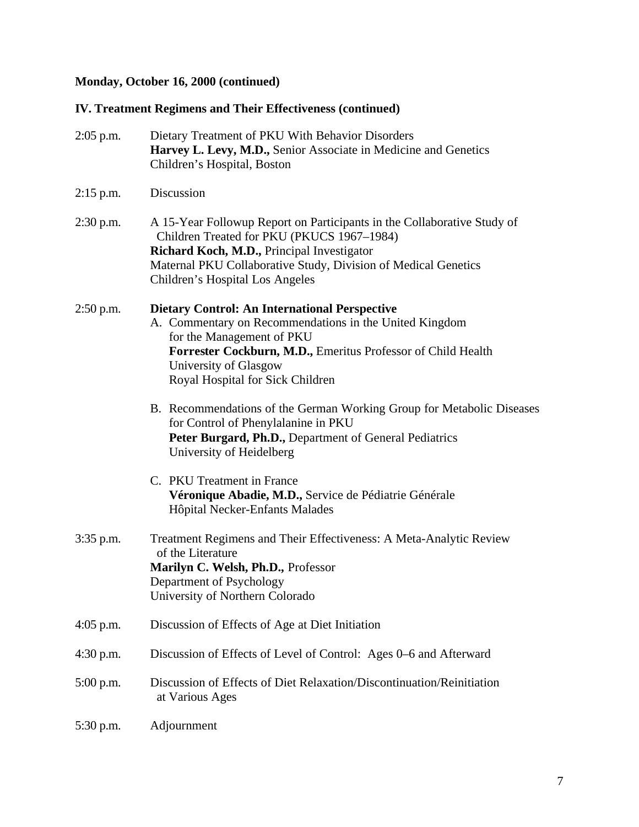## **Monday, October 16, 2000 (continued)**

## **IV. Treatment Regimens and Their Effectiveness (continued)**

| $2:05$ p.m. | Dietary Treatment of PKU With Behavior Disorders<br>Harvey L. Levy, M.D., Senior Associate in Medicine and Genetics<br>Children's Hospital, Boston                                                                                                                       |
|-------------|--------------------------------------------------------------------------------------------------------------------------------------------------------------------------------------------------------------------------------------------------------------------------|
| $2:15$ p.m. | Discussion                                                                                                                                                                                                                                                               |
| $2:30$ p.m. | A 15-Year Followup Report on Participants in the Collaborative Study of<br>Children Treated for PKU (PKUCS 1967-1984)<br>Richard Koch, M.D., Principal Investigator<br>Maternal PKU Collaborative Study, Division of Medical Genetics<br>Children's Hospital Los Angeles |
| $2:50$ p.m. | <b>Dietary Control: An International Perspective</b><br>A. Commentary on Recommendations in the United Kingdom<br>for the Management of PKU<br>Forrester Cockburn, M.D., Emeritus Professor of Child Health<br>University of Glasgow<br>Royal Hospital for Sick Children |
|             | B. Recommendations of the German Working Group for Metabolic Diseases<br>for Control of Phenylalanine in PKU<br>Peter Burgard, Ph.D., Department of General Pediatrics<br>University of Heidelberg                                                                       |
|             | C. PKU Treatment in France<br>Véronique Abadie, M.D., Service de Pédiatrie Générale<br>Hôpital Necker-Enfants Malades                                                                                                                                                    |
| 3:35 p.m.   | Treatment Regimens and Their Effectiveness: A Meta-Analytic Review<br>of the Literature<br>Marilyn C. Welsh, Ph.D., Professor<br>Department of Psychology<br>University of Northern Colorado                                                                             |
| 4:05 p.m.   | Discussion of Effects of Age at Diet Initiation                                                                                                                                                                                                                          |
| $4:30$ p.m. | Discussion of Effects of Level of Control: Ages 0–6 and Afterward                                                                                                                                                                                                        |
| 5:00 p.m.   | Discussion of Effects of Diet Relaxation/Discontinuation/Reinitiation<br>at Various Ages                                                                                                                                                                                 |
| 5:30 p.m.   | Adjournment                                                                                                                                                                                                                                                              |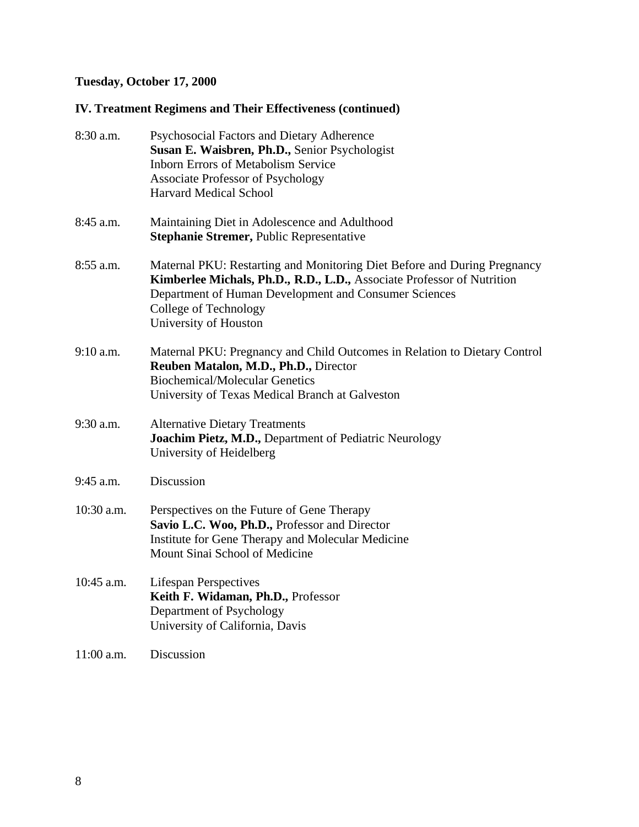## **Tuesday, October 17, 2000**

## **IV. Treatment Regimens and Their Effectiveness (continued)**

| 8:30 a.m.   | Psychosocial Factors and Dietary Adherence<br>Susan E. Waisbren, Ph.D., Senior Psychologist<br><b>Inborn Errors of Metabolism Service</b><br><b>Associate Professor of Psychology</b><br><b>Harvard Medical School</b>                                        |
|-------------|---------------------------------------------------------------------------------------------------------------------------------------------------------------------------------------------------------------------------------------------------------------|
| 8:45 a.m.   | Maintaining Diet in Adolescence and Adulthood<br>Stephanie Stremer, Public Representative                                                                                                                                                                     |
| 8:55 a.m.   | Maternal PKU: Restarting and Monitoring Diet Before and During Pregnancy<br>Kimberlee Michals, Ph.D., R.D., L.D., Associate Professor of Nutrition<br>Department of Human Development and Consumer Sciences<br>College of Technology<br>University of Houston |
| $9:10$ a.m. | Maternal PKU: Pregnancy and Child Outcomes in Relation to Dietary Control<br>Reuben Matalon, M.D., Ph.D., Director<br><b>Biochemical/Molecular Genetics</b><br>University of Texas Medical Branch at Galveston                                                |
| 9:30 a.m.   | <b>Alternative Dietary Treatments</b><br>Joachim Pietz, M.D., Department of Pediatric Neurology<br>University of Heidelberg                                                                                                                                   |
| 9:45 a.m.   | Discussion                                                                                                                                                                                                                                                    |
| 10:30 a.m.  | Perspectives on the Future of Gene Therapy<br>Savio L.C. Woo, Ph.D., Professor and Director<br>Institute for Gene Therapy and Molecular Medicine<br>Mount Sinai School of Medicine                                                                            |
| 10:45 a.m.  | <b>Lifespan Perspectives</b><br>Keith F. Widaman, Ph.D., Professor<br>Department of Psychology<br>University of California, Davis                                                                                                                             |
| 11:00 a.m.  | Discussion                                                                                                                                                                                                                                                    |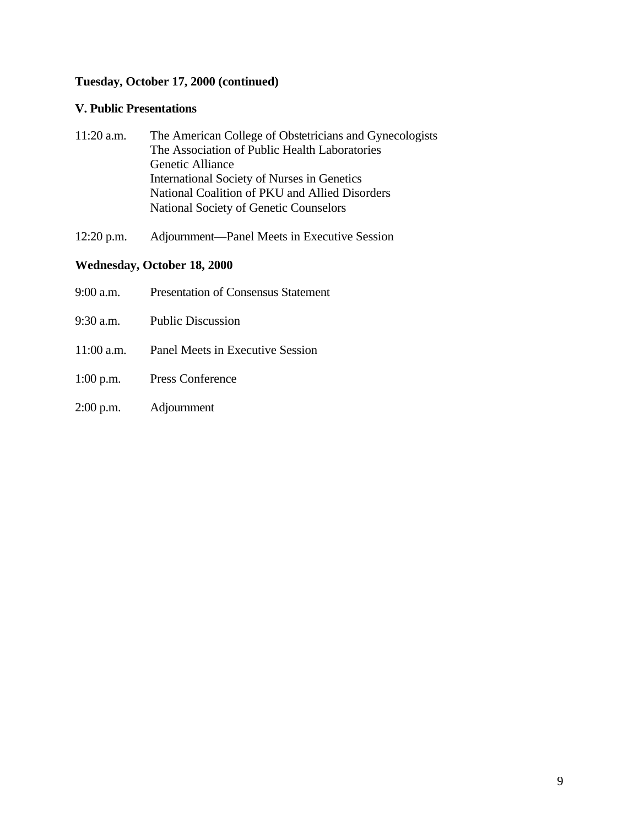#### **Tuesday, October 17, 2000 (continued)**

#### **V. Public Presentations**

| $11:20$ a.m. | The American College of Obstetricians and Gynecologists |
|--------------|---------------------------------------------------------|
|              | The Association of Public Health Laboratories           |
|              | Genetic Alliance                                        |
|              | International Society of Nurses in Genetics             |
|              | National Coalition of PKU and Allied Disorders          |
|              | National Society of Genetic Counselors                  |
|              |                                                         |

12:20 p.m. Adjournment—Panel Meets in Executive Session

#### **Wednesday, October 18, 2000**

| 9:00 a.m. Presentation of Consensus Statement |
|-----------------------------------------------|
| 9:30 a.m. Public Discussion                   |
| 11:00 a.m. Panel Meets in Executive Session   |
|                                               |

- 1:00 p.m. Press Conference
- 2:00 p.m. Adjournment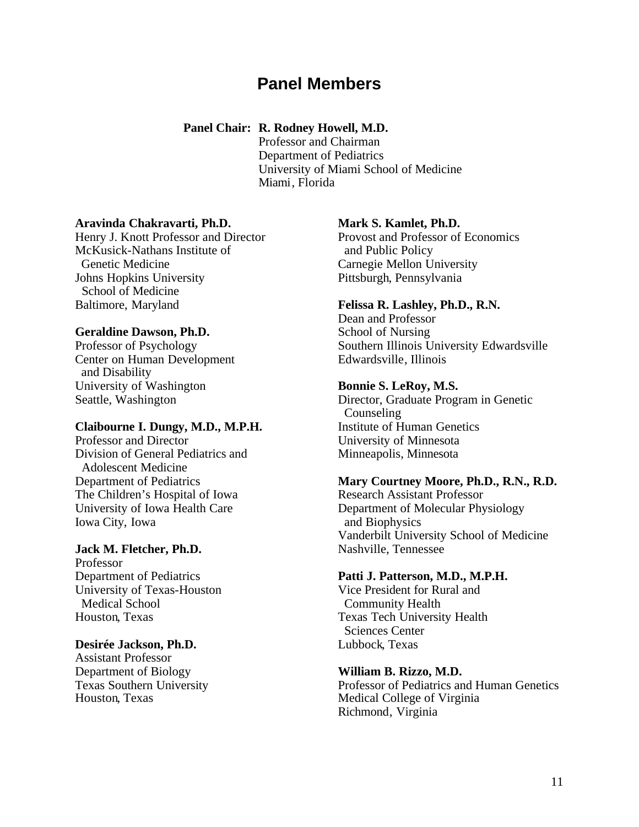## **Panel Members**

#### **Panel Chair: R. Rodney Howell, M.D.**

Professor and Chairman Department of Pediatrics University of Miami School of Medicine Miami, Florida

#### **Aravinda Chakravarti, Ph.D.**

Henry J. Knott Professor and Director McKusick-Nathans Institute of Genetic Medicine Johns Hopkins University School of Medicine Baltimore, Maryland

#### **Geraldine Dawson, Ph.D.**

Professor of Psychology Center on Human Development and Disability University of Washington Seattle, Washington

#### **Claibourne I. Dungy, M.D., M.P.H.**

Professor and Director Division of General Pediatrics and Adolescent Medicine Department of Pediatrics The Children's Hospital of Iowa University of Iowa Health Care Iowa City, Iowa

#### **Jack M. Fletcher, Ph.D.**

Professor Department of Pediatrics University of Texas-Houston Medical School Houston, Texas

#### **Desirée Jackson, Ph.D.**

Assistant Professor Department of Biology Texas Southern University Houston, Texas

#### **Mark S. Kamlet, Ph.D.**

Provost and Professor of Economics and Public Policy Carnegie Mellon University Pittsburgh, Pennsylvania

#### **Felissa R. Lashley, Ph.D., R.N.**

Dean and Professor School of Nursing Southern Illinois University Edwardsville Edwardsville, Illinois

#### **Bonnie S. LeRoy, M.S.**

Director, Graduate Program in Genetic Counseling Institute of Human Genetics University of Minnesota Minneapolis, Minnesota

#### **Mary Courtney Moore, Ph.D., R.N., R.D.**

Research Assistant Professor Department of Molecular Physiology and Biophysics Vanderbilt University School of Medicine Nashville, Tennessee

#### **Patti J. Patterson, M.D., M.P.H.**

Vice President for Rural and Community Health Texas Tech University Health Sciences Center Lubbock, Texas

#### **William B. Rizzo, M.D.**

Professor of Pediatrics and Human Genetics Medical College of Virginia Richmond, Virginia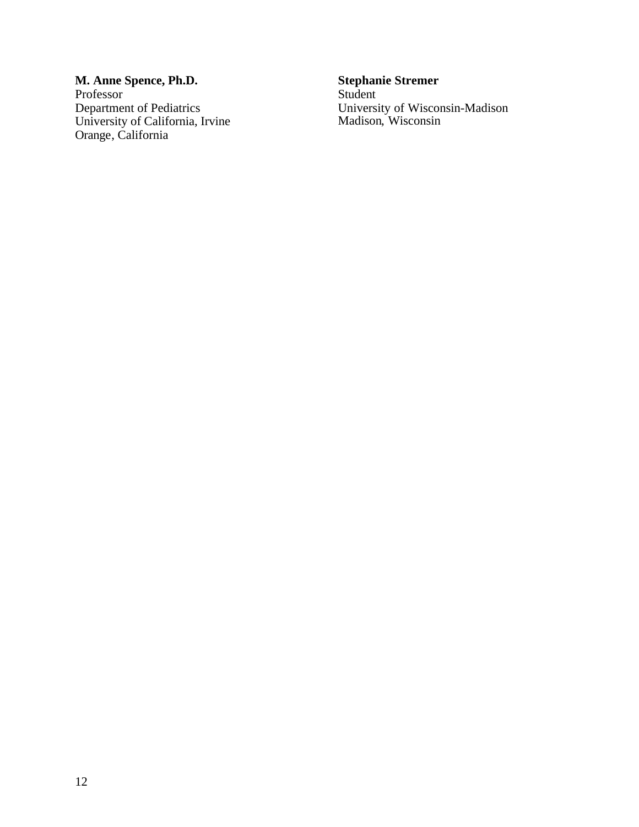**M. Anne Spence, Ph.D. Stephanie Stremer**  Professor Department of Pediatrics<br>University of California, Irvine Orange, California

University of Wisconsin-Madison<br>Madison, Wisconsin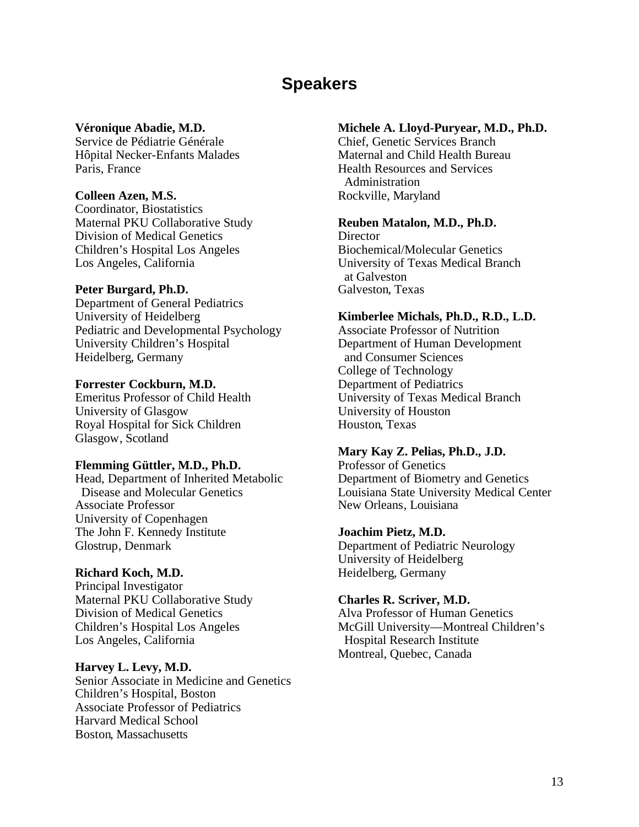# **Speakers**

#### **Véronique Abadie, M.D.**

Service de Pédiatrie Générale Hôpital Necker-Enfants Malades Paris, France

#### **Colleen Azen, M.S.**

Coordinator, Biostatistics Maternal PKU Collaborative Study Division of Medical Genetics Children's Hospital Los Angeles Los Angeles, California

#### **Peter Burgard, Ph.D.**

Department of General Pediatrics University of Heidelberg Pediatric and Developmental Psychology University Children's Hospital Heidelberg, Germany

#### **Forrester Cockburn, M.D.**

Emeritus Professor of Child Health University of Glasgow Royal Hospital for Sick Children Glasgow, Scotland

#### **Flemming Güttler, M.D., Ph.D.**

Head, Department of Inherited Metabolic Disease and Molecular Genetics Associate Professor University of Copenhagen The John F. Kennedy Institute Glostrup, Denmark

#### **Richard Koch, M.D.**

Principal Investigator Maternal PKU Collaborative Study Division of Medical Genetics Children's Hospital Los Angeles Los Angeles, California

#### **Harvey L. Levy, M.D.**

Senior Associate in Medicine and Genetics Children's Hospital, Boston Associate Professor of Pediatrics Harvard Medical School Boston, Massachusetts

#### **Michele A. Lloyd-Puryear, M.D., Ph.D.**

Chief, Genetic Services Branch Maternal and Child Health Bureau Health Resources and Services Administration Rockville, Maryland

#### **Reuben Matalon, M.D., Ph.D.**

**Director** Biochemical/Molecular Genetics University of Texas Medical Branch at Galveston Galveston, Texas

#### **Kimberlee Michals, Ph.D., R.D., L.D.**

Associate Professor of Nutrition Department of Human Development and Consumer Sciences College of Technology Department of Pediatrics University of Texas Medical Branch University of Houston Houston, Texas

#### **Mary Kay Z. Pelias, Ph.D., J.D.**

Professor of Genetics Department of Biometry and Genetics Louisiana State University Medical Center New Orleans, Louisiana

#### **Joachim Pietz, M.D.**

Department of Pediatric Neurology University of Heidelberg Heidelberg, Germany

#### **Charles R. Scriver, M.D.**

Alva Professor of Human Genetics McGill University—Montreal Children's Hospital Research Institute Montreal, Quebec, Canada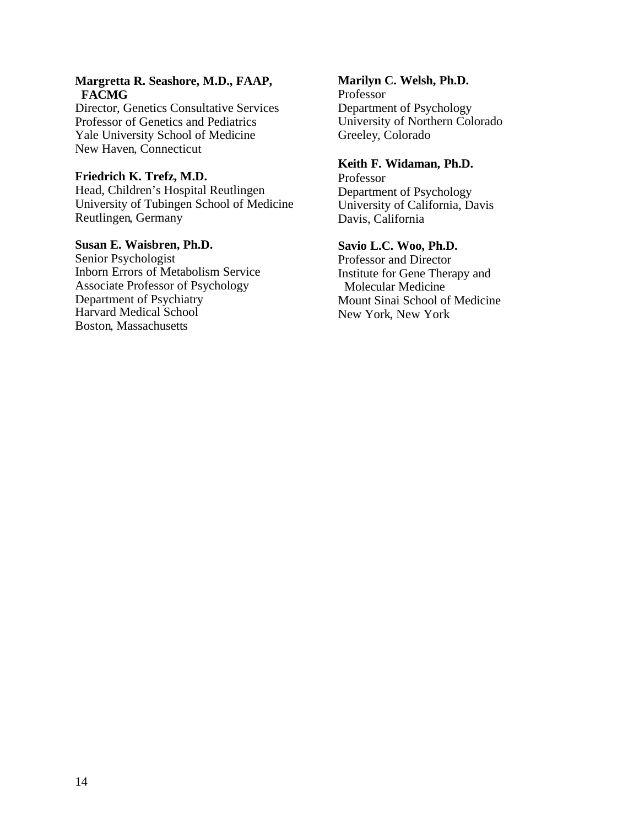#### **Margretta R. Seashore, M.D., FAAP, FACMG**

Director, Genetics Consultative Services Professor of Genetics and Pediatrics Yale University School of Medicine New Haven, Connecticut

#### **Friedrich K. Trefz, M.D.**

Head, Children's Hospital Reutlingen University of Tubingen School of Medicine Reutlingen, Germany

#### **Susan E. Waisbren, Ph.D.**

Senior Psychologist Inborn Errors of Metabolism Service Associate Professor of Psychology Department of Psychiatry Harvard Medical School Boston, Massachusetts

#### **Marilyn C. Welsh, Ph.D.**

Professor Department of Psychology University of Northern Colorado Greeley, Colorado

#### **Keith F. Widaman, Ph.D.**

Professor Department of Psychology University of California, Davis Davis, California

#### **Savio L.C. Woo, Ph.D.**

Professor and Director Institute for Gene Therapy and Molecular Medicine Mount Sinai School of Medicine New York, New York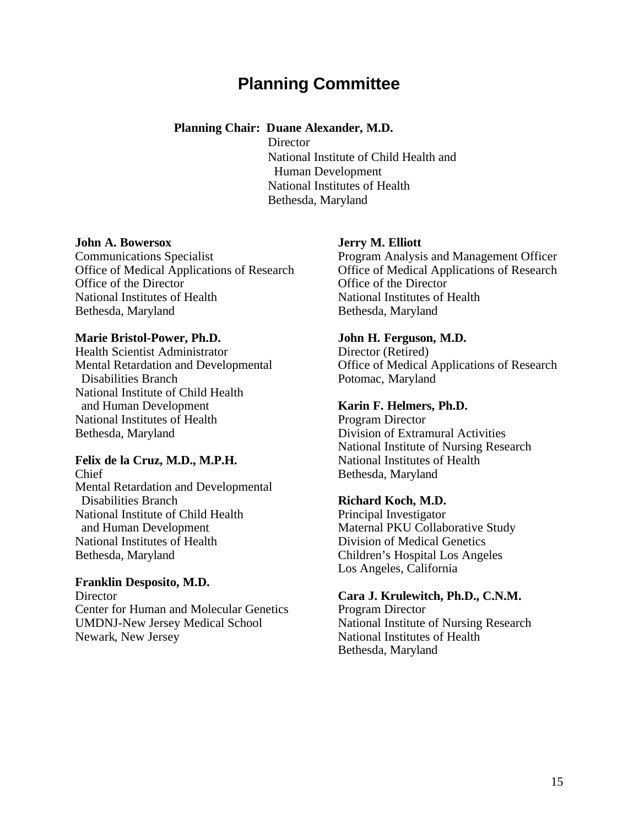# **Planning Committee**

#### **Planning Chair: Duane Alexander, M.D.**

**Director**  National Institute of Child Health and Human Development National Institutes of Health Bethesda, Maryland

#### **John A. Bowersox**

Communications Specialist Office of Medical Applications of Research Office of the Director National Institutes of Health Bethesda, Maryland

#### **Marie Bristol-Power, Ph.D.**

Health Scientist Administrator Mental Retardation and Developmental Disabilities Branch National Institute of Child Health and Human Development National Institutes of Health Bethesda, Maryland

#### **Felix de la Cruz, M.D., M.P.H.**

Chief Mental Retardation and Developmental Disabilities Branch National Institute of Child Health and Human Development National Institutes of Health Bethesda, Maryland

#### **Franklin Desposito, M.D. Director** Center for Human and Molecular Genetics UMDNJ-New Jersey Medical School

Newark, New Jersey

#### **Jerry M. Elliott**

Program Analysis and Management Officer Office of Medical Applications of Research Office of the Director National Institutes of Health Bethesda, Maryland

#### **John H. Ferguson, M.D.**

Director (Retired) Office of Medical Applications of Research Potomac, Maryland

#### **Karin F. Helmers, Ph.D.**

Program Director Division of Extramural Activities National Institute of Nursing Research National Institutes of Health Bethesda, Maryland

#### **Richard Koch, M.D.**

Principal Investigator Maternal PKU Collaborative Study Division of Medical Genetics Children's Hospital Los Angeles Los Angeles, California

#### **Cara J. Krulewitch, Ph.D., C.N.M.**

Program Director National Institute of Nursing Research National Institutes of Health Bethesda, Maryland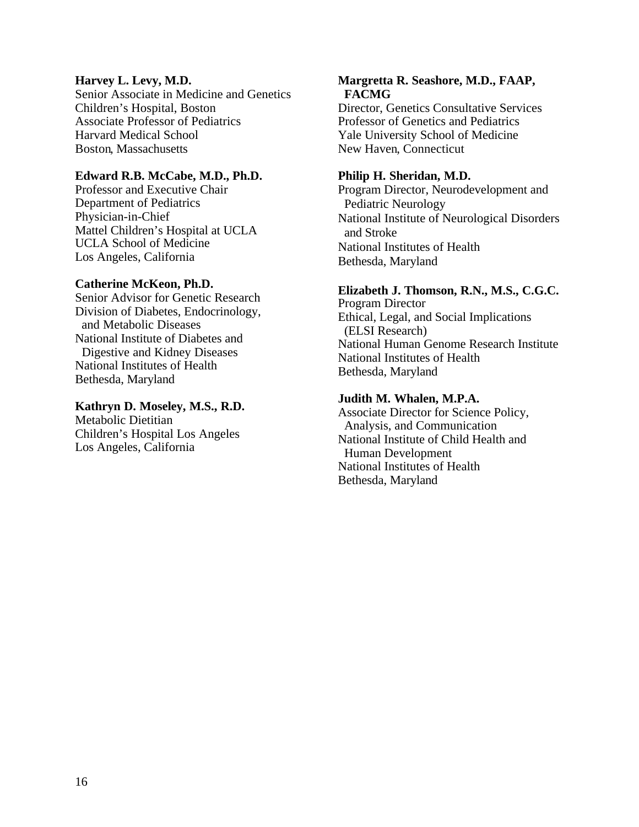#### **Harvey L. Levy, M.D.**

Senior Associate in Medicine and Genetics Children's Hospital, Boston Associate Professor of Pediatrics Harvard Medical School Boston, Massachusetts

#### **Edward R.B. McCabe, M.D., Ph.D.**

Professor and Executive Chair Department of Pediatrics Physician-in-Chief Mattel Children's Hospital at UCLA UCLA School of Medicine Los Angeles, California

#### **Catherine McKeon, Ph.D.**

Senior Advisor for Genetic Research Division of Diabetes, Endocrinology, and Metabolic Diseases National Institute of Diabetes and Digestive and Kidney Diseases National Institutes of Health Bethesda, Maryland

#### **Kathryn D. Moseley, M.S., R.D.**

Metabolic Dietitian Children's Hospital Los Angeles Los Angeles, California

#### **Margretta R. Seashore, M.D., FAAP, FACMG**

Director, Genetics Consultative Services Professor of Genetics and Pediatrics Yale University School of Medicine New Haven, Connecticut

#### **Philip H. Sheridan, M.D.**

Program Director, Neurodevelopment and Pediatric Neurology National Institute of Neurological Disorders and Stroke National Institutes of Health Bethesda, Maryland

#### **Elizabeth J. Thomson, R.N., M.S., C.G.C.**

Program Director Ethical, Legal, and Social Implications (ELSI Research) National Human Genome Research Institute National Institutes of Health Bethesda, Maryland

#### **Judith M. Whalen, M.P.A.**

Associate Director for Science Policy, Analysis, and Communication National Institute of Child Health and Human Development National Institutes of Health Bethesda, Maryland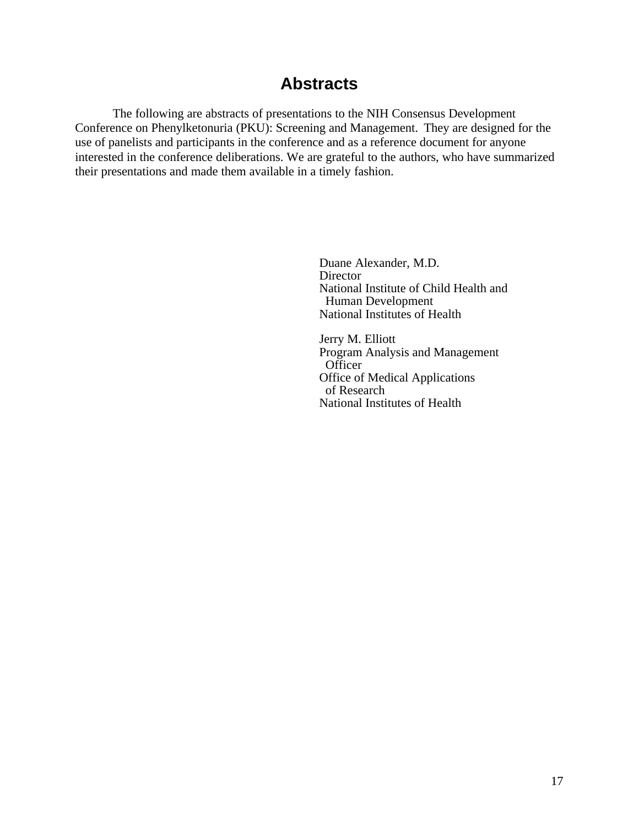## **Abstracts**

The following are abstracts of presentations to the NIH Consensus Development Conference on Phenylketonuria (PKU): Screening and Management. They are designed for the use of panelists and participants in the conference and as a reference document for anyone interested in the conference deliberations. We are grateful to the authors, who have summarized their presentations and made them available in a timely fashion.

> Duane Alexander, M.D. **Director** National Institute of Child Health and Human Development National Institutes of Health

Jerry M. Elliott Program Analysis and Management **Officer** Office of Medical Applications of Research National Institutes of Health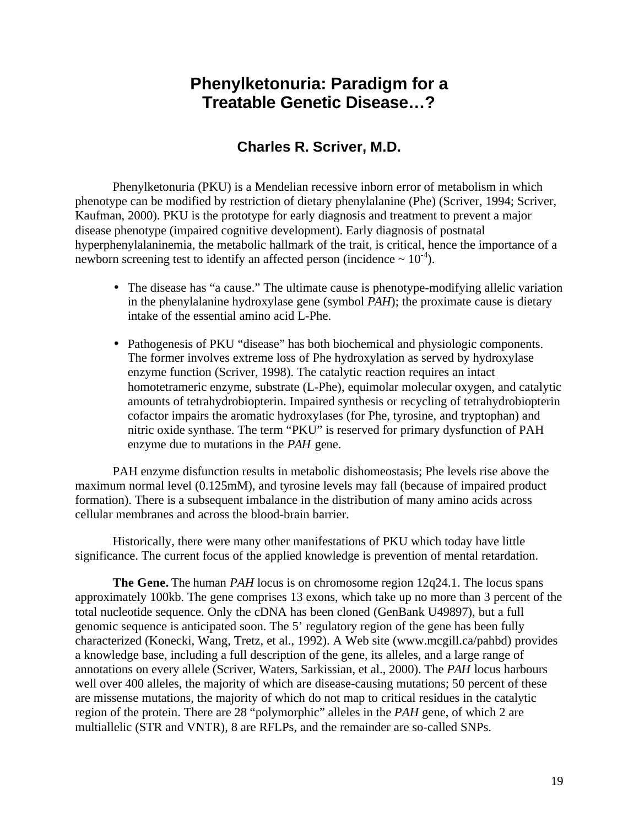## **Phenylketonuria: Paradigm for a Treatable Genetic Disease…?**

## **Charles R. Scriver, M.D.**

Phenylketonuria (PKU) is a Mendelian recessive inborn error of metabolism in which phenotype can be modified by restriction of dietary phenylalanine (Phe) (Scriver, 1994; Scriver, Kaufman, 2000). PKU is the prototype for early diagnosis and treatment to prevent a major disease phenotype (impaired cognitive development). Early diagnosis of postnatal hyperphenylalaninemia, the metabolic hallmark of the trait, is critical, hence the importance of a newborn screening test to identify an affected person (incidence  $\sim 10^{-4}$ ).

- The disease has "a cause." The ultimate cause is phenotype-modifying allelic variation in the phenylalanine hydroxylase gene (symbol *PAH*); the proximate cause is dietary intake of the essential amino acid L-Phe.
- Pathogenesis of PKU "disease" has both biochemical and physiologic components. The former involves extreme loss of Phe hydroxylation as served by hydroxylase enzyme function (Scriver, 1998). The catalytic reaction requires an intact homotetrameric enzyme, substrate (L-Phe), equimolar molecular oxygen, and catalytic amounts of tetrahydrobiopterin. Impaired synthesis or recycling of tetrahydrobiopterin cofactor impairs the aromatic hydroxylases (for Phe, tyrosine, and tryptophan) and nitric oxide synthase. The term "PKU" is reserved for primary dysfunction of PAH enzyme due to mutations in the *PAH* gene.

PAH enzyme disfunction results in metabolic dishomeostasis; Phe levels rise above the maximum normal level (0.125mM), and tyrosine levels may fall (because of impaired product formation). There is a subsequent imbalance in the distribution of many amino acids across cellular membranes and across the blood-brain barrier.

Historically, there were many other manifestations of PKU which today have little significance. The current focus of the applied knowledge is prevention of mental retardation.

**The Gene.** The human *PAH* locus is on chromosome region 12q24.1. The locus spans approximately 100kb. The gene comprises 13 exons, which take up no more than 3 percent of the total nucleotide sequence. Only the cDNA has been cloned (GenBank U49897), but a full genomic sequence is anticipated soon. The 5' regulatory region of the gene has been fully characterized (Konecki, Wang, Tretz, et al., 1992). A Web site (www.mcgill.ca/pahbd) provides a knowledge base, including a full description of the gene, its alleles, and a large range of annotations on every allele (Scriver, Waters, Sarkissian, et al., 2000). The *PAH* locus harbours well over 400 alleles, the majority of which are disease-causing mutations; 50 percent of these are missense mutations, the majority of which do not map to critical residues in the catalytic region of the protein. There are 28 "polymorphic" alleles in the *PAH* gene, of which 2 are multiallelic (STR and VNTR), 8 are RFLPs, and the remainder are so-called SNPs.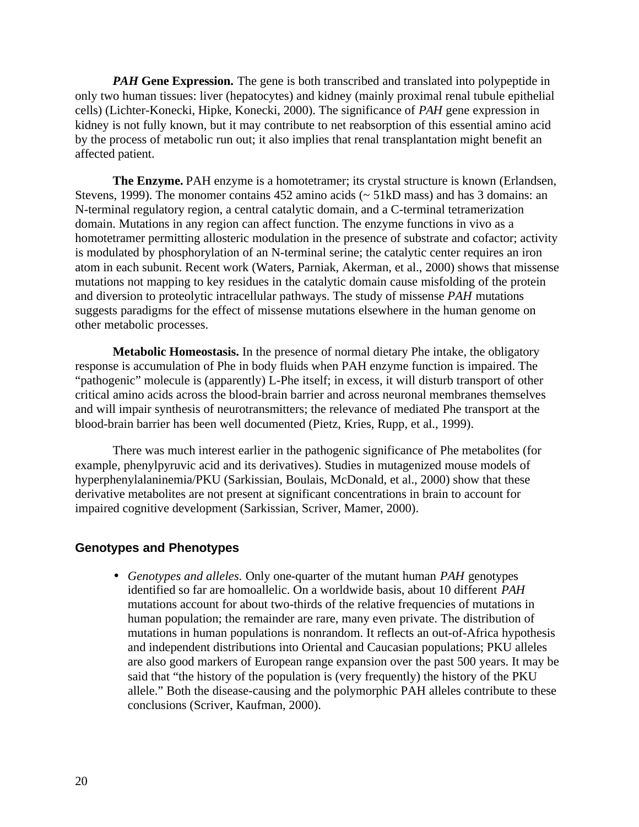*PAH* Gene Expression. The gene is both transcribed and translated into polypeptide in only two human tissues: liver (hepatocytes) and kidney (mainly proximal renal tubule epithelial cells) (Lichter-Konecki, Hipke, Konecki, 2000). The significance of *PAH* gene expression in kidney is not fully known, but it may contribute to net reabsorption of this essential amino acid by the process of metabolic run out; it also implies that renal transplantation might benefit an affected patient.

**The Enzyme.** PAH enzyme is a homotetramer; its crystal structure is known (Erlandsen, Stevens, 1999). The monomer contains 452 amino acids (~ 51kD mass) and has 3 domains: an N-terminal regulatory region, a central catalytic domain, and a C-terminal tetramerization domain. Mutations in any region can affect function. The enzyme functions in vivo as a homotetramer permitting allosteric modulation in the presence of substrate and cofactor; activity is modulated by phosphorylation of an N-terminal serine; the catalytic center requires an iron atom in each subunit. Recent work (Waters, Parniak, Akerman, et al., 2000) shows that missense mutations not mapping to key residues in the catalytic domain cause misfolding of the protein and diversion to proteolytic intracellular pathways. The study of missense *PAH* mutations suggests paradigms for the effect of missense mutations elsewhere in the human genome on other metabolic processes.

**Metabolic Homeostasis.** In the presence of normal dietary Phe intake, the obligatory response is accumulation of Phe in body fluids when PAH enzyme function is impaired. The "pathogenic" molecule is (apparently) L-Phe itself; in excess, it will disturb transport of other critical amino acids across the blood-brain barrier and across neuronal membranes themselves and will impair synthesis of neurotransmitters; the relevance of mediated Phe transport at the blood-brain barrier has been well documented (Pietz, Kries, Rupp, et al., 1999).

There was much interest earlier in the pathogenic significance of Phe metabolites (for example, phenylpyruvic acid and its derivatives). Studies in mutagenized mouse models of hyperphenylalaninemia/PKU (Sarkissian, Boulais, McDonald, et al., 2000) show that these derivative metabolites are not present at significant concentrations in brain to account for impaired cognitive development (Sarkissian, Scriver, Mamer, 2000).

#### **Genotypes and Phenotypes**

• *Genotypes and alleles.* Only one-quarter of the mutant human *PAH* genotypes identified so far are homoallelic. On a worldwide basis, about 10 different *PAH*  mutations account for about two-thirds of the relative frequencies of mutations in human population; the remainder are rare, many even private. The distribution of mutations in human populations is nonrandom. It reflects an out-of-Africa hypothesis and independent distributions into Oriental and Caucasian populations; PKU alleles are also good markers of European range expansion over the past 500 years. It may be said that "the history of the population is (very frequently) the history of the PKU allele." Both the disease-causing and the polymorphic PAH alleles contribute to these conclusions (Scriver, Kaufman, 2000).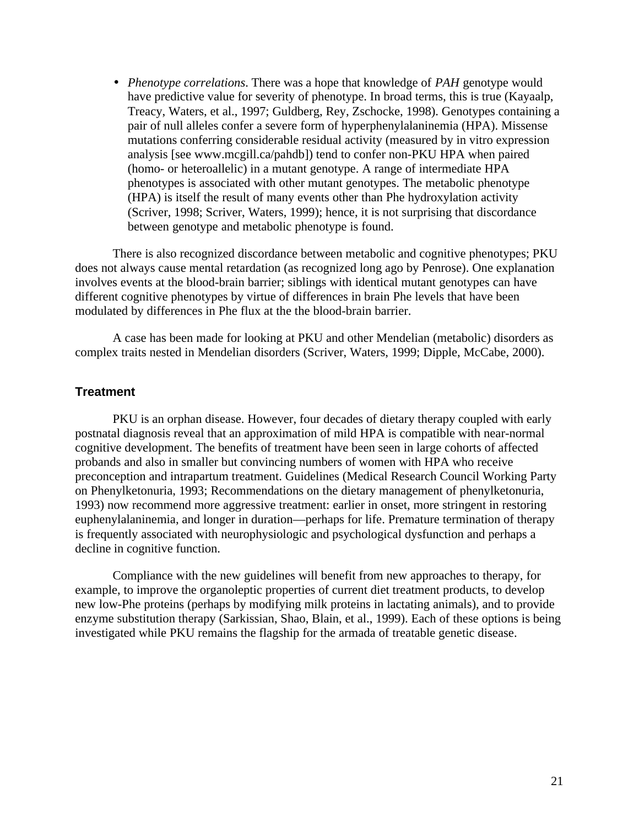• *Phenotype correlations*. There was a hope that knowledge of *PAH* genotype would have predictive value for severity of phenotype. In broad terms, this is true (Kayaalp, Treacy, Waters, et al., 1997; Guldberg, Rey, Zschocke, 1998). Genotypes containing a pair of null alleles confer a severe form of hyperphenylalaninemia (HPA). Missense mutations conferring considerable residual activity (measured by in vitro expression analysis [see www.mcgill.ca/pahdb]) tend to confer non-PKU HPA when paired (homo- or heteroallelic) in a mutant genotype. A range of intermediate HPA phenotypes is associated with other mutant genotypes. The metabolic phenotype (HPA) is itself the result of many events other than Phe hydroxylation activity (Scriver, 1998; Scriver, Waters, 1999); hence, it is not surprising that discordance between genotype and metabolic phenotype is found.

There is also recognized discordance between metabolic and cognitive phenotypes; PKU does not always cause mental retardation (as recognized long ago by Penrose). One explanation involves events at the blood-brain barrier; siblings with identical mutant genotypes can have different cognitive phenotypes by virtue of differences in brain Phe levels that have been modulated by differences in Phe flux at the the blood-brain barrier.

A case has been made for looking at PKU and other Mendelian (metabolic) disorders as complex traits nested in Mendelian disorders (Scriver, Waters, 1999; Dipple, McCabe, 2000).

#### **Treatment**

PKU is an orphan disease. However, four decades of dietary therapy coupled with early postnatal diagnosis reveal that an approximation of mild HPA is compatible with near-normal cognitive development. The benefits of treatment have been seen in large cohorts of affected probands and also in smaller but convincing numbers of women with HPA who receive preconception and intrapartum treatment. Guidelines (Medical Research Council Working Party on Phenylketonuria, 1993; Recommendations on the dietary management of phenylketonuria, 1993) now recommend more aggressive treatment: earlier in onset, more stringent in restoring euphenylalaninemia, and longer in duration—perhaps for life. Premature termination of therapy is frequently associated with neurophysiologic and psychological dysfunction and perhaps a decline in cognitive function.

Compliance with the new guidelines will benefit from new approaches to therapy, for example, to improve the organoleptic properties of current diet treatment products, to develop new low-Phe proteins (perhaps by modifying milk proteins in lactating animals), and to provide enzyme substitution therapy (Sarkissian, Shao, Blain, et al., 1999). Each of these options is being investigated while PKU remains the flagship for the armada of treatable genetic disease.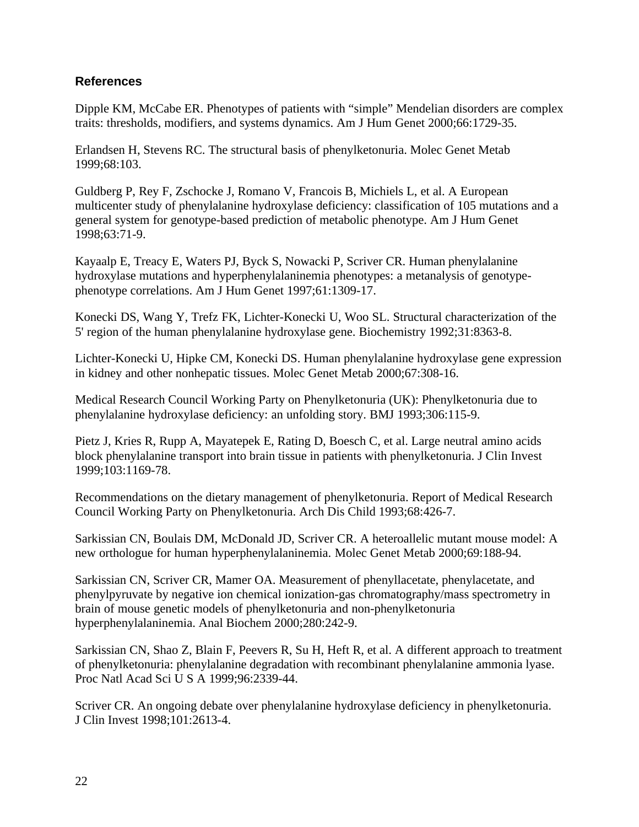#### **References**

Dipple KM, McCabe ER. Phenotypes of patients with "simple" Mendelian disorders are complex traits: thresholds, modifiers, and systems dynamics. Am J Hum Genet 2000;66:1729-35.

Erlandsen H, Stevens RC. The structural basis of phenylketonuria. Molec Genet Metab 1999;68:103.

Guldberg P, Rey F, Zschocke J, Romano V, Francois B, Michiels L, et al. A European multicenter study of phenylalanine hydroxylase deficiency: classification of 105 mutations and a general system for genotype-based prediction of metabolic phenotype. Am J Hum Genet 1998;63:71-9.

Kayaalp E, Treacy E, Waters PJ, Byck S, Nowacki P, Scriver CR. Human phenylalanine hydroxylase mutations and hyperphenylalaninemia phenotypes: a metanalysis of genotypephenotype correlations. Am J Hum Genet 1997;61:1309-17.

Konecki DS, Wang Y, Trefz FK, Lichter-Konecki U, Woo SL. Structural characterization of the 5' region of the human phenylalanine hydroxylase gene. Biochemistry 1992;31:8363-8.

Lichter-Konecki U, Hipke CM, Konecki DS. Human phenylalanine hydroxylase gene expression in kidney and other nonhepatic tissues. Molec Genet Metab 2000;67:308-16.

Medical Research Council Working Party on Phenylketonuria (UK): Phenylketonuria due to phenylalanine hydroxylase deficiency: an unfolding story. BMJ 1993;306:115-9.

Pietz J, Kries R, Rupp A, Mayatepek E, Rating D, Boesch C, et al. Large neutral amino acids block phenylalanine transport into brain tissue in patients with phenylketonuria. J Clin Invest 1999;103:1169-78.

Recommendations on the dietary management of phenylketonuria. Report of Medical Research Council Working Party on Phenylketonuria. Arch Dis Child 1993;68:426-7.

Sarkissian CN, Boulais DM, McDonald JD, Scriver CR. A heteroallelic mutant mouse model: A new orthologue for human hyperphenylalaninemia. Molec Genet Metab 2000;69:188-94.

Sarkissian CN, Scriver CR, Mamer OA. Measurement of phenyllacetate, phenylacetate, and phenylpyruvate by negative ion chemical ionization-gas chromatography/mass spectrometry in brain of mouse genetic models of phenylketonuria and non-phenylketonuria hyperphenylalaninemia. Anal Biochem 2000;280:242-9.

Sarkissian CN, Shao Z, Blain F, Peevers R, Su H, Heft R, et al. A different approach to treatment of phenylketonuria: phenylalanine degradation with recombinant phenylalanine ammonia lyase. Proc Natl Acad Sci U S A 1999;96:2339-44.

Scriver CR. An ongoing debate over phenylalanine hydroxylase deficiency in phenylketonuria. J Clin Invest 1998;101:2613-4.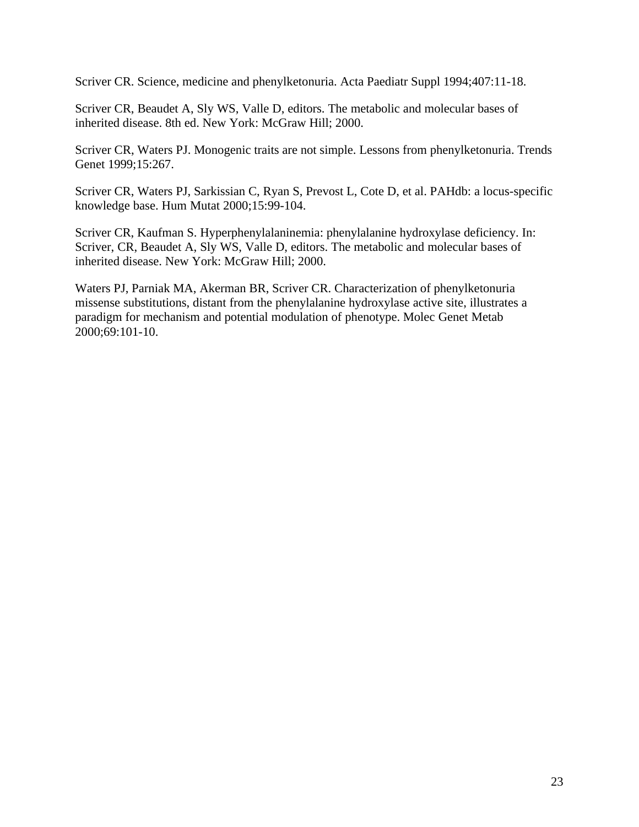Scriver CR. Science, medicine and phenylketonuria. Acta Paediatr Suppl 1994;407:11-18.

Scriver CR, Beaudet A, Sly WS, Valle D, editors. The metabolic and molecular bases of inherited disease. 8th ed. New York: McGraw Hill; 2000.

Scriver CR, Waters PJ. Monogenic traits are not simple. Lessons from phenylketonuria. Trends Genet 1999;15:267.

Scriver CR, Waters PJ, Sarkissian C, Ryan S, Prevost L, Cote D, et al. PAHdb: a locus-specific knowledge base. Hum Mutat 2000;15:99-104.

Scriver CR, Kaufman S. Hyperphenylalaninemia: phenylalanine hydroxylase deficiency. In: Scriver, CR, Beaudet A, Sly WS, Valle D, editors. The metabolic and molecular bases of inherited disease. New York: McGraw Hill; 2000.

Waters PJ, Parniak MA, Akerman BR, Scriver CR. Characterization of phenylketonuria missense substitutions, distant from the phenylalanine hydroxylase active site, illustrates a paradigm for mechanism and potential modulation of phenotype. Molec Genet Metab 2000;69:101-10.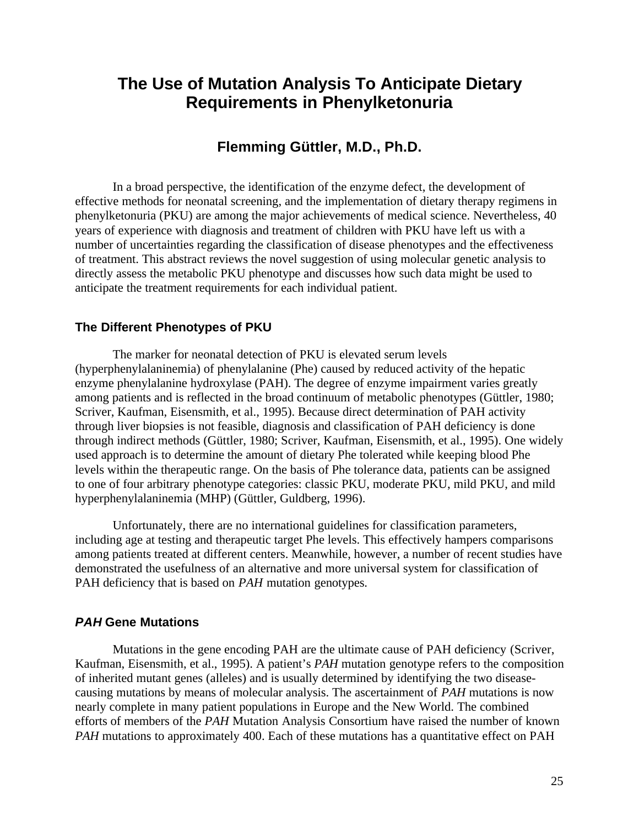## **The Use of Mutation Analysis To Anticipate Dietary Requirements in Phenylketonuria**

## **Flemming Güttler, M.D., Ph.D.**

In a broad perspective, the identification of the enzyme defect, the development of effective methods for neonatal screening, and the implementation of dietary therapy regimens in phenylketonuria (PKU) are among the major achievements of medical science. Nevertheless, 40 years of experience with diagnosis and treatment of children with PKU have left us with a number of uncertainties regarding the classification of disease phenotypes and the effectiveness of treatment. This abstract reviews the novel suggestion of using molecular genetic analysis to directly assess the metabolic PKU phenotype and discusses how such data might be used to anticipate the treatment requirements for each individual patient.

#### **The Different Phenotypes of PKU**

The marker for neonatal detection of PKU is elevated serum levels (hyperphenylalaninemia) of phenylalanine (Phe) caused by reduced activity of the hepatic enzyme phenylalanine hydroxylase (PAH). The degree of enzyme impairment varies greatly among patients and is reflected in the broad continuum of metabolic phenotypes (Güttler, 1980; Scriver, Kaufman, Eisensmith, et al., 1995). Because direct determination of PAH activity through liver biopsies is not feasible, diagnosis and classification of PAH deficiency is done through indirect methods (Güttler, 1980; Scriver, Kaufman, Eisensmith, et al., 1995). One widely used approach is to determine the amount of dietary Phe tolerated while keeping blood Phe levels within the therapeutic range. On the basis of Phe tolerance data, patients can be assigned to one of four arbitrary phenotype categories: classic PKU, moderate PKU, mild PKU, and mild hyperphenylalaninemia (MHP) (Güttler, Guldberg, 1996).

Unfortunately, there are no international guidelines for classification parameters, including age at testing and therapeutic target Phe levels. This effectively hampers comparisons among patients treated at different centers. Meanwhile, however, a number of recent studies have demonstrated the usefulness of an alternative and more universal system for classification of PAH deficiency that is based on *PAH* mutation genotypes.

#### *PAH* **Gene Mutations**

Mutations in the gene encoding PAH are the ultimate cause of PAH deficiency (Scriver, Kaufman, Eisensmith, et al., 1995). A patient's *PAH* mutation genotype refers to the composition of inherited mutant genes (alleles) and is usually determined by identifying the two diseasecausing mutations by means of molecular analysis. The ascertainment of *PAH* mutations is now nearly complete in many patient populations in Europe and the New World. The combined efforts of members of the *PAH* Mutation Analysis Consortium have raised the number of known *PAH* mutations to approximately 400. Each of these mutations has a quantitative effect on PAH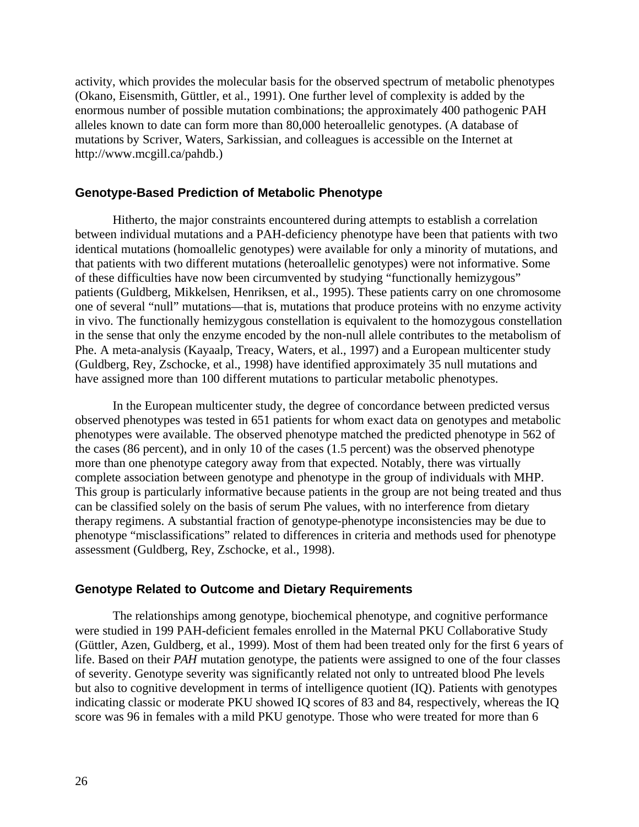activity, which provides the molecular basis for the observed spectrum of metabolic phenotypes (Okano, Eisensmith, Güttler, et al., 1991). One further level of complexity is added by the enormous number of possible mutation combinations; the approximately 400 pathogenic PAH alleles known to date can form more than 80,000 heteroallelic genotypes. (A database of mutations by Scriver, Waters, Sarkissian, and colleagues is accessible on the Internet at http://www.mcgill.ca/pahdb.)

#### **Genotype-Based Prediction of Metabolic Phenotype**

Hitherto, the major constraints encountered during attempts to establish a correlation between individual mutations and a PAH-deficiency phenotype have been that patients with two identical mutations (homoallelic genotypes) were available for only a minority of mutations, and that patients with two different mutations (heteroallelic genotypes) were not informative. Some of these difficulties have now been circumvented by studying "functionally hemizygous" patients (Guldberg, Mikkelsen, Henriksen, et al., 1995). These patients carry on one chromosome one of several "null" mutations—that is, mutations that produce proteins with no enzyme activity in vivo. The functionally hemizygous constellation is equivalent to the homozygous constellation in the sense that only the enzyme encoded by the non-null allele contributes to the metabolism of Phe. A meta-analysis (Kayaalp, Treacy, Waters, et al., 1997) and a European multicenter study (Guldberg, Rey, Zschocke, et al., 1998) have identified approximately 35 null mutations and have assigned more than 100 different mutations to particular metabolic phenotypes.

In the European multicenter study, the degree of concordance between predicted versus observed phenotypes was tested in 651 patients for whom exact data on genotypes and metabolic phenotypes were available. The observed phenotype matched the predicted phenotype in 562 of the cases (86 percent), and in only 10 of the cases (1.5 percent) was the observed phenotype more than one phenotype category away from that expected. Notably, there was virtually complete association between genotype and phenotype in the group of individuals with MHP. This group is particularly informative because patients in the group are not being treated and thus can be classified solely on the basis of serum Phe values, with no interference from dietary therapy regimens. A substantial fraction of genotype-phenotype inconsistencies may be due to phenotype "misclassifications" related to differences in criteria and methods used for phenotype assessment (Guldberg, Rey, Zschocke, et al., 1998).

#### **Genotype Related to Outcome and Dietary Requirements**

The relationships among genotype, biochemical phenotype, and cognitive performance were studied in 199 PAH-deficient females enrolled in the Maternal PKU Collaborative Study (Güttler, Azen, Guldberg, et al., 1999). Most of them had been treated only for the first 6 years of life. Based on their *PAH* mutation genotype, the patients were assigned to one of the four classes of severity. Genotype severity was significantly related not only to untreated blood Phe levels but also to cognitive development in terms of intelligence quotient (IQ). Patients with genotypes indicating classic or moderate PKU showed IQ scores of 83 and 84, respectively, whereas the IQ score was 96 in females with a mild PKU genotype. Those who were treated for more than 6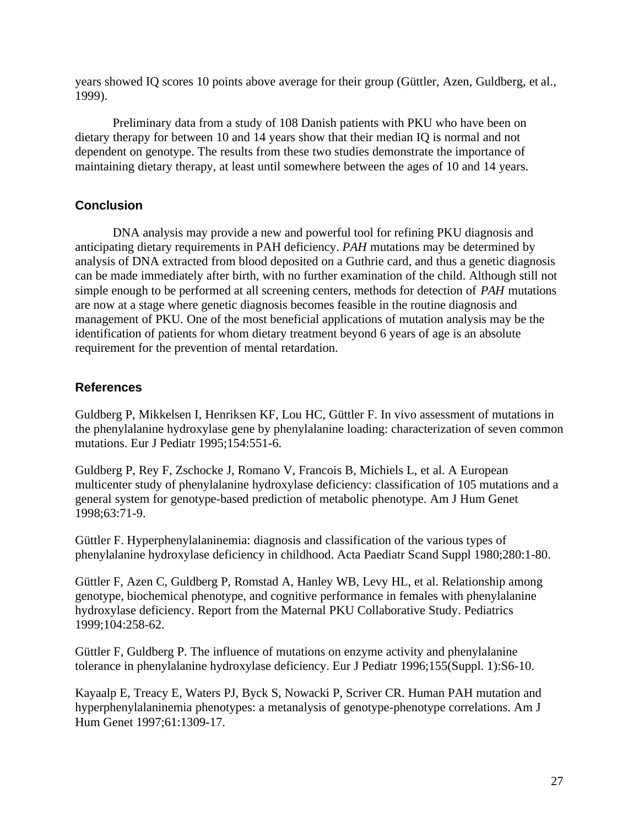years showed IQ scores 10 points above average for their group (Güttler, Azen, Guldberg, et al., 1999).

Preliminary data from a study of 108 Danish patients with PKU who have been on dietary therapy for between 10 and 14 years show that their median IQ is normal and not dependent on genotype. The results from these two studies demonstrate the importance of maintaining dietary therapy, at least until somewhere between the ages of 10 and 14 years.

#### **Conclusion**

DNA analysis may provide a new and powerful tool for refining PKU diagnosis and anticipating dietary requirements in PAH deficiency. *PAH* mutations may be determined by analysis of DNA extracted from blood deposited on a Guthrie card, and thus a genetic diagnosis can be made immediately after birth, with no further examination of the child. Although still not simple enough to be performed at all screening centers, methods for detection of *PAH* mutations are now at a stage where genetic diagnosis becomes feasible in the routine diagnosis and management of PKU. One of the most beneficial applications of mutation analysis may be the identification of patients for whom dietary treatment beyond 6 years of age is an absolute requirement for the prevention of mental retardation.

#### **References**

Guldberg P, Mikkelsen I, Henriksen KF, Lou HC, Güttler F. In vivo assessment of mutations in the phenylalanine hydroxylase gene by phenylalanine loading: characterization of seven common mutations. Eur J Pediatr 1995;154:551-6.

Guldberg P, Rey F, Zschocke J, Romano V, Francois B, Michiels L, et al. A European multicenter study of phenylalanine hydroxylase deficiency: classification of 105 mutations and a general system for genotype-based prediction of metabolic phenotype. Am J Hum Genet 1998;63:71-9.

Güttler F. Hyperphenylalaninemia: diagnosis and classification of the various types of phenylalanine hydroxylase deficiency in childhood. Acta Paediatr Scand Suppl 1980;280:1-80.

Güttler F, Azen C, Guldberg P, Romstad A, Hanley WB, Levy HL, et al. Relationship among genotype, biochemical phenotype, and cognitive performance in females with phenylalanine hydroxylase deficiency. Report from the Maternal PKU Collaborative Study. Pediatrics 1999;104:258-62.

Güttler F, Guldberg P. The influence of mutations on enzyme activity and phenylalanine tolerance in phenylalanine hydroxylase deficiency. Eur J Pediatr 1996;155(Suppl. 1):S6-10.

Kayaalp E, Treacy E, Waters PJ, Byck S, Nowacki P, Scriver CR. Human PAH mutation and hyperphenylalaninemia phenotypes: a metanalysis of genotype-phenotype correlations. Am J Hum Genet 1997;61:1309-17.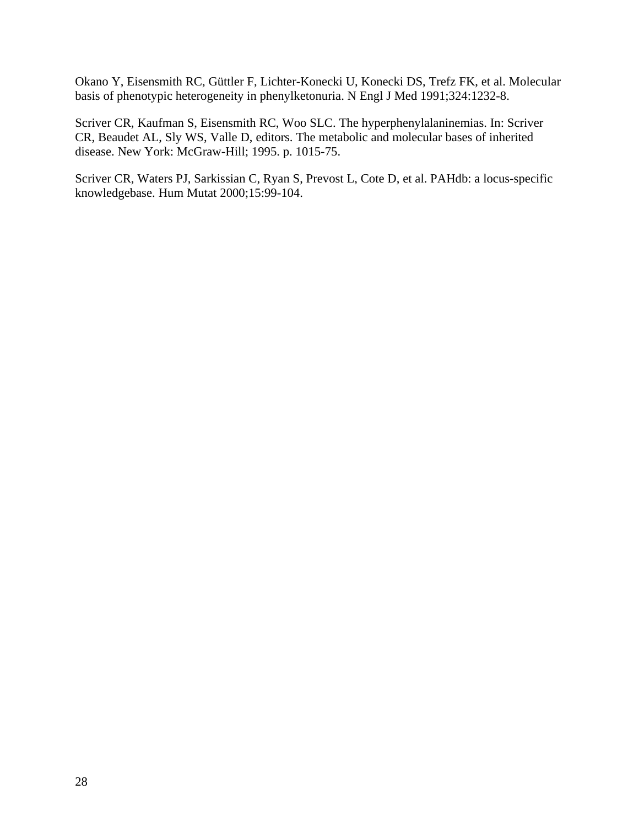Okano Y, Eisensmith RC, Güttler F, Lichter-Konecki U, Konecki DS, Trefz FK, et al. Molecular basis of phenotypic heterogeneity in phenylketonuria. N Engl J Med 1991;324:1232-8.

Scriver CR, Kaufman S, Eisensmith RC, Woo SLC. The hyperphenylalaninemias. In: Scriver CR, Beaudet AL, Sly WS, Valle D, editors. The metabolic and molecular bases of inherited disease. New York: McGraw-Hill; 1995. p. 1015-75.

Scriver CR, Waters PJ, Sarkissian C, Ryan S, Prevost L, Cote D, et al. PAHdb: a locus-specific knowledgebase. Hum Mutat 2000;15:99-104.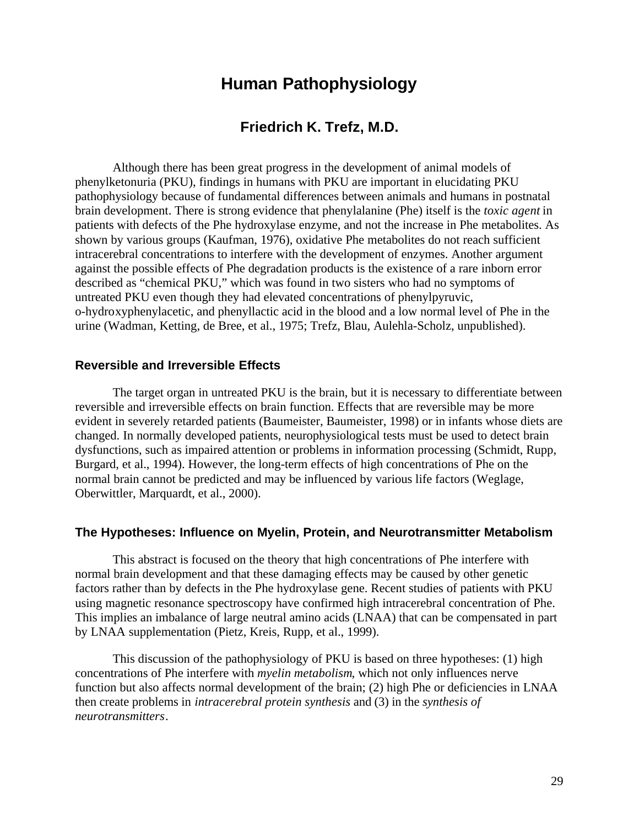## **Human Pathophysiology**

### **Friedrich K. Trefz, M.D.**

Although there has been great progress in the development of animal models of phenylketonuria (PKU), findings in humans with PKU are important in elucidating PKU pathophysiology because of fundamental differences between animals and humans in postnatal brain development. There is strong evidence that phenylalanine (Phe) itself is the *toxic agent* in patients with defects of the Phe hydroxylase enzyme, and not the increase in Phe metabolites. As shown by various groups (Kaufman, 1976), oxidative Phe metabolites do not reach sufficient intracerebral concentrations to interfere with the development of enzymes. Another argument against the possible effects of Phe degradation products is the existence of a rare inborn error described as "chemical PKU," which was found in two sisters who had no symptoms of untreated PKU even though they had elevated concentrations of phenylpyruvic, o-hydroxyphenylacetic, and phenyllactic acid in the blood and a low normal level of Phe in the urine (Wadman, Ketting, de Bree, et al., 1975; Trefz, Blau, Aulehla-Scholz, unpublished).

#### **Reversible and Irreversible Effects**

The target organ in untreated PKU is the brain, but it is necessary to differentiate between reversible and irreversible effects on brain function. Effects that are reversible may be more evident in severely retarded patients (Baumeister, Baumeister, 1998) or in infants whose diets are changed. In normally developed patients, neurophysiological tests must be used to detect brain dysfunctions, such as impaired attention or problems in information processing (Schmidt, Rupp, Burgard, et al., 1994). However, the long-term effects of high concentrations of Phe on the normal brain cannot be predicted and may be influenced by various life factors (Weglage, Oberwittler, Marquardt, et al., 2000).

#### **The Hypotheses: Influence on Myelin, Protein, and Neurotransmitter Metabolism**

This abstract is focused on the theory that high concentrations of Phe interfere with normal brain development and that these damaging effects may be caused by other genetic factors rather than by defects in the Phe hydroxylase gene. Recent studies of patients with PKU using magnetic resonance spectroscopy have confirmed high intracerebral concentration of Phe. This implies an imbalance of large neutral amino acids (LNAA) that can be compensated in part by LNAA supplementation (Pietz, Kreis, Rupp, et al., 1999).

This discussion of the pathophysiology of PKU is based on three hypotheses: (1) high concentrations of Phe interfere with *myelin metabolism*, which not only influences nerve function but also affects normal development of the brain; (2) high Phe or deficiencies in LNAA then create problems in *intracerebral protein synthesis* and (3) in the *synthesis of neurotransmitters*.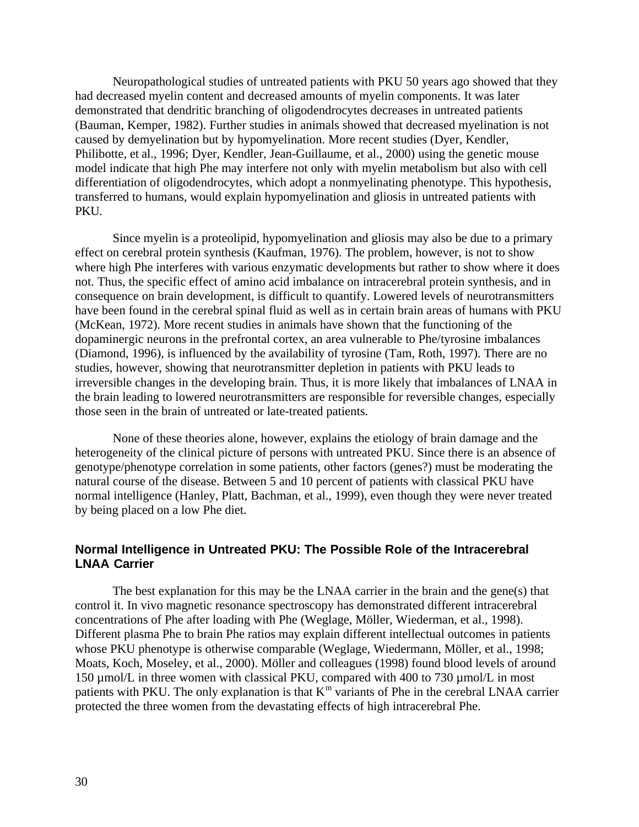Neuropathological studies of untreated patients with PKU 50 years ago showed that they had decreased myelin content and decreased amounts of myelin components. It was later demonstrated that dendritic branching of oligodendrocytes decreases in untreated patients (Bauman, Kemper, 1982). Further studies in animals showed that decreased myelination is not caused by demyelination but by hypomyelination. More recent studies (Dyer, Kendler, Philibotte, et al., 1996; Dyer, Kendler, Jean-Guillaume, et al., 2000) using the genetic mouse model indicate that high Phe may interfere not only with myelin metabolism but also with cell differentiation of oligodendrocytes, which adopt a nonmyelinating phenotype. This hypothesis, transferred to humans, would explain hypomyelination and gliosis in untreated patients with PKU.

Since myelin is a proteolipid, hypomyelination and gliosis may also be due to a primary effect on cerebral protein synthesis (Kaufman, 1976). The problem, however, is not to show where high Phe interferes with various enzymatic developments but rather to show where it does not. Thus, the specific effect of amino acid imbalance on intracerebral protein synthesis, and in consequence on brain development, is difficult to quantify. Lowered levels of neurotransmitters have been found in the cerebral spinal fluid as well as in certain brain areas of humans with PKU (McKean, 1972). More recent studies in animals have shown that the functioning of the dopaminergic neurons in the prefrontal cortex, an area vulnerable to Phe/tyrosine imbalances (Diamond, 1996), is influenced by the availability of tyrosine (Tam, Roth, 1997). There are no studies, however, showing that neurotransmitter depletion in patients with PKU leads to irreversible changes in the developing brain. Thus, it is more likely that imbalances of LNAA in the brain leading to lowered neurotransmitters are responsible for reversible changes, especially those seen in the brain of untreated or late-treated patients.

None of these theories alone, however, explains the etiology of brain damage and the heterogeneity of the clinical picture of persons with untreated PKU. Since there is an absence of genotype/phenotype correlation in some patients, other factors (genes?) must be moderating the natural course of the disease. Between 5 and 10 percent of patients with classical PKU have normal intelligence (Hanley, Platt, Bachman, et al., 1999), even though they were never treated by being placed on a low Phe diet.

#### **Normal Intelligence in Untreated PKU: The Possible Role of the Intracerebral LNAA Carrier**

The best explanation for this may be the LNAA carrier in the brain and the gene(s) that control it. In vivo magnetic resonance spectroscopy has demonstrated different intracerebral concentrations of Phe after loading with Phe (Weglage, Möller, Wiederman, et al., 1998). Different plasma Phe to brain Phe ratios may explain different intellectual outcomes in patients whose PKU phenotype is otherwise comparable (Weglage, Wiedermann, Möller, et al., 1998; Moats, Koch, Moseley, et al., 2000). Möller and colleagues (1998) found blood levels of around 150 µmol/L in three women with classical PKU, compared with 400 to 730 µmol/L in most patients with PKU. The only explanation is that  $K^m$  variants of Phe in the cerebral LNAA carrier protected the three women from the devastating effects of high intracerebral Phe.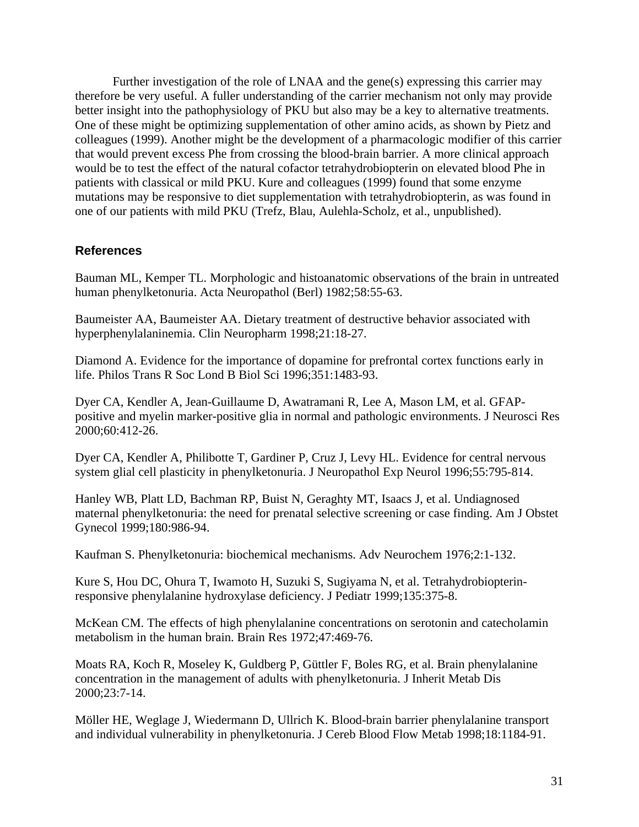Further investigation of the role of LNAA and the gene(s) expressing this carrier may therefore be very useful. A fuller understanding of the carrier mechanism not only may provide better insight into the pathophysiology of PKU but also may be a key to alternative treatments. One of these might be optimizing supplementation of other amino acids, as shown by Pietz and colleagues (1999). Another might be the development of a pharmacologic modifier of this carrier that would prevent excess Phe from crossing the blood-brain barrier. A more clinical approach would be to test the effect of the natural cofactor tetrahydrobiopterin on elevated blood Phe in patients with classical or mild PKU. Kure and colleagues (1999) found that some enzyme mutations may be responsive to diet supplementation with tetrahydrobiopterin, as was found in one of our patients with mild PKU (Trefz, Blau, Aulehla-Scholz, et al., unpublished).

#### **References**

Bauman ML, Kemper TL. Morphologic and histoanatomic observations of the brain in untreated human phenylketonuria. Acta Neuropathol (Berl) 1982;58:55-63.

Baumeister AA, Baumeister AA. Dietary treatment of destructive behavior associated with hyperphenylalaninemia. Clin Neuropharm 1998;21:18-27.

Diamond A. Evidence for the importance of dopamine for prefrontal cortex functions early in life. Philos Trans R Soc Lond B Biol Sci 1996;351:1483-93.

Dyer CA, Kendler A, Jean-Guillaume D, Awatramani R, Lee A, Mason LM, et al. GFAPpositive and myelin marker-positive glia in normal and pathologic environments. J Neurosci Res 2000;60:412-26.

Dyer CA, Kendler A, Philibotte T, Gardiner P, Cruz J, Levy HL. Evidence for central nervous system glial cell plasticity in phenylketonuria. J Neuropathol Exp Neurol 1996;55:795-814.

Hanley WB, Platt LD, Bachman RP, Buist N, Geraghty MT, Isaacs J, et al. Undiagnosed maternal phenylketonuria: the need for prenatal selective screening or case finding. Am J Obstet Gynecol 1999;180:986-94.

Kaufman S. Phenylketonuria: biochemical mechanisms. Adv Neurochem 1976;2:1-132.

Kure S, Hou DC, Ohura T, Iwamoto H, Suzuki S, Sugiyama N, et al. Tetrahydrobiopterinresponsive phenylalanine hydroxylase deficiency. J Pediatr 1999;135:375-8.

McKean CM. The effects of high phenylalanine concentrations on serotonin and catecholamin metabolism in the human brain. Brain Res 1972;47:469-76.

Moats RA, Koch R, Moseley K, Guldberg P, Güttler F, Boles RG, et al. Brain phenylalanine concentration in the management of adults with phenylketonuria. J Inherit Metab Dis 2000;23:7-14.

Möller HE, Weglage J, Wiedermann D, Ullrich K. Blood-brain barrier phenylalanine transport and individual vulnerability in phenylketonuria. J Cereb Blood Flow Metab 1998;18:1184-91.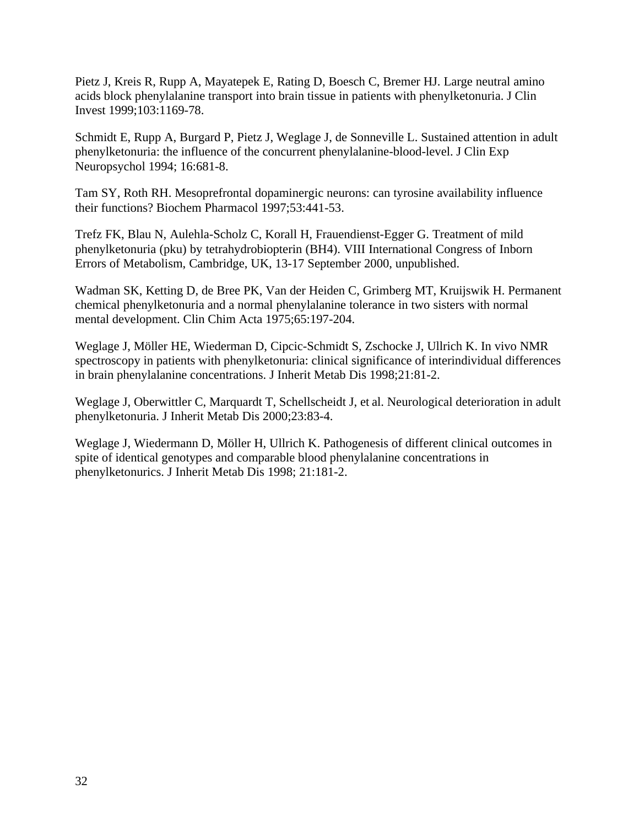Pietz J, Kreis R, Rupp A, Mayatepek E, Rating D, Boesch C, Bremer HJ. Large neutral amino acids block phenylalanine transport into brain tissue in patients with phenylketonuria. J Clin Invest 1999;103:1169-78.

Schmidt E, Rupp A, Burgard P, Pietz J, Weglage J, de Sonneville L. Sustained attention in adult phenylketonuria: the influence of the concurrent phenylalanine-blood-level. J Clin Exp Neuropsychol 1994; 16:681-8.

Tam SY, Roth RH. Mesoprefrontal dopaminergic neurons: can tyrosine availability influence their functions? Biochem Pharmacol 1997;53:441-53.

Trefz FK, Blau N, Aulehla-Scholz C, Korall H, Frauendienst-Egger G. Treatment of mild phenylketonuria (pku) by tetrahydrobiopterin (BH4). VIII International Congress of Inborn Errors of Metabolism, Cambridge, UK, 13-17 September 2000, unpublished.

Wadman SK, Ketting D, de Bree PK, Van der Heiden C, Grimberg MT, Kruijswik H. Permanent chemical phenylketonuria and a normal phenylalanine tolerance in two sisters with normal mental development. Clin Chim Acta 1975;65:197-204.

Weglage J, Möller HE, Wiederman D, Cipcic-Schmidt S, Zschocke J, Ullrich K. In vivo NMR spectroscopy in patients with phenylketonuria: clinical significance of interindividual differences in brain phenylalanine concentrations. J Inherit Metab Dis 1998;21:81-2.

Weglage J, Oberwittler C, Marquardt T, Schellscheidt J, et al. Neurological deterioration in adult phenylketonuria. J Inherit Metab Dis 2000;23:83-4.

Weglage J, Wiedermann D, Möller H, Ullrich K. Pathogenesis of different clinical outcomes in spite of identical genotypes and comparable blood phenylalanine concentrations in phenylketonurics. J Inherit Metab Dis 1998; 21:181-2.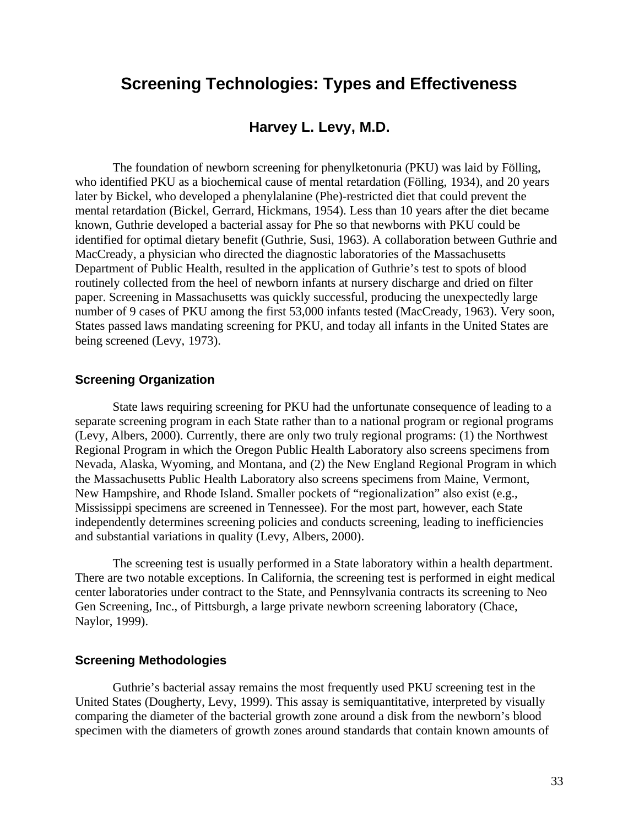## **Screening Technologies: Types and Effectiveness**

## **Harvey L. Levy, M.D.**

The foundation of newborn screening for phenylketonuria (PKU) was laid by Fölling, who identified PKU as a biochemical cause of mental retardation (Fölling, 1934), and 20 years later by Bickel, who developed a phenylalanine (Phe)-restricted diet that could prevent the mental retardation (Bickel, Gerrard, Hickmans, 1954). Less than 10 years after the diet became known, Guthrie developed a bacterial assay for Phe so that newborns with PKU could be identified for optimal dietary benefit (Guthrie, Susi, 1963). A collaboration between Guthrie and MacCready, a physician who directed the diagnostic laboratories of the Massachusetts Department of Public Health, resulted in the application of Guthrie's test to spots of blood routinely collected from the heel of newborn infants at nursery discharge and dried on filter paper. Screening in Massachusetts was quickly successful, producing the unexpectedly large number of 9 cases of PKU among the first 53,000 infants tested (MacCready, 1963). Very soon, States passed laws mandating screening for PKU, and today all infants in the United States are being screened (Levy, 1973).

#### **Screening Organization**

State laws requiring screening for PKU had the unfortunate consequence of leading to a separate screening program in each State rather than to a national program or regional programs (Levy, Albers, 2000). Currently, there are only two truly regional programs: (1) the Northwest Regional Program in which the Oregon Public Health Laboratory also screens specimens from Nevada, Alaska, Wyoming, and Montana, and (2) the New England Regional Program in which the Massachusetts Public Health Laboratory also screens specimens from Maine, Vermont, New Hampshire, and Rhode Island. Smaller pockets of "regionalization" also exist (e.g., Mississippi specimens are screened in Tennessee). For the most part, however, each State independently determines screening policies and conducts screening, leading to inefficiencies and substantial variations in quality (Levy, Albers, 2000).

The screening test is usually performed in a State laboratory within a health department. There are two notable exceptions. In California, the screening test is performed in eight medical center laboratories under contract to the State, and Pennsylvania contracts its screening to Neo Gen Screening, Inc., of Pittsburgh, a large private newborn screening laboratory (Chace, Naylor, 1999).

#### **Screening Methodologies**

Guthrie's bacterial assay remains the most frequently used PKU screening test in the United States (Dougherty, Levy, 1999). This assay is semiquantitative, interpreted by visually comparing the diameter of the bacterial growth zone around a disk from the newborn's blood specimen with the diameters of growth zones around standards that contain known amounts of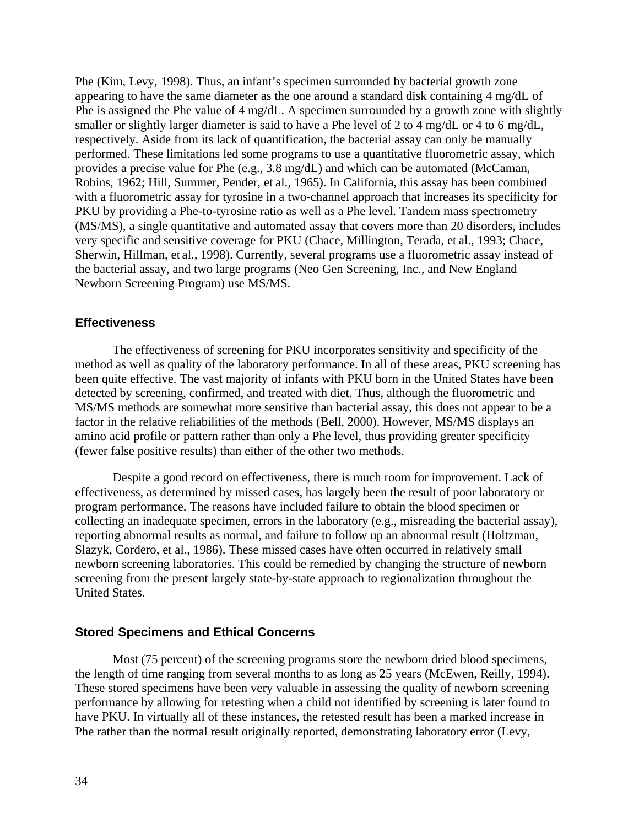Phe (Kim, Levy, 1998). Thus, an infant's specimen surrounded by bacterial growth zone appearing to have the same diameter as the one around a standard disk containing 4 mg/dL of Phe is assigned the Phe value of 4 mg/dL. A specimen surrounded by a growth zone with slightly smaller or slightly larger diameter is said to have a Phe level of 2 to 4 mg/dL or 4 to 6 mg/dL, respectively. Aside from its lack of quantification, the bacterial assay can only be manually performed. These limitations led some programs to use a quantitative fluorometric assay, which provides a precise value for Phe (e.g., 3.8 mg/dL) and which can be automated (McCaman, Robins, 1962; Hill, Summer, Pender, et al., 1965). In California, this assay has been combined with a fluorometric assay for tyrosine in a two-channel approach that increases its specificity for PKU by providing a Phe-to-tyrosine ratio as well as a Phe level. Tandem mass spectrometry (MS/MS), a single quantitative and automated assay that covers more than 20 disorders, includes very specific and sensitive coverage for PKU (Chace, Millington, Terada, et al., 1993; Chace, Sherwin, Hillman, et al., 1998). Currently, several programs use a fluorometric assay instead of the bacterial assay, and two large programs (Neo Gen Screening, Inc., and New England Newborn Screening Program) use MS/MS.

#### **Effectiveness**

The effectiveness of screening for PKU incorporates sensitivity and specificity of the method as well as quality of the laboratory performance. In all of these areas, PKU screening has been quite effective. The vast majority of infants with PKU born in the United States have been detected by screening, confirmed, and treated with diet. Thus, although the fluorometric and MS/MS methods are somewhat more sensitive than bacterial assay, this does not appear to be a factor in the relative reliabilities of the methods (Bell, 2000). However, MS/MS displays an amino acid profile or pattern rather than only a Phe level, thus providing greater specificity (fewer false positive results) than either of the other two methods.

Despite a good record on effectiveness, there is much room for improvement. Lack of effectiveness, as determined by missed cases, has largely been the result of poor laboratory or program performance. The reasons have included failure to obtain the blood specimen or collecting an inadequate specimen, errors in the laboratory (e.g., misreading the bacterial assay), reporting abnormal results as normal, and failure to follow up an abnormal result (Holtzman, Slazyk, Cordero, et al., 1986). These missed cases have often occurred in relatively small newborn screening laboratories. This could be remedied by changing the structure of newborn screening from the present largely state-by-state approach to regionalization throughout the United States.

#### **Stored Specimens and Ethical Concerns**

Most (75 percent) of the screening programs store the newborn dried blood specimens, the length of time ranging from several months to as long as 25 years (McEwen, Reilly, 1994). These stored specimens have been very valuable in assessing the quality of newborn screening performance by allowing for retesting when a child not identified by screening is later found to have PKU. In virtually all of these instances, the retested result has been a marked increase in Phe rather than the normal result originally reported, demonstrating laboratory error (Levy,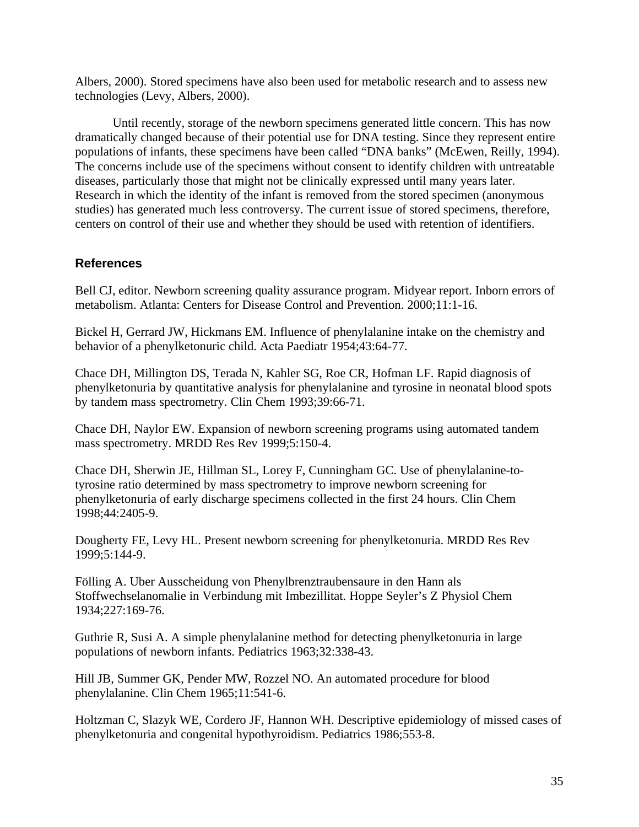Albers, 2000). Stored specimens have also been used for metabolic research and to assess new technologies (Levy, Albers, 2000).

Until recently, storage of the newborn specimens generated little concern. This has now dramatically changed because of their potential use for DNA testing. Since they represent entire populations of infants, these specimens have been called "DNA banks" (McEwen, Reilly, 1994). The concerns include use of the specimens without consent to identify children with untreatable diseases, particularly those that might not be clinically expressed until many years later. Research in which the identity of the infant is removed from the stored specimen (anonymous studies) has generated much less controversy. The current issue of stored specimens, therefore, centers on control of their use and whether they should be used with retention of identifiers.

#### **References**

Bell CJ, editor. Newborn screening quality assurance program. Midyear report. Inborn errors of metabolism. Atlanta: Centers for Disease Control and Prevention. 2000;11:1-16.

Bickel H, Gerrard JW, Hickmans EM. Influence of phenylalanine intake on the chemistry and behavior of a phenylketonuric child. Acta Paediatr 1954;43:64-77.

Chace DH, Millington DS, Terada N, Kahler SG, Roe CR, Hofman LF. Rapid diagnosis of phenylketonuria by quantitative analysis for phenylalanine and tyrosine in neonatal blood spots by tandem mass spectrometry. Clin Chem 1993;39:66-71.

Chace DH, Naylor EW. Expansion of newborn screening programs using automated tandem mass spectrometry. MRDD Res Rev 1999;5:150-4.

Chace DH, Sherwin JE, Hillman SL, Lorey F, Cunningham GC. Use of phenylalanine-totyrosine ratio determined by mass spectrometry to improve newborn screening for phenylketonuria of early discharge specimens collected in the first 24 hours. Clin Chem 1998;44:2405-9.

Dougherty FE, Levy HL. Present newborn screening for phenylketonuria. MRDD Res Rev 1999;5:144-9.

Fölling A. Uber Ausscheidung von Phenylbrenztraubensaure in den Hann als Stoffwechselanomalie in Verbindung mit Imbezillitat. Hoppe Seyler's Z Physiol Chem 1934;227:169-76.

Guthrie R, Susi A. A simple phenylalanine method for detecting phenylketonuria in large populations of newborn infants. Pediatrics 1963;32:338-43.

Hill JB, Summer GK, Pender MW, Rozzel NO. An automated procedure for blood phenylalanine. Clin Chem 1965;11:541-6.

Holtzman C, Slazyk WE, Cordero JF, Hannon WH. Descriptive epidemiology of missed cases of phenylketonuria and congenital hypothyroidism. Pediatrics 1986;553-8.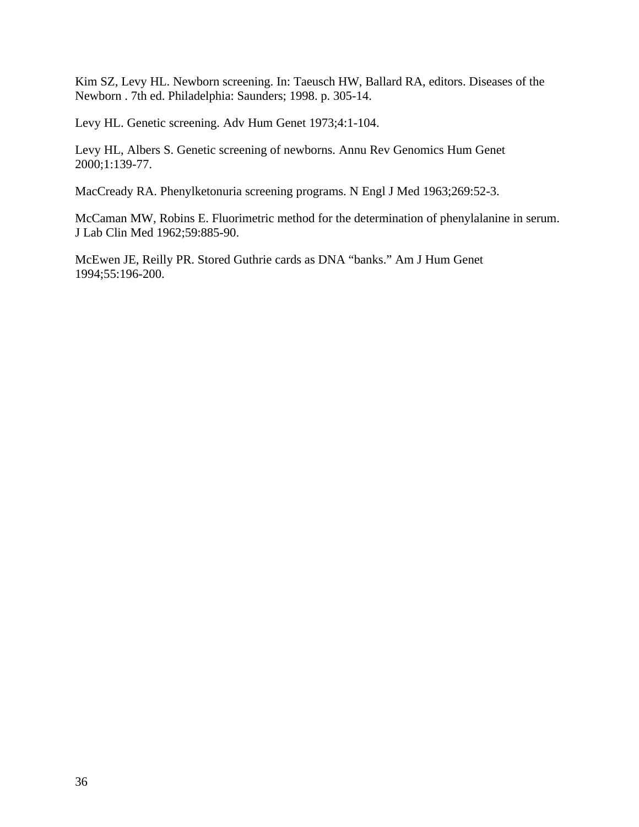Kim SZ, Levy HL. Newborn screening. In: Taeusch HW, Ballard RA, editors. Diseases of the Newborn . 7th ed. Philadelphia: Saunders; 1998. p. 305-14.

Levy HL. Genetic screening. Adv Hum Genet 1973;4:1-104.

Levy HL, Albers S. Genetic screening of newborns. Annu Rev Genomics Hum Genet 2000;1:139-77.

MacCready RA. Phenylketonuria screening programs. N Engl J Med 1963;269:52-3.

McCaman MW, Robins E. Fluorimetric method for the determination of phenylalanine in serum. J Lab Clin Med 1962;59:885-90.

McEwen JE, Reilly PR. Stored Guthrie cards as DNA "banks." Am J Hum Genet 1994;55:196-200.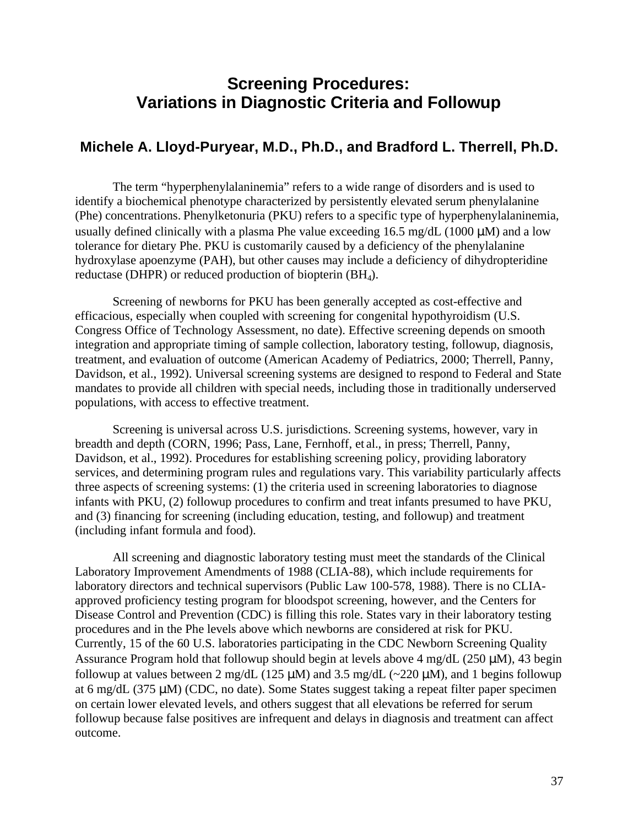# **Screening Procedures: Variations in Diagnostic Criteria and Followup**

# **Michele A. Lloyd-Puryear, M.D., Ph.D., and Bradford L. Therrell, Ph.D.**

The term "hyperphenylalaninemia" refers to a wide range of disorders and is used to identify a biochemical phenotype characterized by persistently elevated serum phenylalanine (Phe) concentrations. Phenylketonuria (PKU) refers to a specific type of hyperphenylalaninemia, usually defined clinically with a plasma Phe value exceeding  $16.5 \text{ mg/dL}$  (1000 µM) and a low tolerance for dietary Phe. PKU is customarily caused by a deficiency of the phenylalanine hydroxylase apoenzyme (PAH), but other causes may include a deficiency of dihydropteridine reductase (DHPR) or reduced production of biopterin (BH<sub>4</sub>).

Screening of newborns for PKU has been generally accepted as cost-effective and efficacious, especially when coupled with screening for congenital hypothyroidism (U.S. Congress Office of Technology Assessment, no date). Effective screening depends on smooth integration and appropriate timing of sample collection, laboratory testing, followup, diagnosis, treatment, and evaluation of outcome (American Academy of Pediatrics, 2000; Therrell, Panny, Davidson, et al., 1992). Universal screening systems are designed to respond to Federal and State mandates to provide all children with special needs, including those in traditionally underserved populations, with access to effective treatment.

Screening is universal across U.S. jurisdictions. Screening systems, however, vary in breadth and depth (CORN, 1996; Pass, Lane, Fernhoff, et al., in press; Therrell, Panny, Davidson, et al., 1992). Procedures for establishing screening policy, providing laboratory services, and determining program rules and regulations vary. This variability particularly affects three aspects of screening systems: (1) the criteria used in screening laboratories to diagnose infants with PKU, (2) followup procedures to confirm and treat infants presumed to have PKU, and (3) financing for screening (including education, testing, and followup) and treatment (including infant formula and food).

All screening and diagnostic laboratory testing must meet the standards of the Clinical Laboratory Improvement Amendments of 1988 (CLIA-88), which include requirements for laboratory directors and technical supervisors (Public Law 100-578, 1988). There is no CLIAapproved proficiency testing program for bloodspot screening, however, and the Centers for Disease Control and Prevention (CDC) is filling this role. States vary in their laboratory testing procedures and in the Phe levels above which newborns are considered at risk for PKU. Currently, 15 of the 60 U.S. laboratories participating in the CDC Newborn Screening Quality Assurance Program hold that followup should begin at levels above  $4 \text{ mg/dL}$  (250 µM), 43 begin followup at values between 2 mg/dL (125  $\mu$ M) and 3.5 mg/dL (~220  $\mu$ M), and 1 begins followup at 6 mg/dL (375  $\mu$ M) (CDC, no date). Some States suggest taking a repeat filter paper specimen on certain lower elevated levels, and others suggest that all elevations be referred for serum followup because false positives are infrequent and delays in diagnosis and treatment can affect outcome.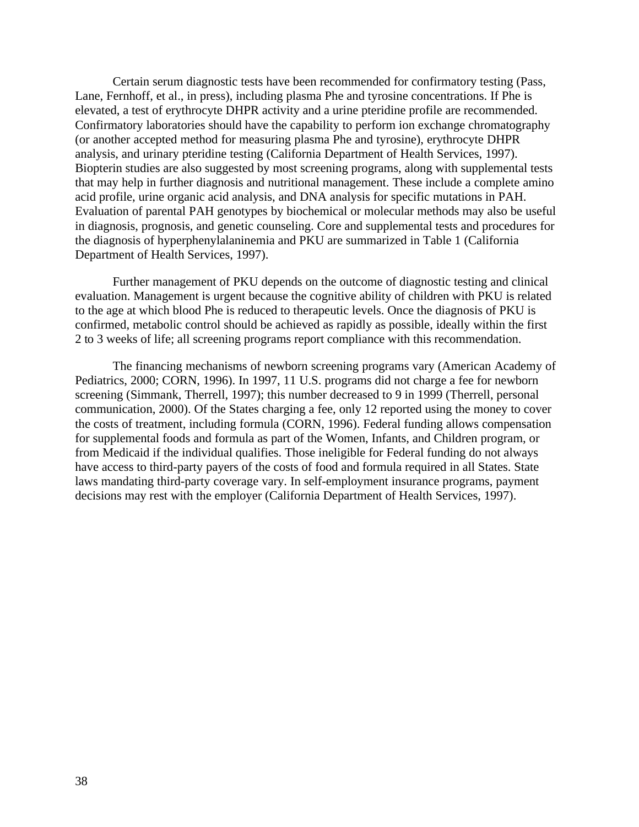Certain serum diagnostic tests have been recommended for confirmatory testing (Pass, Lane, Fernhoff, et al., in press), including plasma Phe and tyrosine concentrations. If Phe is elevated, a test of erythrocyte DHPR activity and a urine pteridine profile are recommended. Confirmatory laboratories should have the capability to perform ion exchange chromatography (or another accepted method for measuring plasma Phe and tyrosine), erythrocyte DHPR analysis, and urinary pteridine testing (California Department of Health Services, 1997). Biopterin studies are also suggested by most screening programs, along with supplemental tests that may help in further diagnosis and nutritional management. These include a complete amino acid profile, urine organic acid analysis, and DNA analysis for specific mutations in PAH. Evaluation of parental PAH genotypes by biochemical or molecular methods may also be useful in diagnosis, prognosis, and genetic counseling. Core and supplemental tests and procedures for the diagnosis of hyperphenylalaninemia and PKU are summarized in Table 1 (California Department of Health Services, 1997).

Further management of PKU depends on the outcome of diagnostic testing and clinical evaluation. Management is urgent because the cognitive ability of children with PKU is related to the age at which blood Phe is reduced to therapeutic levels. Once the diagnosis of PKU is confirmed, metabolic control should be achieved as rapidly as possible, ideally within the first 2 to 3 weeks of life; all screening programs report compliance with this recommendation.

The financing mechanisms of newborn screening programs vary (American Academy of Pediatrics, 2000; CORN, 1996). In 1997, 11 U.S. programs did not charge a fee for newborn screening (Simmank, Therrell, 1997); this number decreased to 9 in 1999 (Therrell, personal communication, 2000). Of the States charging a fee, only 12 reported using the money to cover the costs of treatment, including formula (CORN, 1996). Federal funding allows compensation for supplemental foods and formula as part of the Women, Infants, and Children program, or from Medicaid if the individual qualifies. Those ineligible for Federal funding do not always have access to third-party payers of the costs of food and formula required in all States. State laws mandating third-party coverage vary. In self-employment insurance programs, payment decisions may rest with the employer (California Department of Health Services, 1997).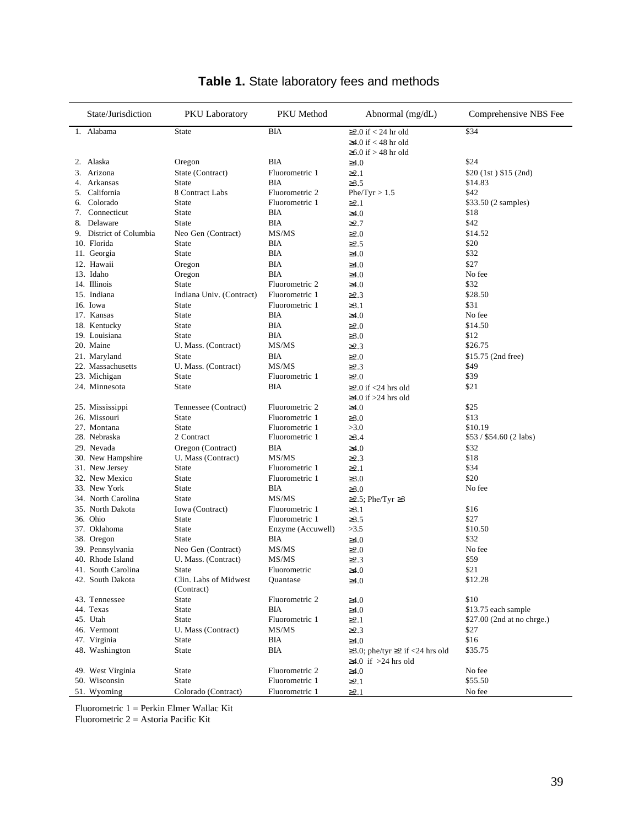| State/Jurisdiction      | PKU Laboratory                      | PKU Method        | Abnormal $(mg/dL)$                          | Comprehensive NBS Fee      |
|-------------------------|-------------------------------------|-------------------|---------------------------------------------|----------------------------|
| Alabama<br>1.           | State                               | <b>BIA</b>        | $\geq$ 2.0 if < 24 hr old                   | \$34                       |
|                         |                                     |                   | ≥4.0 if < 48 hr old                         |                            |
|                         |                                     |                   | $\geq 6.0$ if $> 48$ hr old                 |                            |
| 2. Alaska               | Oregon                              | BIA               | $\geq 4.0$                                  | \$24                       |
| Arizona<br>3.           | State (Contract)                    | Fluorometric 1    | $\geq 2.1$                                  | $$20$ (1st) \$15 (2nd)     |
| Arkansas<br>4.          | State                               | <b>BIA</b>        | $\geq 3.5$                                  | \$14.83                    |
| 5. California           | 8 Contract Labs                     | Fluorometric 2    | Phe/Tyr > 1.5                               | \$42                       |
| Colorado<br>6.          | <b>State</b>                        | Fluorometric 1    | $\geq 2.1$                                  | \$33.50 (2 samples)        |
| Connecticut<br>7.       | <b>State</b>                        | BIA               | $\geq 4.0$                                  | \$18                       |
| Delaware<br>8.          | <b>State</b>                        | ВIА               | $\geq$ 2.7                                  | \$42                       |
| 9. District of Columbia | Neo Gen (Contract)                  | MS/MS             | $\geq 2.0$                                  | \$14.52                    |
| 10. Florida             | State                               | <b>BIA</b>        | $\geq$ 2.5                                  | \$20                       |
| 11. Georgia             | <b>State</b>                        | BIA               | $\geq 4.0$                                  | \$32                       |
| 12. Hawaii              | Oregon                              | BIA               | $\geq 4.0$                                  | \$27                       |
| 13. Idaho               | Oregon                              | BIA               | $\geq 4.0$                                  | No fee                     |
| 14. Illinois            | State                               | Fluorometric 2    | $\geq 4.0$                                  | \$32                       |
| 15. Indiana             | Indiana Univ. (Contract)            | Fluorometric 1    | $\geq$ 2.3                                  | \$28.50                    |
| 16. Iowa                | <b>State</b>                        | Fluorometric 1    | $\geq 3.1$                                  | \$31                       |
| 17. Kansas              | <b>State</b>                        | <b>BIA</b>        | $\geq 4.0$                                  | No fee                     |
| 18. Kentucky            | <b>State</b>                        | BIA               | $\geq 2.0$                                  | \$14.50                    |
| 19. Louisiana           | <b>State</b>                        | BIA               | $\geq 3.0$                                  | \$12                       |
| 20. Maine               | U. Mass. (Contract)                 | MS/MS             | $\geq$ 2.3                                  | \$26.75                    |
| 21. Maryland            | State                               | BIA               | $\geq 2.0$                                  | \$15.75 (2nd free)         |
| 22. Massachusetts       | U. Mass. (Contract)                 | MS/MS             | $\geq$ 2.3                                  | \$49                       |
| 23. Michigan            | <b>State</b>                        | Fluorometric 1    | $\geq 2.0$                                  | \$39                       |
| 24. Minnesota           | State                               | BIA               | $\geq$ 2.0 if <24 hrs old                   | \$21                       |
|                         |                                     |                   | $\geq$ 4.0 if $>$ 24 hrs old                |                            |
| 25. Mississippi         | Tennessee (Contract)                | Fluorometric 2    | $\geq 4.0$                                  | \$25                       |
| 26. Missouri            | <b>State</b>                        | Fluorometric 1    | $\geq 3.0$                                  | \$13                       |
| 27. Montana             | <b>State</b>                        | Fluorometric 1    | >3.0                                        | \$10.19                    |
| 28. Nebraska            | 2 Contract                          | Fluorometric 1    | $\geq 3.4$                                  | $$53 / $54.60 (2$ labs)    |
| 29. Nevada              | Oregon (Contract)                   | BIA               | $\geq 4.0$                                  | \$32                       |
| 30. New Hampshire       | U. Mass (Contract)                  | MS/MS             | $\geq$ 2.3                                  | \$18                       |
| 31. New Jersey          | <b>State</b>                        | Fluorometric 1    | $\geq 2.1$                                  | \$34                       |
| 32. New Mexico          | State                               | Fluorometric 1    | $\geq 3.0$                                  | \$20                       |
| 33. New York            | <b>State</b>                        | BIA               | $\geq 3.0$                                  | No fee                     |
| 34. North Carolina      | State                               | MS/MS             | $≥2.5$ ; Phe/Tyr $≥3$                       |                            |
| 35. North Dakota        | Iowa (Contract)                     | Fluorometric 1    | $\geq 3.1$                                  | \$16                       |
| 36. Ohio                | <b>State</b>                        | Fluorometric 1    | $\geq 3.5$                                  | \$27                       |
| 37. Oklahoma            | <b>State</b>                        | Enzyme (Accuwell) | >3.5                                        | \$10.50                    |
| 38. Oregon              | <b>State</b>                        | ВIА               | $\geq 4.0$                                  | \$32                       |
| 39. Pennsylvania        | Neo Gen (Contract)                  | MS/MS             | $\geq 2.0$                                  | No fee                     |
| 40. Rhode Island        | U. Mass. (Contract)                 | MS/MS             | $\geq$ 2.3                                  | \$59                       |
| 41. South Carolina      | State                               | Fluorometric      | $\geq4.0$                                   | \$21                       |
| 42. South Dakota        | Clin. Labs of Midwest<br>(Contract) | Quantase          | $\geq 4.0$                                  | \$12.28                    |
| 43. Tennessee           | State                               | Fluorometric 2    | $\geq 4.0$                                  | \$10                       |
| 44. Texas               | State                               | BIA               | $\geq 4.0$                                  | \$13.75 each sample        |
| 45. Utah                | State                               | Fluorometric 1    | $\geq 2.1$                                  | \$27.00 (2nd at no chrge.) |
| 46. Vermont             | U. Mass (Contract)                  | MS/MS             | $\geq$ 2.3                                  | \$27                       |
| 47. Virginia            | State                               | BIA               | $\geq 4.0$                                  | \$16                       |
| 48. Washington          | State                               | <b>BIA</b>        | $\geq$ 3.0; phe/tyr $\geq$ 2 if <24 hrs old | \$35.75                    |
|                         |                                     |                   | $\geq$ 4.0 if $>$ 24 hrs old                |                            |
| 49. West Virginia       | State                               | Fluorometric 2    | $\geq 4.0$                                  | No fee                     |
| 50. Wisconsin           | State                               | Fluorometric 1    | $\geq 2.1$                                  | \$55.50                    |
| 51. Wyoming             | Colorado (Contract)                 | Fluorometric 1    | $\geq 2.1$                                  | No fee                     |

# **Table 1.** State laboratory fees and methods

Fluorometric 1 = Perkin Elmer Wallac Kit

Fluorometric 2 = Astoria Pacific Kit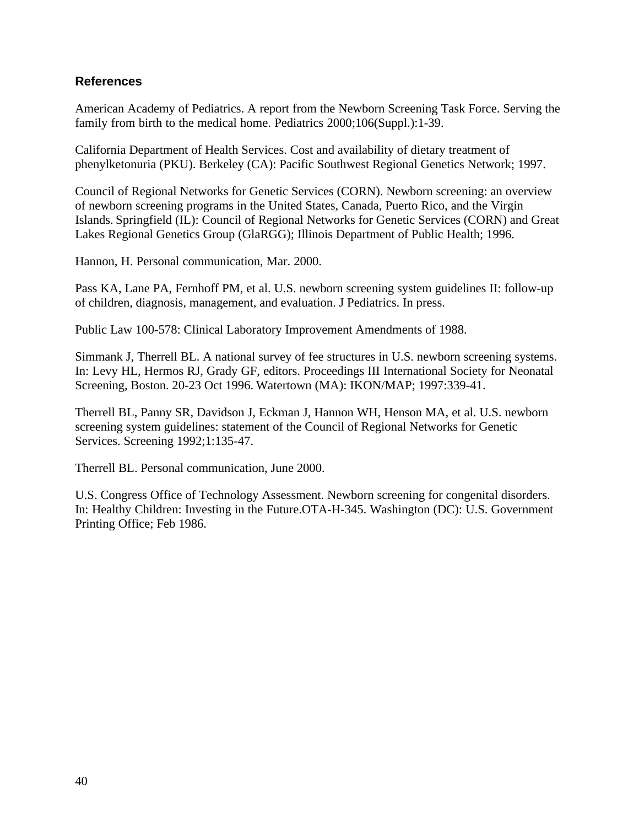### **References**

American Academy of Pediatrics. A report from the Newborn Screening Task Force. Serving the family from birth to the medical home. Pediatrics 2000;106(Suppl.):1-39.

California Department of Health Services. Cost and availability of dietary treatment of phenylketonuria (PKU). Berkeley (CA): Pacific Southwest Regional Genetics Network; 1997.

Council of Regional Networks for Genetic Services (CORN). Newborn screening: an overview of newborn screening programs in the United States, Canada, Puerto Rico, and the Virgin Islands. Springfield (IL): Council of Regional Networks for Genetic Services (CORN) and Great Lakes Regional Genetics Group (GlaRGG); Illinois Department of Public Health; 1996.

Hannon, H. Personal communication, Mar. 2000.

Pass KA, Lane PA, Fernhoff PM, et al. U.S. newborn screening system guidelines II: follow-up of children, diagnosis, management, and evaluation. J Pediatrics. In press.

Public Law 100-578: Clinical Laboratory Improvement Amendments of 1988.

Simmank J, Therrell BL. A national survey of fee structures in U.S. newborn screening systems. In: Levy HL, Hermos RJ, Grady GF, editors. Proceedings III International Society for Neonatal Screening, Boston. 20-23 Oct 1996. Watertown (MA): IKON/MAP; 1997:339-41.

Therrell BL, Panny SR, Davidson J, Eckman J, Hannon WH, Henson MA, et al. U.S. newborn screening system guidelines: statement of the Council of Regional Networks for Genetic Services. Screening 1992;1:135-47.

Therrell BL. Personal communication, June 2000.

U.S. Congress Office of Technology Assessment. Newborn screening for congenital disorders. In: Healthy Children: Investing in the Future.OTA-H-345. Washington (DC): U.S. Government Printing Office; Feb 1986.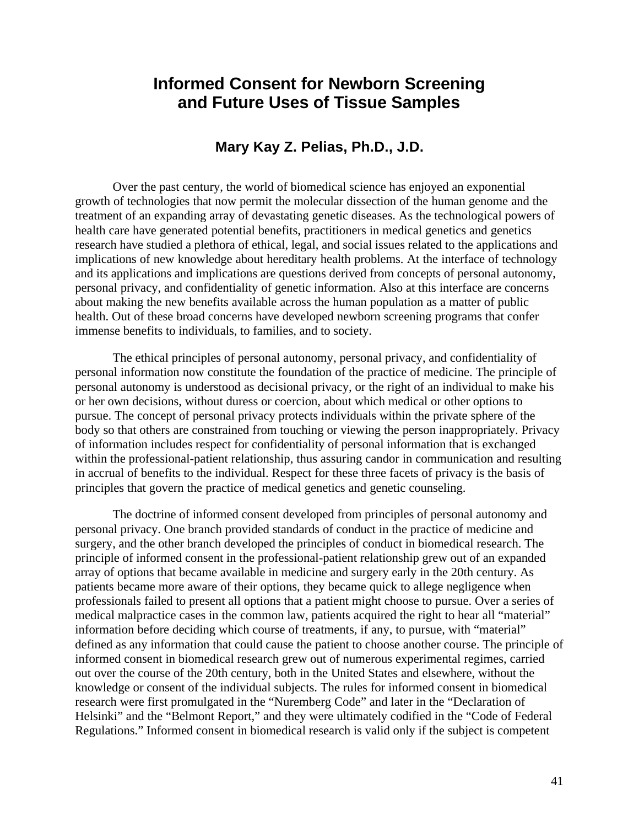# **Informed Consent for Newborn Screening and Future Uses of Tissue Samples**

# **Mary Kay Z. Pelias, Ph.D., J.D.**

Over the past century, the world of biomedical science has enjoyed an exponential growth of technologies that now permit the molecular dissection of the human genome and the treatment of an expanding array of devastating genetic diseases. As the technological powers of health care have generated potential benefits, practitioners in medical genetics and genetics research have studied a plethora of ethical, legal, and social issues related to the applications and implications of new knowledge about hereditary health problems. At the interface of technology and its applications and implications are questions derived from concepts of personal autonomy, personal privacy, and confidentiality of genetic information. Also at this interface are concerns about making the new benefits available across the human population as a matter of public health. Out of these broad concerns have developed newborn screening programs that confer immense benefits to individuals, to families, and to society.

The ethical principles of personal autonomy, personal privacy, and confidentiality of personal information now constitute the foundation of the practice of medicine. The principle of personal autonomy is understood as decisional privacy, or the right of an individual to make his or her own decisions, without duress or coercion, about which medical or other options to pursue. The concept of personal privacy protects individuals within the private sphere of the body so that others are constrained from touching or viewing the person inappropriately. Privacy of information includes respect for confidentiality of personal information that is exchanged within the professional-patient relationship, thus assuring candor in communication and resulting in accrual of benefits to the individual. Respect for these three facets of privacy is the basis of principles that govern the practice of medical genetics and genetic counseling.

The doctrine of informed consent developed from principles of personal autonomy and personal privacy. One branch provided standards of conduct in the practice of medicine and surgery, and the other branch developed the principles of conduct in biomedical research. The principle of informed consent in the professional-patient relationship grew out of an expanded array of options that became available in medicine and surgery early in the 20th century. As patients became more aware of their options, they became quick to allege negligence when professionals failed to present all options that a patient might choose to pursue. Over a series of medical malpractice cases in the common law, patients acquired the right to hear all "material" information before deciding which course of treatments, if any, to pursue, with "material" defined as any information that could cause the patient to choose another course. The principle of informed consent in biomedical research grew out of numerous experimental regimes, carried out over the course of the 20th century, both in the United States and elsewhere, without the knowledge or consent of the individual subjects. The rules for informed consent in biomedical research were first promulgated in the "Nuremberg Code" and later in the "Declaration of Helsinki" and the "Belmont Report," and they were ultimately codified in the "Code of Federal Regulations." Informed consent in biomedical research is valid only if the subject is competent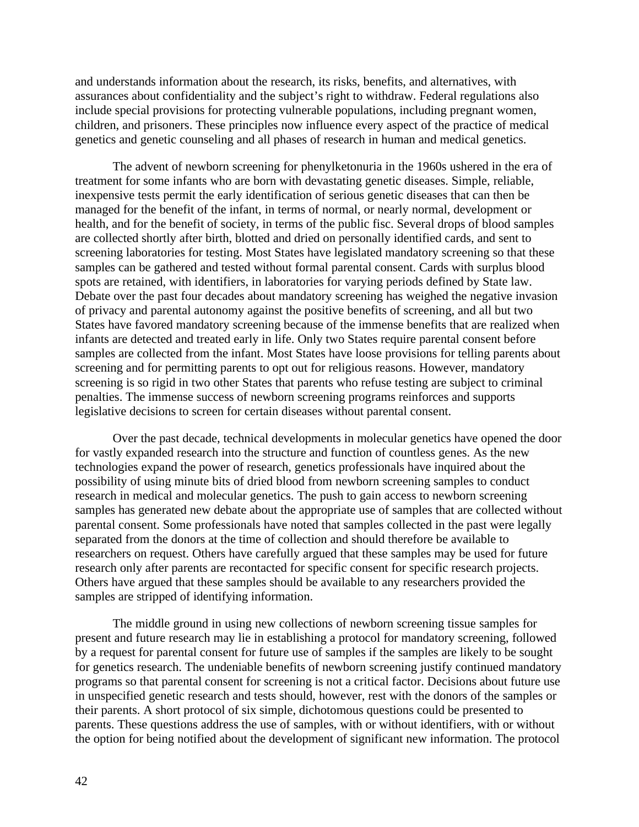and understands information about the research, its risks, benefits, and alternatives, with assurances about confidentiality and the subject's right to withdraw. Federal regulations also include special provisions for protecting vulnerable populations, including pregnant women, children, and prisoners. These principles now influence every aspect of the practice of medical genetics and genetic counseling and all phases of research in human and medical genetics.

The advent of newborn screening for phenylketonuria in the 1960s ushered in the era of treatment for some infants who are born with devastating genetic diseases. Simple, reliable, inexpensive tests permit the early identification of serious genetic diseases that can then be managed for the benefit of the infant, in terms of normal, or nearly normal, development or health, and for the benefit of society, in terms of the public fisc. Several drops of blood samples are collected shortly after birth, blotted and dried on personally identified cards, and sent to screening laboratories for testing. Most States have legislated mandatory screening so that these samples can be gathered and tested without formal parental consent. Cards with surplus blood spots are retained, with identifiers, in laboratories for varying periods defined by State law. Debate over the past four decades about mandatory screening has weighed the negative invasion of privacy and parental autonomy against the positive benefits of screening, and all but two States have favored mandatory screening because of the immense benefits that are realized when infants are detected and treated early in life. Only two States require parental consent before samples are collected from the infant. Most States have loose provisions for telling parents about screening and for permitting parents to opt out for religious reasons. However, mandatory screening is so rigid in two other States that parents who refuse testing are subject to criminal penalties. The immense success of newborn screening programs reinforces and supports legislative decisions to screen for certain diseases without parental consent.

Over the past decade, technical developments in molecular genetics have opened the door for vastly expanded research into the structure and function of countless genes. As the new technologies expand the power of research, genetics professionals have inquired about the possibility of using minute bits of dried blood from newborn screening samples to conduct research in medical and molecular genetics. The push to gain access to newborn screening samples has generated new debate about the appropriate use of samples that are collected without parental consent. Some professionals have noted that samples collected in the past were legally separated from the donors at the time of collection and should therefore be available to researchers on request. Others have carefully argued that these samples may be used for future research only after parents are recontacted for specific consent for specific research projects. Others have argued that these samples should be available to any researchers provided the samples are stripped of identifying information.

The middle ground in using new collections of newborn screening tissue samples for present and future research may lie in establishing a protocol for mandatory screening, followed by a request for parental consent for future use of samples if the samples are likely to be sought for genetics research. The undeniable benefits of newborn screening justify continued mandatory programs so that parental consent for screening is not a critical factor. Decisions about future use in unspecified genetic research and tests should, however, rest with the donors of the samples or their parents. A short protocol of six simple, dichotomous questions could be presented to parents. These questions address the use of samples, with or without identifiers, with or without the option for being notified about the development of significant new information. The protocol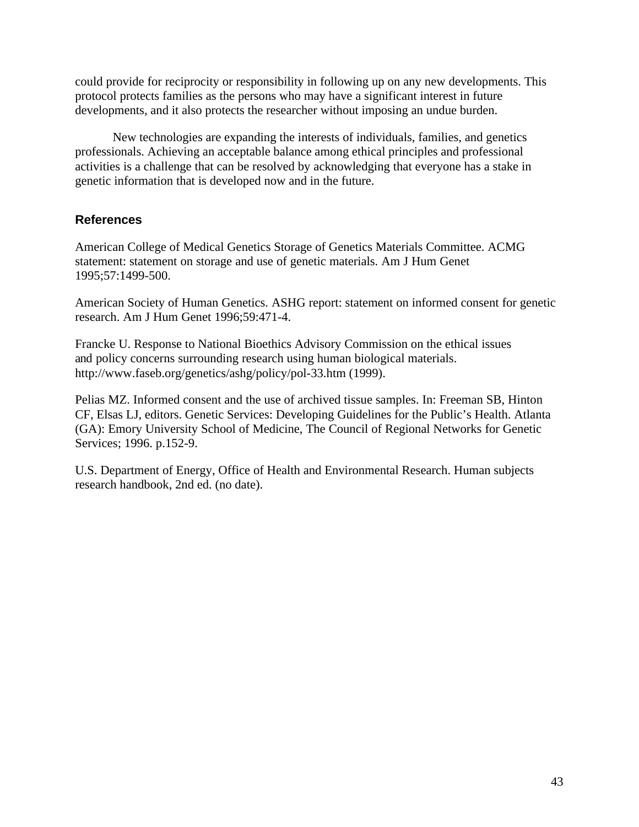could provide for reciprocity or responsibility in following up on any new developments. This protocol protects families as the persons who may have a significant interest in future developments, and it also protects the researcher without imposing an undue burden.

New technologies are expanding the interests of individuals, families, and genetics professionals. Achieving an acceptable balance among ethical principles and professional activities is a challenge that can be resolved by acknowledging that everyone has a stake in genetic information that is developed now and in the future.

## **References**

American College of Medical Genetics Storage of Genetics Materials Committee. ACMG statement: statement on storage and use of genetic materials. Am J Hum Genet 1995;57:1499-500.

American Society of Human Genetics. ASHG report: statement on informed consent for genetic research. Am J Hum Genet 1996;59:471-4.

Francke U. Response to National Bioethics Advisory Commission on the ethical issues and policy concerns surrounding research using human biological materials. http://www.faseb.org/genetics/ashg/policy/pol-33.htm (1999).

Pelias MZ. Informed consent and the use of archived tissue samples. In: Freeman SB, Hinton CF, Elsas LJ, editors. Genetic Services: Developing Guidelines for the Public's Health. Atlanta (GA): Emory University School of Medicine, The Council of Regional Networks for Genetic Services; 1996. p.152-9.

U.S. Department of Energy, Office of Health and Environmental Research. Human subjects research handbook, 2nd ed. (no date).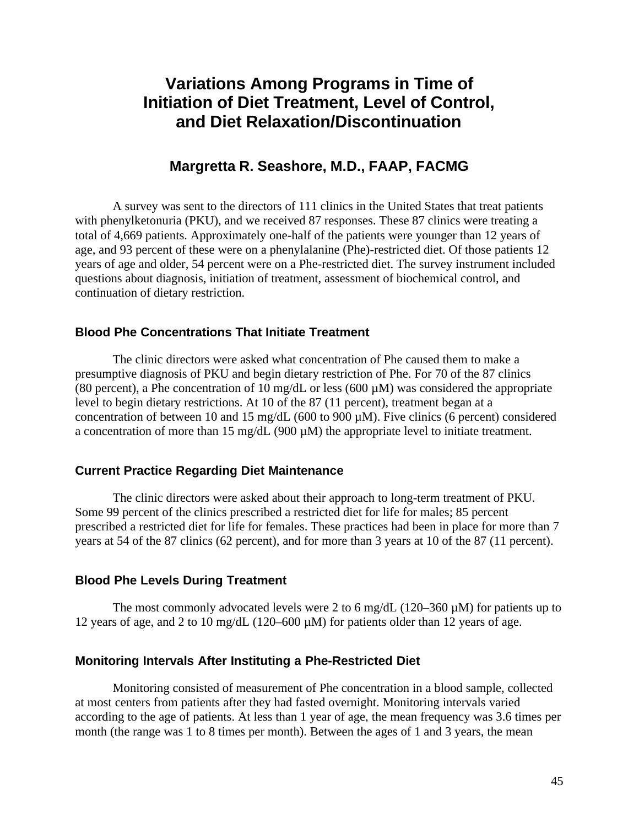# **Variations Among Programs in Time of Initiation of Diet Treatment, Level of Control, and Diet Relaxation/Discontinuation**

# **Margretta R. Seashore, M.D., FAAP, FACMG**

A survey was sent to the directors of 111 clinics in the United States that treat patients with phenylketonuria (PKU), and we received 87 responses. These 87 clinics were treating a total of 4,669 patients. Approximately one-half of the patients were younger than 12 years of age, and 93 percent of these were on a phenylalanine (Phe)-restricted diet. Of those patients 12 years of age and older, 54 percent were on a Phe-restricted diet. The survey instrument included questions about diagnosis, initiation of treatment, assessment of biochemical control, and continuation of dietary restriction.

### **Blood Phe Concentrations That Initiate Treatment**

The clinic directors were asked what concentration of Phe caused them to make a presumptive diagnosis of PKU and begin dietary restriction of Phe. For 70 of the 87 clinics (80 percent), a Phe concentration of 10 mg/dL or less (600  $\mu$ M) was considered the appropriate level to begin dietary restrictions. At 10 of the 87 (11 percent), treatment began at a concentration of between 10 and 15 mg/dL (600 to 900  $\mu$ M). Five clinics (6 percent) considered a concentration of more than 15 mg/dL (900  $\mu$ M) the appropriate level to initiate treatment.

### **Current Practice Regarding Diet Maintenance**

The clinic directors were asked about their approach to long-term treatment of PKU. Some 99 percent of the clinics prescribed a restricted diet for life for males; 85 percent prescribed a restricted diet for life for females. These practices had been in place for more than 7 years at 54 of the 87 clinics (62 percent), and for more than 3 years at 10 of the 87 (11 percent).

### **Blood Phe Levels During Treatment**

The most commonly advocated levels were 2 to 6 mg/dL (120–360  $\mu$ M) for patients up to 12 years of age, and 2 to 10 mg/dL (120–600 µM) for patients older than 12 years of age.

### **Monitoring Intervals After Instituting a Phe-Restricted Diet**

Monitoring consisted of measurement of Phe concentration in a blood sample, collected at most centers from patients after they had fasted overnight. Monitoring intervals varied according to the age of patients. At less than 1 year of age, the mean frequency was 3.6 times per month (the range was 1 to 8 times per month). Between the ages of 1 and 3 years, the mean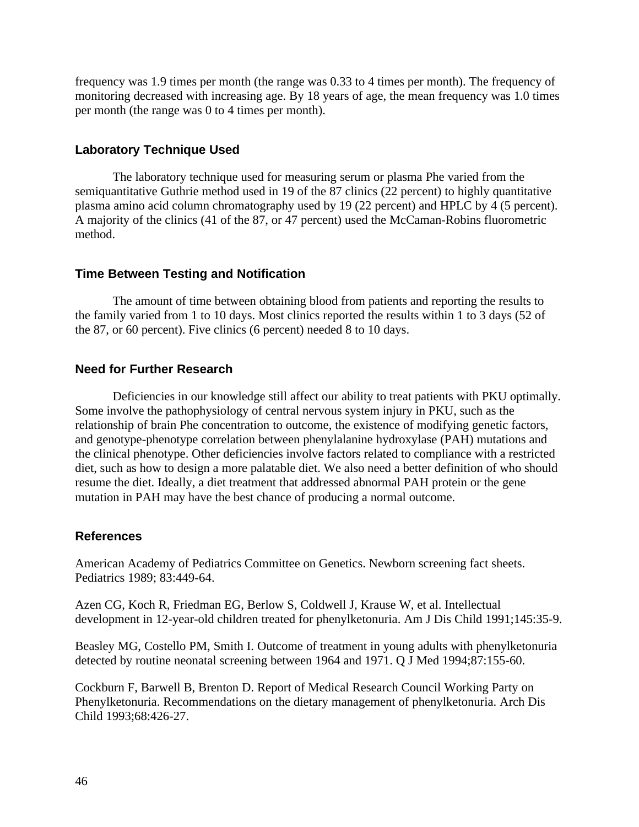frequency was 1.9 times per month (the range was 0.33 to 4 times per month). The frequency of monitoring decreased with increasing age. By 18 years of age, the mean frequency was 1.0 times per month (the range was 0 to 4 times per month).

### **Laboratory Technique Used**

The laboratory technique used for measuring serum or plasma Phe varied from the semiquantitative Guthrie method used in 19 of the 87 clinics (22 percent) to highly quantitative plasma amino acid column chromatography used by 19 (22 percent) and HPLC by 4 (5 percent). A majority of the clinics (41 of the 87, or 47 percent) used the McCaman-Robins fluorometric method.

### **Time Between Testing and Notification**

The amount of time between obtaining blood from patients and reporting the results to the family varied from 1 to 10 days. Most clinics reported the results within 1 to 3 days (52 of the 87, or 60 percent). Five clinics (6 percent) needed 8 to 10 days.

## **Need for Further Research**

Deficiencies in our knowledge still affect our ability to treat patients with PKU optimally. Some involve the pathophysiology of central nervous system injury in PKU, such as the relationship of brain Phe concentration to outcome, the existence of modifying genetic factors, and genotype-phenotype correlation between phenylalanine hydroxylase (PAH) mutations and the clinical phenotype. Other deficiencies involve factors related to compliance with a restricted diet, such as how to design a more palatable diet. We also need a better definition of who should resume the diet. Ideally, a diet treatment that addressed abnormal PAH protein or the gene mutation in PAH may have the best chance of producing a normal outcome.

### **References**

American Academy of Pediatrics Committee on Genetics. Newborn screening fact sheets. Pediatrics 1989; 83:449-64.

Azen CG, Koch R, Friedman EG, Berlow S, Coldwell J, Krause W, et al. Intellectual development in 12-year-old children treated for phenylketonuria. Am J Dis Child 1991;145:35-9.

Beasley MG, Costello PM, Smith I. Outcome of treatment in young adults with phenylketonuria detected by routine neonatal screening between 1964 and 1971. Q J Med 1994;87:155-60.

Cockburn F, Barwell B, Brenton D. Report of Medical Research Council Working Party on Phenylketonuria. Recommendations on the dietary management of phenylketonuria. Arch Dis Child 1993;68:426-27.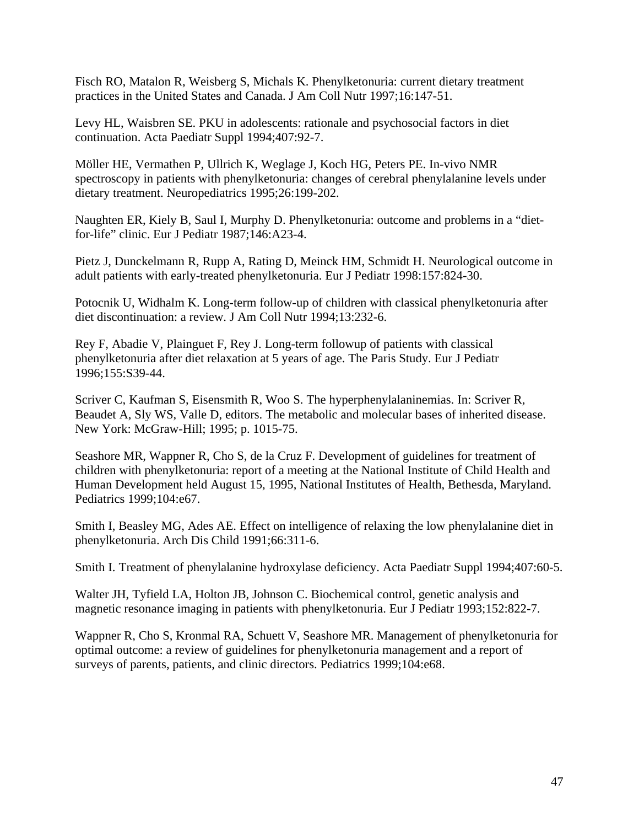Fisch RO, Matalon R, Weisberg S, Michals K. Phenylketonuria: current dietary treatment practices in the United States and Canada. J Am Coll Nutr 1997;16:147-51.

Levy HL, Waisbren SE. PKU in adolescents: rationale and psychosocial factors in diet continuation. Acta Paediatr Suppl 1994;407:92-7.

Möller HE, Vermathen P, Ullrich K, Weglage J, Koch HG, Peters PE. In-vivo NMR spectroscopy in patients with phenylketonuria: changes of cerebral phenylalanine levels under dietary treatment. Neuropediatrics 1995;26:199-202.

Naughten ER, Kiely B, Saul I, Murphy D. Phenylketonuria: outcome and problems in a "dietfor-life" clinic. Eur J Pediatr 1987;146:A23-4.

Pietz J, Dunckelmann R, Rupp A, Rating D, Meinck HM, Schmidt H. Neurological outcome in adult patients with early-treated phenylketonuria. Eur J Pediatr 1998:157:824-30.

Potocnik U, Widhalm K. Long-term follow-up of children with classical phenylketonuria after diet discontinuation: a review. J Am Coll Nutr 1994;13:232-6.

Rey F, Abadie V, Plainguet F, Rey J. Long-term followup of patients with classical phenylketonuria after diet relaxation at 5 years of age. The Paris Study. Eur J Pediatr 1996;155:S39-44.

Scriver C, Kaufman S, Eisensmith R, Woo S. The hyperphenylalaninemias. In: Scriver R, Beaudet A, Sly WS, Valle D, editors. The metabolic and molecular bases of inherited disease. New York: McGraw-Hill; 1995; p. 1015-75.

Seashore MR, Wappner R, Cho S, de la Cruz F. Development of guidelines for treatment of children with phenylketonuria: report of a meeting at the National Institute of Child Health and Human Development held August 15, 1995, National Institutes of Health, Bethesda, Maryland. Pediatrics 1999;104:e67.

Smith I, Beasley MG, Ades AE. Effect on intelligence of relaxing the low phenylalanine diet in phenylketonuria. Arch Dis Child 1991;66:311-6.

Smith I. Treatment of phenylalanine hydroxylase deficiency. Acta Paediatr Suppl 1994;407:60-5.

Walter JH, Tyfield LA, Holton JB, Johnson C. Biochemical control, genetic analysis and magnetic resonance imaging in patients with phenylketonuria. Eur J Pediatr 1993;152:822-7.

Wappner R, Cho S, Kronmal RA, Schuett V, Seashore MR. Management of phenylketonuria for optimal outcome: a review of guidelines for phenylketonuria management and a report of surveys of parents, patients, and clinic directors. Pediatrics 1999;104:e68.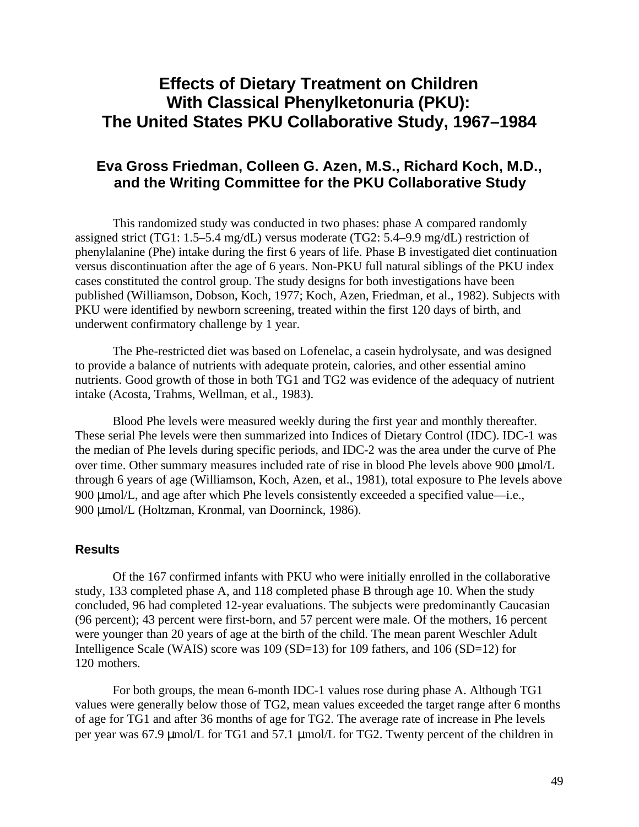# **Effects of Dietary Treatment on Children With Classical Phenylketonuria (PKU): The United States PKU Collaborative Study, 1967–1984**

# **Eva Gross Friedman, Colleen G. Azen, M.S., Richard Koch, M.D., and the Writing Committee for the PKU Collaborative Study**

This randomized study was conducted in two phases: phase A compared randomly assigned strict (TG1: 1.5–5.4 mg/dL) versus moderate (TG2: 5.4–9.9 mg/dL) restriction of phenylalanine (Phe) intake during the first 6 years of life. Phase B investigated diet continuation versus discontinuation after the age of 6 years. Non-PKU full natural siblings of the PKU index cases constituted the control group. The study designs for both investigations have been published (Williamson, Dobson, Koch, 1977; Koch, Azen, Friedman, et al., 1982). Subjects with PKU were identified by newborn screening, treated within the first 120 days of birth, and underwent confirmatory challenge by 1 year.

The Phe-restricted diet was based on Lofenelac, a casein hydrolysate, and was designed to provide a balance of nutrients with adequate protein, calories, and other essential amino nutrients. Good growth of those in both TG1 and TG2 was evidence of the adequacy of nutrient intake (Acosta, Trahms, Wellman, et al., 1983).

Blood Phe levels were measured weekly during the first year and monthly thereafter. These serial Phe levels were then summarized into Indices of Dietary Control (IDC). IDC-1 was the median of Phe levels during specific periods, and IDC-2 was the area under the curve of Phe over time. Other summary measures included rate of rise in blood Phe levels above 900  $\mu$ mol/L through 6 years of age (Williamson, Koch, Azen, et al., 1981), total exposure to Phe levels above 900 µmol/L, and age after which Phe levels consistently exceeded a specified value—i.e., 900 μmol/L (Holtzman, Kronmal, van Doorninck, 1986).

#### **Results**

Of the 167 confirmed infants with PKU who were initially enrolled in the collaborative study, 133 completed phase A, and 118 completed phase B through age 10. When the study concluded, 96 had completed 12-year evaluations. The subjects were predominantly Caucasian (96 percent); 43 percent were first-born, and 57 percent were male. Of the mothers, 16 percent were younger than 20 years of age at the birth of the child. The mean parent Weschler Adult Intelligence Scale (WAIS) score was 109 (SD=13) for 109 fathers, and 106 (SD=12) for 120 mothers.

For both groups, the mean 6-month IDC-1 values rose during phase A. Although TG1 values were generally below those of TG2, mean values exceeded the target range after 6 months of age for TG1 and after 36 months of age for TG2. The average rate of increase in Phe levels per year was 67.9 µmol/L for TG1 and 57.1 µmol/L for TG2. Twenty percent of the children in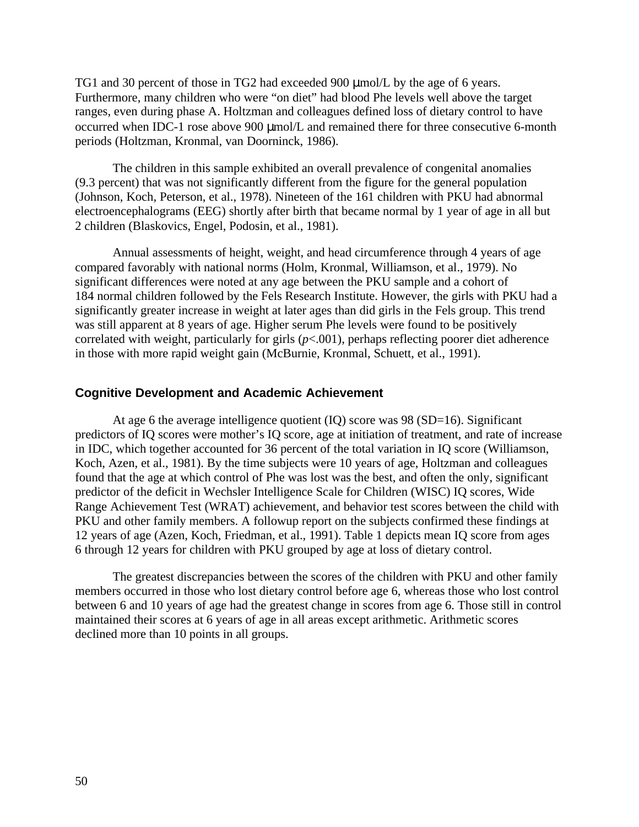TG1 and 30 percent of those in TG2 had exceeded 900  $\mu$ mol/L by the age of 6 years. Furthermore, many children who were "on diet" had blood Phe levels well above the target ranges, even during phase A. Holtzman and colleagues defined loss of dietary control to have occurred when IDC-1 rose above 900  $\mu$ mol/L and remained there for three consecutive 6-month periods (Holtzman, Kronmal, van Doorninck, 1986).

The children in this sample exhibited an overall prevalence of congenital anomalies (9.3 percent) that was not significantly different from the figure for the general population (Johnson, Koch, Peterson, et al., 1978). Nineteen of the 161 children with PKU had abnormal electroencephalograms (EEG) shortly after birth that became normal by 1 year of age in all but 2 children (Blaskovics, Engel, Podosin, et al., 1981).

Annual assessments of height, weight, and head circumference through 4 years of age compared favorably with national norms (Holm, Kronmal, Williamson, et al., 1979). No significant differences were noted at any age between the PKU sample and a cohort of 184 normal children followed by the Fels Research Institute. However, the girls with PKU had a significantly greater increase in weight at later ages than did girls in the Fels group. This trend was still apparent at 8 years of age. Higher serum Phe levels were found to be positively correlated with weight, particularly for girls (*p*<.001), perhaps reflecting poorer diet adherence in those with more rapid weight gain (McBurnie, Kronmal, Schuett, et al., 1991).

#### **Cognitive Development and Academic Achievement**

At age 6 the average intelligence quotient  $(IQ)$  score was 98 (SD=16). Significant predictors of IQ scores were mother's IQ score, age at initiation of treatment, and rate of increase in IDC, which together accounted for 36 percent of the total variation in IQ score (Williamson, Koch, Azen, et al., 1981). By the time subjects were 10 years of age, Holtzman and colleagues found that the age at which control of Phe was lost was the best, and often the only, significant predictor of the deficit in Wechsler Intelligence Scale for Children (WISC) IQ scores, Wide Range Achievement Test (WRAT) achievement, and behavior test scores between the child with PKU and other family members. A followup report on the subjects confirmed these findings at 12 years of age (Azen, Koch, Friedman, et al., 1991). Table 1 depicts mean IQ score from ages 6 through 12 years for children with PKU grouped by age at loss of dietary control.

The greatest discrepancies between the scores of the children with PKU and other family members occurred in those who lost dietary control before age 6, whereas those who lost control between 6 and 10 years of age had the greatest change in scores from age 6. Those still in control maintained their scores at 6 years of age in all areas except arithmetic. Arithmetic scores declined more than 10 points in all groups.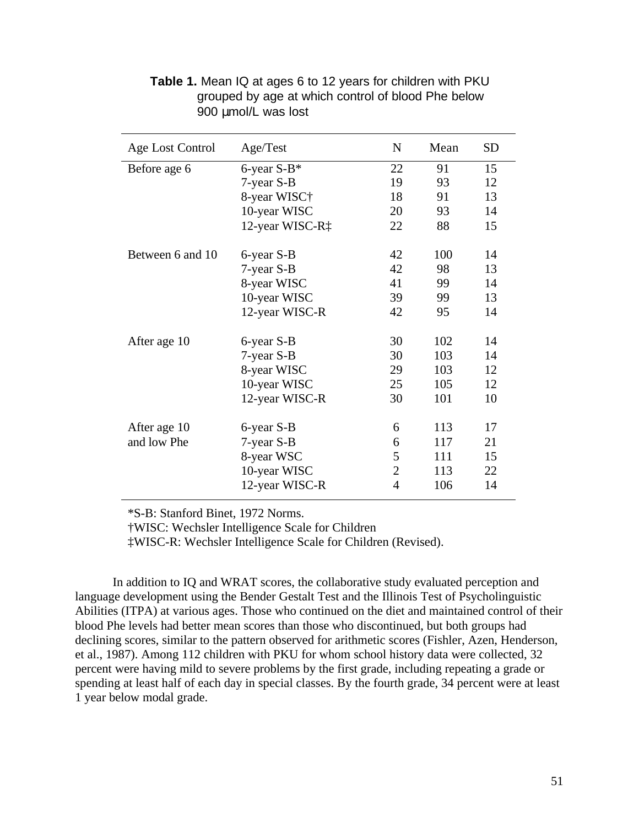| <b>Age Lost Control</b> | Age/Test        | $\mathbf N$    | Mean | <b>SD</b> |
|-------------------------|-----------------|----------------|------|-----------|
| Before age 6            | 6-year $S-B^*$  | 22             | 91   | 15        |
|                         | 7-year S-B      | 19             | 93   | 12        |
|                         | 8-year WISC†    | 18             | 91   | 13        |
|                         | 10-year WISC    | 20             | 93   | 14        |
|                         | 12-year WISC-R‡ | 22             | 88   | 15        |
| Between 6 and 10        | 6-year S-B      | 42             | 100  | 14        |
|                         | 7-year S-B      | 42             | 98   | 13        |
|                         | 8-year WISC     | 41             | 99   | 14        |
|                         | 10-year WISC    | 39             | 99   | 13        |
|                         | 12-year WISC-R  | 42             | 95   | 14        |
| After age 10            | 6-year S-B      | 30             | 102  | 14        |
|                         | 7-year S-B      | 30             | 103  | 14        |
|                         | 8-year WISC     | 29             | 103  | 12        |
|                         | 10-year WISC    | 25             | 105  | 12        |
|                         | 12-year WISC-R  | 30             | 101  | 10        |
| After age 10            | 6-year S-B      | 6              | 113  | 17        |
| and low Phe             | 7-year S-B      | 6              | 117  | 21        |
|                         | 8-year WSC      | 5              | 111  | 15        |
|                         | 10-year WISC    | $\overline{2}$ | 113  | 22        |
|                         | 12-year WISC-R  | $\overline{4}$ | 106  | 14        |

**Table 1.** Mean IQ at ages 6 to 12 years for children with PKU grouped by age at which control of blood Phe below 900 µmol/L was lost

\*S-B: Stanford Binet, 1972 Norms.

†WISC: Wechsler Intelligence Scale for Children

‡WISC-R: Wechsler Intelligence Scale for Children (Revised).

In addition to IQ and WRAT scores, the collaborative study evaluated perception and language development using the Bender Gestalt Test and the Illinois Test of Psycholinguistic Abilities (ITPA) at various ages. Those who continued on the diet and maintained control of their blood Phe levels had better mean scores than those who discontinued, but both groups had declining scores, similar to the pattern observed for arithmetic scores (Fishler, Azen, Henderson, et al., 1987). Among 112 children with PKU for whom school history data were collected, 32 percent were having mild to severe problems by the first grade, including repeating a grade or spending at least half of each day in special classes. By the fourth grade, 34 percent were at least 1 year below modal grade.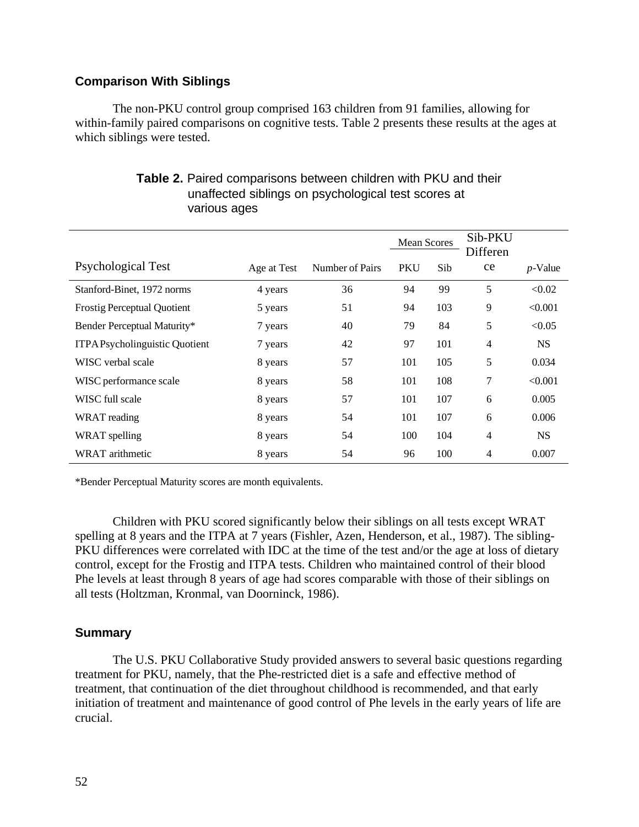## **Comparison With Siblings**

The non-PKU control group comprised 163 children from 91 families, allowing for within-family paired comparisons on cognitive tests. Table 2 presents these results at the ages at which siblings were tested.

|                                      |             |                 | <b>Mean Scores</b> |     | Sib-PKU<br>Differen |            |
|--------------------------------------|-------------|-----------------|--------------------|-----|---------------------|------------|
| <b>Psychological Test</b>            | Age at Test | Number of Pairs | <b>PKU</b>         | Sib | ce                  | $p$ -Value |
| Stanford-Binet, 1972 norms           | 4 years     | 36              | 94                 | 99  | 5                   | < 0.02     |
| <b>Frostig Perceptual Quotient</b>   | 5 years     | 51              | 94                 | 103 | 9                   | < 0.001    |
| Bender Perceptual Maturity*          | 7 years     | 40              | 79                 | 84  | 5                   | < 0.05     |
| <b>ITPAPsycholinguistic Quotient</b> | 7 years     | 42              | 97                 | 101 | $\overline{4}$      | <b>NS</b>  |
| WISC verbal scale                    | 8 years     | 57              | 101                | 105 | 5                   | 0.034      |
| WISC performance scale               | 8 years     | 58              | 101                | 108 | 7                   | < 0.001    |
| WISC full scale                      | 8 years     | 57              | 101                | 107 | 6                   | 0.005      |
| WRAT reading                         | 8 years     | 54              | 101                | 107 | 6                   | 0.006      |
| WRAT spelling                        | 8 years     | 54              | 100                | 104 | $\overline{4}$      | <b>NS</b>  |
| WRAT arithmetic                      | 8 years     | 54              | 96                 | 100 | $\overline{4}$      | 0.007      |

## **Table 2.** Paired comparisons between children with PKU and their unaffected siblings on psychological test scores at various ages

\*Bender Perceptual Maturity scores are month equivalents.

Children with PKU scored significantly below their siblings on all tests except WRAT spelling at 8 years and the ITPA at 7 years (Fishler, Azen, Henderson, et al., 1987). The sibling-PKU differences were correlated with IDC at the time of the test and/or the age at loss of dietary control, except for the Frostig and ITPA tests. Children who maintained control of their blood Phe levels at least through 8 years of age had scores comparable with those of their siblings on all tests (Holtzman, Kronmal, van Doorninck, 1986).

### **Summary**

The U.S. PKU Collaborative Study provided answers to several basic questions regarding treatment for PKU, namely, that the Phe-restricted diet is a safe and effective method of treatment, that continuation of the diet throughout childhood is recommended, and that early initiation of treatment and maintenance of good control of Phe levels in the early years of life are crucial.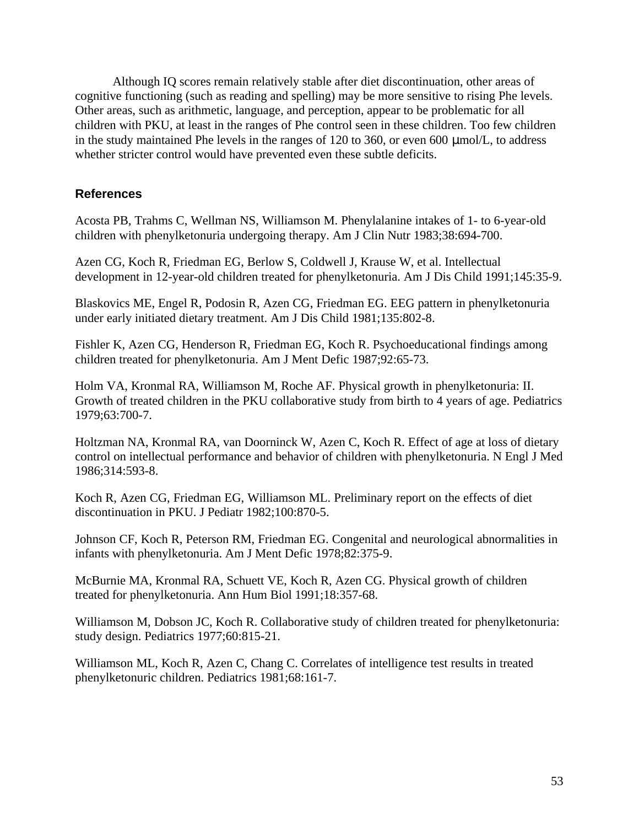Although IQ scores remain relatively stable after diet discontinuation, other areas of cognitive functioning (such as reading and spelling) may be more sensitive to rising Phe levels. Other areas, such as arithmetic, language, and perception, appear to be problematic for all children with PKU, at least in the ranges of Phe control seen in these children. Too few children in the study maintained Phe levels in the ranges of 120 to 360, or even 600 mmol/L, to address whether stricter control would have prevented even these subtle deficits.

### **References**

Acosta PB, Trahms C, Wellman NS, Williamson M. Phenylalanine intakes of 1- to 6-year-old children with phenylketonuria undergoing therapy. Am J Clin Nutr 1983;38:694-700.

Azen CG, Koch R, Friedman EG, Berlow S, Coldwell J, Krause W, et al. Intellectual development in 12-year-old children treated for phenylketonuria. Am J Dis Child 1991;145:35-9.

Blaskovics ME, Engel R, Podosin R, Azen CG, Friedman EG. EEG pattern in phenylketonuria under early initiated dietary treatment. Am J Dis Child 1981;135:802-8.

Fishler K, Azen CG, Henderson R, Friedman EG, Koch R. Psychoeducational findings among children treated for phenylketonuria. Am J Ment Defic 1987;92:65-73.

Holm VA, Kronmal RA, Williamson M, Roche AF. Physical growth in phenylketonuria: II. Growth of treated children in the PKU collaborative study from birth to 4 years of age. Pediatrics 1979;63:700-7.

Holtzman NA, Kronmal RA, van Doorninck W, Azen C, Koch R. Effect of age at loss of dietary control on intellectual performance and behavior of children with phenylketonuria. N Engl J Med 1986;314:593-8.

Koch R, Azen CG, Friedman EG, Williamson ML. Preliminary report on the effects of diet discontinuation in PKU. J Pediatr 1982;100:870-5.

Johnson CF, Koch R, Peterson RM, Friedman EG. Congenital and neurological abnormalities in infants with phenylketonuria. Am J Ment Defic 1978;82:375-9.

McBurnie MA, Kronmal RA, Schuett VE, Koch R, Azen CG. Physical growth of children treated for phenylketonuria. Ann Hum Biol 1991;18:357-68.

Williamson M, Dobson JC, Koch R. Collaborative study of children treated for phenylketonuria: study design. Pediatrics 1977;60:815-21.

Williamson ML, Koch R, Azen C, Chang C. Correlates of intelligence test results in treated phenylketonuric children. Pediatrics 1981;68:161-7.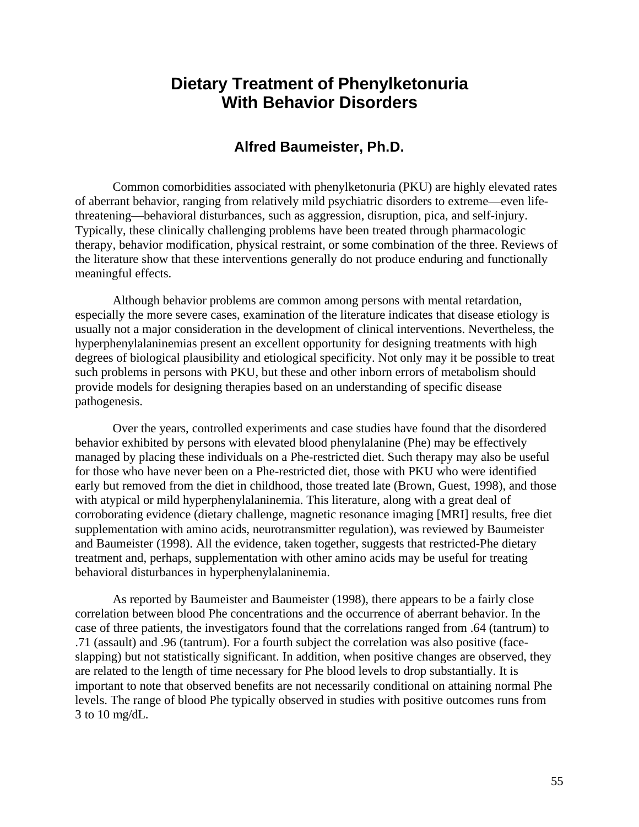# **Dietary Treatment of Phenylketonuria With Behavior Disorders**

# **Alfred Baumeister, Ph.D.**

Common comorbidities associated with phenylketonuria (PKU) are highly elevated rates of aberrant behavior, ranging from relatively mild psychiatric disorders to extreme—even lifethreatening—behavioral disturbances, such as aggression, disruption, pica, and self-injury. Typically, these clinically challenging problems have been treated through pharmacologic therapy, behavior modification, physical restraint, or some combination of the three. Reviews of the literature show that these interventions generally do not produce enduring and functionally meaningful effects.

Although behavior problems are common among persons with mental retardation, especially the more severe cases, examination of the literature indicates that disease etiology is usually not a major consideration in the development of clinical interventions. Nevertheless, the hyperphenylalaninemias present an excellent opportunity for designing treatments with high degrees of biological plausibility and etiological specificity. Not only may it be possible to treat such problems in persons with PKU, but these and other inborn errors of metabolism should provide models for designing therapies based on an understanding of specific disease pathogenesis.

Over the years, controlled experiments and case studies have found that the disordered behavior exhibited by persons with elevated blood phenylalanine (Phe) may be effectively managed by placing these individuals on a Phe-restricted diet. Such therapy may also be useful for those who have never been on a Phe-restricted diet, those with PKU who were identified early but removed from the diet in childhood, those treated late (Brown, Guest, 1998), and those with atypical or mild hyperphenylalaninemia. This literature, along with a great deal of corroborating evidence (dietary challenge, magnetic resonance imaging [MRI] results, free diet supplementation with amino acids, neurotransmitter regulation), was reviewed by Baumeister and Baumeister (1998). All the evidence, taken together, suggests that restricted-Phe dietary treatment and, perhaps, supplementation with other amino acids may be useful for treating behavioral disturbances in hyperphenylalaninemia.

As reported by Baumeister and Baumeister (1998), there appears to be a fairly close correlation between blood Phe concentrations and the occurrence of aberrant behavior. In the case of three patients, the investigators found that the correlations ranged from .64 (tantrum) to .71 (assault) and .96 (tantrum). For a fourth subject the correlation was also positive (faceslapping) but not statistically significant. In addition, when positive changes are observed, they are related to the length of time necessary for Phe blood levels to drop substantially. It is important to note that observed benefits are not necessarily conditional on attaining normal Phe levels. The range of blood Phe typically observed in studies with positive outcomes runs from 3 to 10 mg/dL.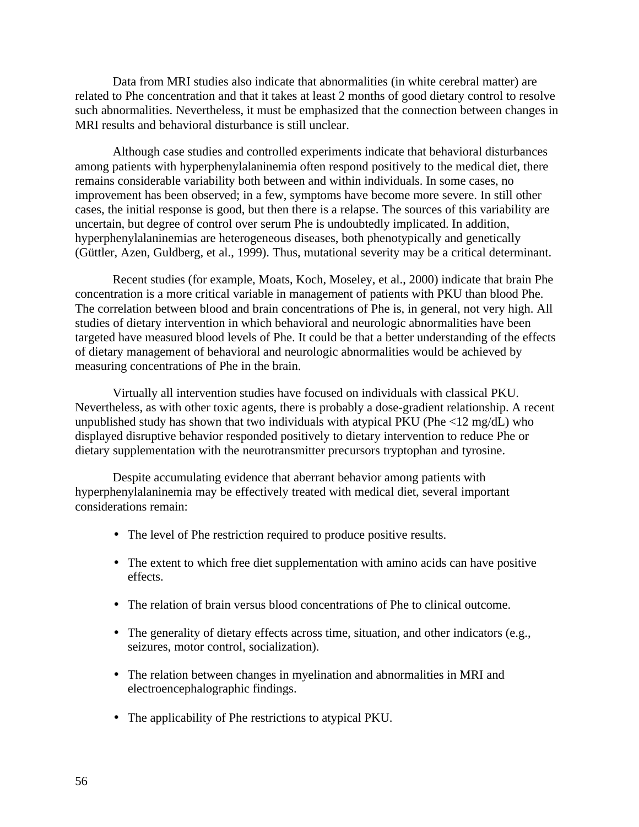Data from MRI studies also indicate that abnormalities (in white cerebral matter) are related to Phe concentration and that it takes at least 2 months of good dietary control to resolve such abnormalities. Nevertheless, it must be emphasized that the connection between changes in MRI results and behavioral disturbance is still unclear.

Although case studies and controlled experiments indicate that behavioral disturbances among patients with hyperphenylalaninemia often respond positively to the medical diet, there remains considerable variability both between and within individuals. In some cases, no improvement has been observed; in a few, symptoms have become more severe. In still other cases, the initial response is good, but then there is a relapse. The sources of this variability are uncertain, but degree of control over serum Phe is undoubtedly implicated. In addition, hyperphenylalaninemias are heterogeneous diseases, both phenotypically and genetically (Güttler, Azen, Guldberg, et al., 1999). Thus, mutational severity may be a critical determinant.

Recent studies (for example, Moats, Koch, Moseley, et al., 2000) indicate that brain Phe concentration is a more critical variable in management of patients with PKU than blood Phe. The correlation between blood and brain concentrations of Phe is, in general, not very high. All studies of dietary intervention in which behavioral and neurologic abnormalities have been targeted have measured blood levels of Phe. It could be that a better understanding of the effects of dietary management of behavioral and neurologic abnormalities would be achieved by measuring concentrations of Phe in the brain.

Virtually all intervention studies have focused on individuals with classical PKU. Nevertheless, as with other toxic agents, there is probably a dose-gradient relationship. A recent unpublished study has shown that two individuals with atypical PKU (Phe  $\langle 12 \text{ mg/d} L \rangle$ ) who displayed disruptive behavior responded positively to dietary intervention to reduce Phe or dietary supplementation with the neurotransmitter precursors tryptophan and tyrosine.

Despite accumulating evidence that aberrant behavior among patients with hyperphenylalaninemia may be effectively treated with medical diet, several important considerations remain:

- The level of Phe restriction required to produce positive results.
- The extent to which free diet supplementation with amino acids can have positive effects.
- The relation of brain versus blood concentrations of Phe to clinical outcome.
- The generality of dietary effects across time, situation, and other indicators (e.g., seizures, motor control, socialization).
- The relation between changes in myelination and abnormalities in MRI and electroencephalographic findings.
- The applicability of Phe restrictions to atypical PKU.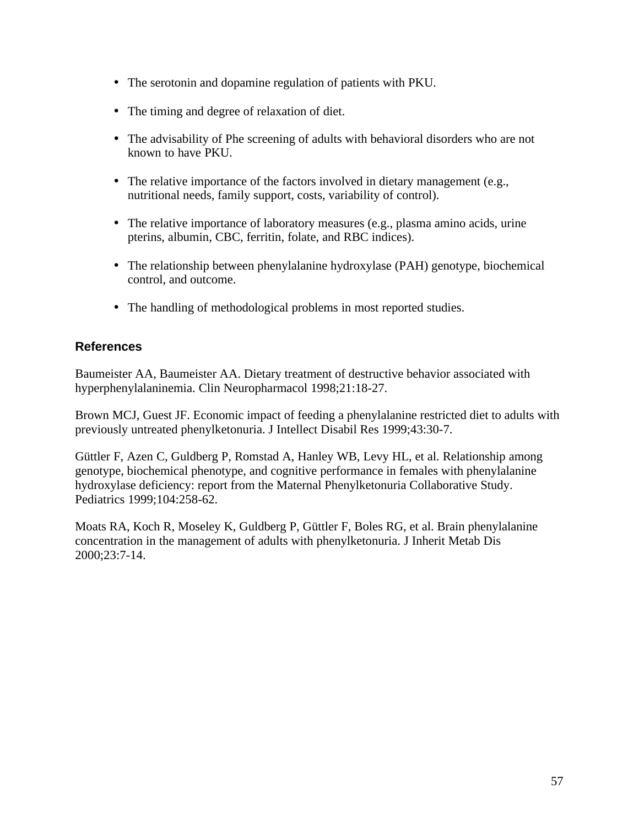- The serotonin and dopamine regulation of patients with PKU.
- The timing and degree of relaxation of diet.
- The advisability of Phe screening of adults with behavioral disorders who are not known to have PKU.
- The relative importance of the factors involved in dietary management (e.g., nutritional needs, family support, costs, variability of control).
- The relative importance of laboratory measures (e.g., plasma amino acids, urine pterins, albumin, CBC, ferritin, folate, and RBC indices).
- The relationship between phenylalanine hydroxylase (PAH) genotype, biochemical control, and outcome.
- The handling of methodological problems in most reported studies.

## **References**

Baumeister AA, Baumeister AA. Dietary treatment of destructive behavior associated with hyperphenylalaninemia. Clin Neuropharmacol 1998;21:18-27.

Brown MCJ, Guest JF. Economic impact of feeding a phenylalanine restricted diet to adults with previously untreated phenylketonuria. J Intellect Disabil Res 1999;43:30-7.

Güttler F, Azen C, Guldberg P, Romstad A, Hanley WB, Levy HL, et al. Relationship among genotype, biochemical phenotype, and cognitive performance in females with phenylalanine hydroxylase deficiency: report from the Maternal Phenylketonuria Collaborative Study. Pediatrics 1999;104:258-62.

Moats RA, Koch R, Moseley K, Guldberg P, Güttler F, Boles RG, et al. Brain phenylalanine concentration in the management of adults with phenylketonuria. J Inherit Metab Dis 2000;23:7-14.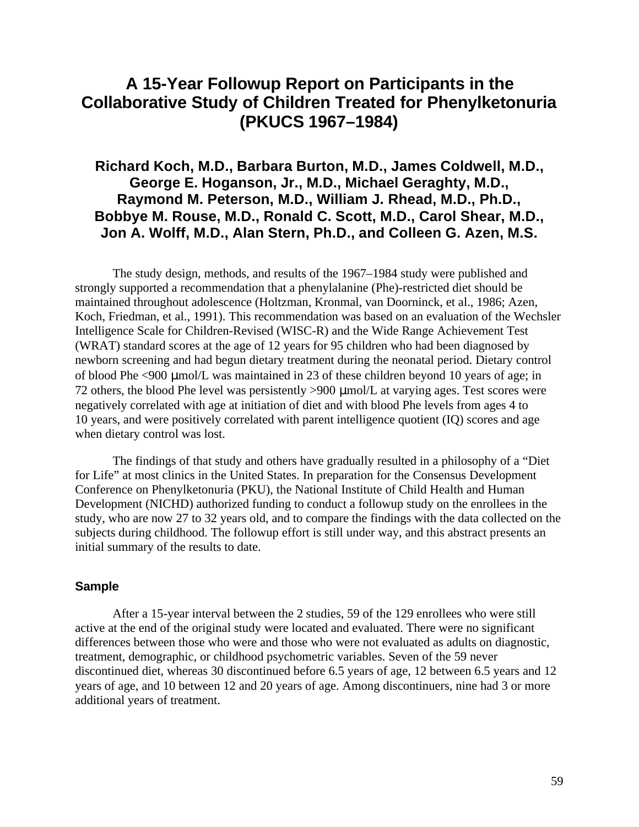# **A 15-Year Followup Report on Participants in the Collaborative Study of Children Treated for Phenylketonuria (PKUCS 1967–1984)**

# **Richard Koch, M.D., Barbara Burton, M.D., James Coldwell, M.D., George E. Hoganson, Jr., M.D., Michael Geraghty, M.D., Raymond M. Peterson, M.D., William J. Rhead, M.D., Ph.D., Bobbye M. Rouse, M.D., Ronald C. Scott, M.D., Carol Shear, M.D., Jon A. Wolff, M.D., Alan Stern, Ph.D., and Colleen G. Azen, M.S.**

The study design, methods, and results of the 1967–1984 study were published and strongly supported a recommendation that a phenylalanine (Phe)-restricted diet should be maintained throughout adolescence (Holtzman, Kronmal, van Doorninck, et al., 1986; Azen, Koch, Friedman, et al., 1991). This recommendation was based on an evaluation of the Wechsler Intelligence Scale for Children-Revised (WISC-R) and the Wide Range Achievement Test (WRAT) standard scores at the age of 12 years for 95 children who had been diagnosed by newborn screening and had begun dietary treatment during the neonatal period. Dietary control of blood Phe <900 µmol/L was maintained in 23 of these children beyond 10 years of age; in 72 others, the blood Phe level was persistently  $>900 \mu$ mol/L at varying ages. Test scores were negatively correlated with age at initiation of diet and with blood Phe levels from ages 4 to 10 years, and were positively correlated with parent intelligence quotient (IQ) scores and age when dietary control was lost.

The findings of that study and others have gradually resulted in a philosophy of a "Diet for Life" at most clinics in the United States. In preparation for the Consensus Development Conference on Phenylketonuria (PKU), the National Institute of Child Health and Human Development (NICHD) authorized funding to conduct a followup study on the enrollees in the study, who are now 27 to 32 years old, and to compare the findings with the data collected on the subjects during childhood. The followup effort is still under way, and this abstract presents an initial summary of the results to date.

### **Sample**

After a 15-year interval between the 2 studies, 59 of the 129 enrollees who were still active at the end of the original study were located and evaluated. There were no significant differences between those who were and those who were not evaluated as adults on diagnostic, treatment, demographic, or childhood psychometric variables. Seven of the 59 never discontinued diet, whereas 30 discontinued before 6.5 years of age, 12 between 6.5 years and 12 years of age, and 10 between 12 and 20 years of age. Among discontinuers, nine had 3 or more additional years of treatment.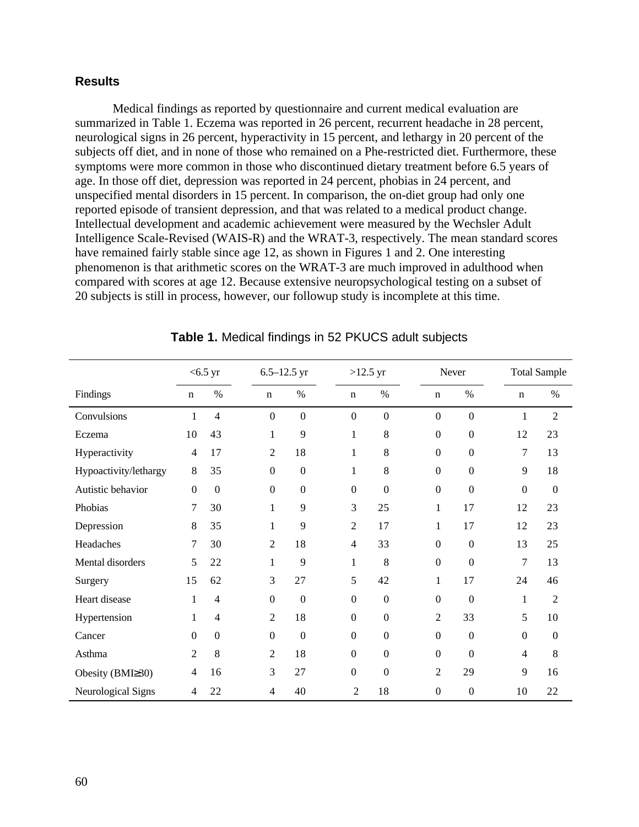### **Results**

Medical findings as reported by questionnaire and current medical evaluation are summarized in Table 1. Eczema was reported in 26 percent, recurrent headache in 28 percent, neurological signs in 26 percent, hyperactivity in 15 percent, and lethargy in 20 percent of the subjects off diet, and in none of those who remained on a Phe-restricted diet. Furthermore, these symptoms were more common in those who discontinued dietary treatment before 6.5 years of age. In those off diet, depression was reported in 24 percent, phobias in 24 percent, and unspecified mental disorders in 15 percent. In comparison, the on-diet group had only one reported episode of transient depression, and that was related to a medical product change. Intellectual development and academic achievement were measured by the Wechsler Adult Intelligence Scale-Revised (WAIS-R) and the WRAT-3, respectively. The mean standard scores have remained fairly stable since age 12, as shown in Figures 1 and 2. One interesting phenomenon is that arithmetic scores on the WRAT-3 are much improved in adulthood when compared with scores at age 12. Because extensive neuropsychological testing on a subset of 20 subjects is still in process, however, our followup study is incomplete at this time.

|                       |                  | $<$ 6.5 yr       | $6.5 - 12.5$ yr |                  |                  | $>12.5$ yr     |                | Never            |                  |                | <b>Total Sample</b> |  |
|-----------------------|------------------|------------------|-----------------|------------------|------------------|----------------|----------------|------------------|------------------|----------------|---------------------|--|
| Findings              | $\mathbf n$      | $\%$             | $\mathbf n$     | $\%$             | $\mathbf n$      |                | $\%$           | $\mathbf n$      | $\%$             | $\mathbf n$    | $\%$                |  |
| Convulsions           | 1                | 4                | $\mathbf{0}$    | $\mathbf{0}$     | $\boldsymbol{0}$ |                | $\overline{0}$ | $\mathbf{0}$     | $\boldsymbol{0}$ | $\mathbf{1}$   | $\overline{c}$      |  |
| Eczema                | 10               | 43               | 1               | 9                | 1                |                | $8\,$          | $\mathbf{0}$     | $\mathbf{0}$     | 12             | 23                  |  |
| Hyperactivity         | $\overline{4}$   | 17               | 2               | 18               | $\mathbf{1}$     |                | 8              | $\boldsymbol{0}$ | $\boldsymbol{0}$ | 7              | 13                  |  |
| Hypoactivity/lethargy | 8                | 35               | $\Omega$        | $\boldsymbol{0}$ | 1                |                | 8              | $\mathbf{0}$     | $\mathbf{0}$     | 9              | 18                  |  |
| Autistic behavior     | $\boldsymbol{0}$ | $\boldsymbol{0}$ | $\Omega$        | $\mathbf{0}$     | $\theta$         |                | $\mathbf{0}$   | $\mathbf{0}$     | $\mathbf{0}$     | $\mathbf{0}$   | $\overline{0}$      |  |
| Phobias               | 7                | 30               | 1               | 9                | 3                |                | 25             | 1                | 17               | 12             | 23                  |  |
| Depression            | 8                | 35               | 1               | 9                | 2                |                | 17             | 1                | 17               | 12             | 23                  |  |
| Headaches             | 7                | 30               | $\overline{2}$  | 18               | $\overline{4}$   |                | 33             | $\mathbf{0}$     | $\overline{0}$   | 13             | 25                  |  |
| Mental disorders      | 5                | 22               | 1               | 9                | 1                |                | 8              | $\mathbf{0}$     | $\theta$         | 7              | 13                  |  |
| Surgery               | 15               | 62               | 3               | 27               | 5                |                | 42             | 1                | 17               | 24             | 46                  |  |
| Heart disease         | 1                | 4                | $\mathbf{0}$    | $\overline{0}$   | $\boldsymbol{0}$ |                | $\mathbf{0}$   | $\mathbf{0}$     | $\overline{0}$   | $\mathbf{1}$   | 2                   |  |
| Hypertension          | 1                | 4                | $\overline{2}$  | 18               | $\mathbf{0}$     |                | $\mathbf{0}$   | $\overline{2}$   | 33               | 5              | 10                  |  |
| Cancer                | $\Omega$         | $\overline{0}$   | $\Omega$        | $\overline{0}$   | $\Omega$         |                | $\mathbf{0}$   | $\boldsymbol{0}$ | $\Omega$         | $\Omega$       | $\mathbf{0}$        |  |
| Asthma                | $\overline{c}$   | 8                | 2               | 18               | $\Omega$         |                | $\overline{0}$ | $\Omega$         | $\Omega$         | $\overline{4}$ | 8                   |  |
| Obesity (BMI≥30)      | $\overline{4}$   | 16               | 3               | 27               | $\mathbf{0}$     |                | $\overline{0}$ | $\overline{2}$   | 29               | 9              | 16                  |  |
| Neurological Signs    | 4                | 22               | $\overline{4}$  | 40               |                  | $\overline{2}$ | 18             | $\theta$         | $\boldsymbol{0}$ | 10             | 22                  |  |

### **Table 1.** Medical findings in 52 PKUCS adult subjects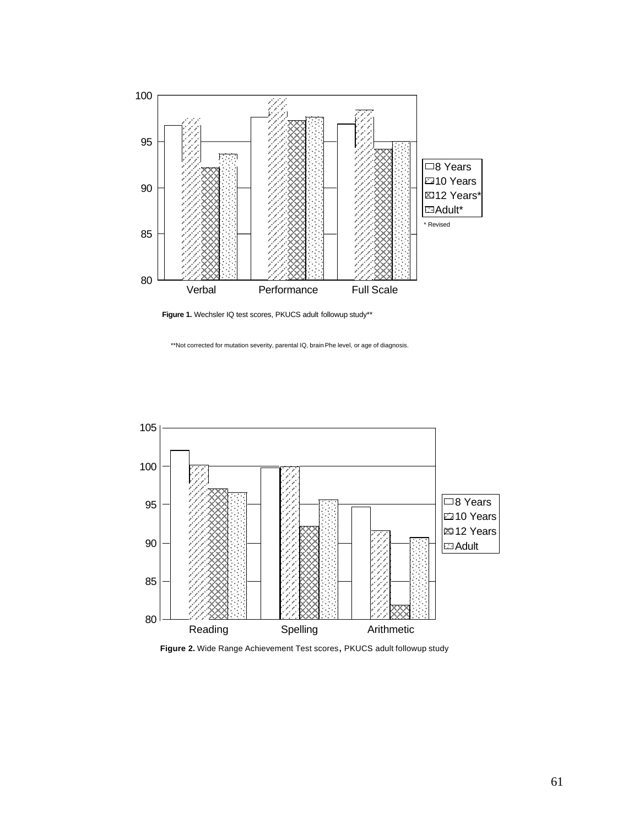

**Figure 1.** Wechsler IQ test scores, PKUCS adult followup study\*\*

\*\*Not corrected for mutation severity, parental IQ, brain Phe level, or age of diagnosis.



**Figure 2.** Wide Range Achievement Test scores**,** PKUCS adult followup study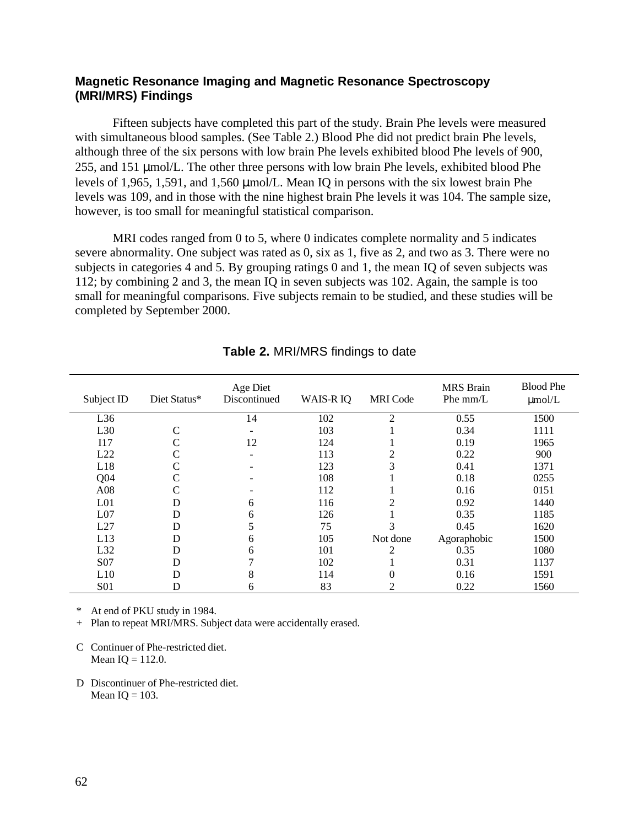### **Magnetic Resonance Imaging and Magnetic Resonance Spectroscopy (MRI/MRS) Findings**

Fifteen subjects have completed this part of the study. Brain Phe levels were measured with simultaneous blood samples. (See Table 2.) Blood Phe did not predict brain Phe levels, although three of the six persons with low brain Phe levels exhibited blood Phe levels of 900, 255, and 151 µmol/L. The other three persons with low brain Phe levels, exhibited blood Phe levels of 1,965, 1,591, and 1,560  $\mu$ mol/L. Mean IQ in persons with the six lowest brain Phe levels was 109, and in those with the nine highest brain Phe levels it was 104. The sample size, however, is too small for meaningful statistical comparison.

MRI codes ranged from 0 to 5, where 0 indicates complete normality and 5 indicates severe abnormality. One subject was rated as 0, six as 1, five as 2, and two as 3. There were no subjects in categories 4 and 5. By grouping ratings 0 and 1, the mean IQ of seven subjects was 112; by combining 2 and 3, the mean IQ in seven subjects was 102. Again, the sample is too small for meaningful comparisons. Five subjects remain to be studied, and these studies will be completed by September 2000.

| Subject ID      | Diet Status* | Age Diet<br>Discontinued | WAIS-R IQ | <b>MRI</b> Code | <b>MRS</b> Brain<br>Phe $mm/L$ | <b>Blood Phe</b><br>$\mu$ mol/L |
|-----------------|--------------|--------------------------|-----------|-----------------|--------------------------------|---------------------------------|
| L36             |              | 14                       | 102       | $\overline{2}$  | 0.55                           | 1500                            |
| L30             |              |                          | 103       |                 | 0.34                           | 1111                            |
| 117             |              | 12                       | 124       |                 | 0.19                           | 1965                            |
| L22             |              |                          | 113       |                 | 0.22                           | 900                             |
| L18             |              |                          | 123       |                 | 0.41                           | 1371                            |
| Q <sub>04</sub> |              |                          | 108       |                 | 0.18                           | 0255                            |
| A08             |              |                          | 112       |                 | 0.16                           | 0151                            |
| L <sub>01</sub> | D            | 6                        | 116       |                 | 0.92                           | 1440                            |
| L <sub>07</sub> | D            | 6                        | 126       |                 | 0.35                           | 1185                            |
| L27             | D            |                          | 75        |                 | 0.45                           | 1620                            |
| L13             | D            | 6                        | 105       | Not done        | Agoraphobic                    | 1500                            |
| L32             | D            | 6                        | 101       | 2               | 0.35                           | 1080                            |
| S <sub>07</sub> | D            |                          | 102       |                 | 0.31                           | 1137                            |
| L10             | D            | 8                        | 114       | $\Omega$        | 0.16                           | 1591                            |
| <b>S01</b>      | D            | 6                        | 83        | ◠               | 0.22                           | 1560                            |

## **Table 2.** MRI/MRS findings to date

\* At end of PKU study in 1984.

+ Plan to repeat MRI/MRS. Subject data were accidentally erased.

D Discontinuer of Phe-restricted diet. Mean  $IO = 103$ .

C Continuer of Phe-restricted diet. Mean  $IQ = 112.0$ .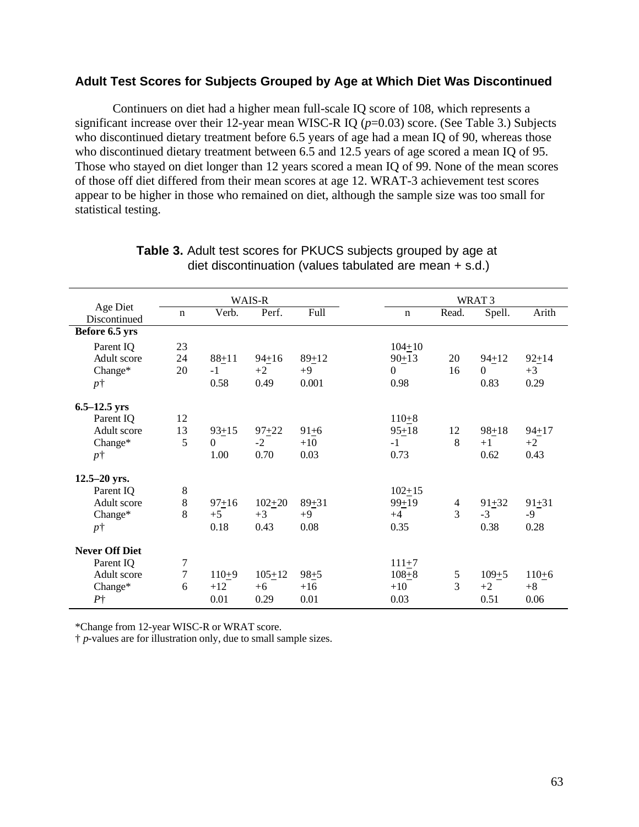### **Adult Test Scores for Subjects Grouped by Age at Which Diet Was Discontinued**

Continuers on diet had a higher mean full-scale IQ score of 108, which represents a significant increase over their 12-year mean WISC-R IQ (*p*=0.03) score. (See Table 3.) Subjects who discontinued dietary treatment before 6.5 years of age had a mean IQ of 90, whereas those who discontinued dietary treatment between 6.5 and 12.5 years of age scored a mean IQ of 95. Those who stayed on diet longer than 12 years scored a mean IQ of 99. None of the mean scores of those off diet differed from their mean scores at age 12. WRAT-3 achievement test scores appear to be higher in those who remained on diet, although the sample size was too small for statistical testing.

|                          | WAIS-R         |                |            |           | WRAT <sub>3</sub> |                |           |           |
|--------------------------|----------------|----------------|------------|-----------|-------------------|----------------|-----------|-----------|
| Age Diet<br>Discontinued | $\mathbf n$    | Verb.          | Perf.      | Full      | $\mathbf n$       | Read.          | Spell.    | Arith     |
| Before 6.5 yrs           |                |                |            |           |                   |                |           |           |
| Parent IQ                | 23             |                |            |           | $104 + 10$        |                |           |           |
| Adult score              | 24             | $88 + 11$      | $94 + 16$  | $89 + 12$ | $90 + 13$         | 20             | $94 + 12$ | $92 + 14$ |
| Change*                  | 20             | $-1$           | $+2$       | $+9$      | $\mathbf{0}$      | 16             | $\Omega$  | $+3$      |
| $p\dagger$               |                | 0.58           | 0.49       | 0.001     | 0.98              |                | 0.83      | 0.29      |
| $6.5 - 12.5$ yrs         |                |                |            |           |                   |                |           |           |
| Parent IQ                | 12             |                |            |           | $110 + 8$         |                |           |           |
| Adult score              | 13             | $93 + 15$      | $97 + 22$  | $91 + 6$  | $95 + 18$         | 12             | $98 + 18$ | $94 + 17$ |
| Change*                  | 5              | $\overline{0}$ | $-2$       | $+10$     | $-1$              | 8              | $+1$      | $+2$      |
| $p\dagger$               |                | 1.00           | 0.70       | 0.03      | 0.73              |                | 0.62      | 0.43      |
| $12.5 - 20$ yrs.         |                |                |            |           |                   |                |           |           |
| Parent IQ                | 8              |                |            |           | $102 + 15$        |                |           |           |
| Adult score              | $8\,$          | $97 + 16$      | $102 + 20$ | $89 + 31$ | $99 + 19$         | $\overline{4}$ | $91 + 32$ | $91 + 31$ |
| Change*                  | 8              | $+5$           | $+3$       | $+9$      | $+4$              | 3              | $-3$      | $-9$      |
| $p\dagger$               |                | 0.18           | 0.43       | 0.08      | 0.35              |                | 0.38      | 0.28      |
| <b>Never Off Diet</b>    |                |                |            |           |                   |                |           |           |
| Parent IQ                | $\overline{7}$ |                |            |           | $111 + 7$         |                |           |           |
| Adult score              | 7              | $110+9$        | $105 + 12$ | $98 + 5$  | $108 + 8$         | 5              | $109 + 5$ | $110+6$   |
| Change*                  | 6              | $+12$          | $+6$       | $+16$     | $+10$             | $\overline{3}$ | $+2$      | $+8$      |
| P <sub>1</sub>           |                | 0.01           | 0.29       | 0.01      | 0.03              |                | 0.51      | 0.06      |

#### **Table 3.** Adult test scores for PKUCS subjects grouped by age at diet discontinuation (values tabulated are mean + s.d.)

\*Change from 12-year WISC-R or WRAT score.

† *p*-values are for illustration only, due to small sample sizes.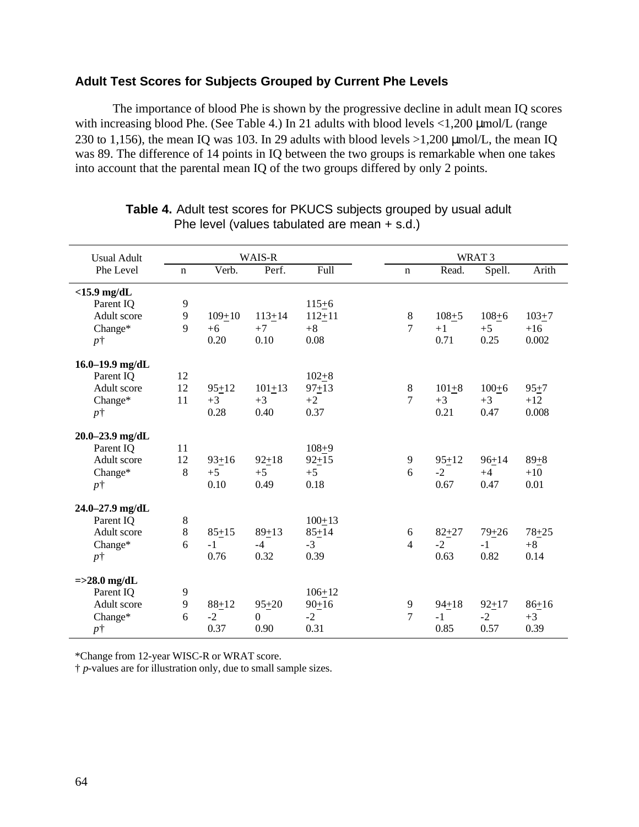### **Adult Test Scores for Subjects Grouped by Current Phe Levels**

The importance of blood Phe is shown by the progressive decline in adult mean IQ scores with increasing blood Phe. (See Table 4.) In 21 adults with blood levels  $\langle 1,200 \mu m o l / L$  (range 230 to 1,156), the mean IQ was 103. In 29 adults with blood levels  $>1,200$  µmol/L, the mean IQ was 89. The difference of 14 points in IQ between the two groups is remarkable when one takes into account that the parental mean IQ of the two groups differed by only 2 points.

| <b>Usual Adult</b>  |             |            | WAIS-R     |            |                |           | WRAT <sub>3</sub> |           |
|---------------------|-------------|------------|------------|------------|----------------|-----------|-------------------|-----------|
| Phe Level           | $\mathbf n$ | Verb.      | Perf.      | Full       | $\mathbf n$    | Read.     | Spell.            | Arith     |
| $<$ 15.9 mg/dL      |             |            |            |            |                |           |                   |           |
| Parent IQ           | 9           |            |            | $115 + 6$  |                |           |                   |           |
| Adult score         | 9           | $109 + 10$ | $113 + 14$ | $112 + 11$ | $8\,$          | $108 + 5$ | $108 + 6$         | $103 + 7$ |
| Change*             | 9           | $+6$       | $+7$       | $+8$       | 7              | $+1$      | $+5$              | $+16$     |
| $p\dagger$          |             | 0.20       | 0.10       | 0.08       |                | 0.71      | 0.25              | 0.002     |
| 16.0-19.9 mg/dL     |             |            |            |            |                |           |                   |           |
| Parent IQ           | 12          |            |            | $102 + 8$  |                |           |                   |           |
| Adult score         | 12          | $95 + 12$  | $101 + 13$ | $97 + 13$  | 8              | $101 + 8$ | $100 + 6$         | $95 + 7$  |
| Change*             | 11          | $+3$       | $+3$       | $+2$       | $\overline{7}$ | $+3$      | $+3$              | $+12$     |
| $p\dagger$          |             | 0.28       | 0.40       | 0.37       |                | 0.21      | 0.47              | 0.008     |
| $20.0 - 23.9$ mg/dL |             |            |            |            |                |           |                   |           |
| Parent IQ           | 11          |            |            | $108 + 9$  |                |           |                   |           |
| Adult score         | 12          | $93 + 16$  | $92 + 18$  | $92 + 15$  | 9              | $95 + 12$ | $96+14$           | $89 + 8$  |
| Change*             | 8           | $+5$       | $+5$       | $+5$       | 6              | $-2$      | $+4$              | $+10$     |
| $p\dagger$          |             | 0.10       | 0.49       | 0.18       |                | 0.67      | 0.47              | 0.01      |
| 24.0-27.9 mg/dL     |             |            |            |            |                |           |                   |           |
| Parent IQ           | $\,8\,$     |            |            | $100 + 13$ |                |           |                   |           |
| Adult score         | 8           | $85 + 15$  | $89 + 13$  | $85 + 14$  | 6              | $82 + 27$ | $79 + 26$         | $78 + 25$ |
| Change*             | 6           | $-1$       | $-4$       | $-3$       | $\overline{4}$ | $-2$      | $-1$              | $+8$      |
| $p\dagger$          |             | 0.76       | 0.32       | 0.39       |                | 0.63      | 0.82              | 0.14      |
| $=\geq 28.0$ mg/dL  |             |            |            |            |                |           |                   |           |
| Parent IQ           | 9           |            |            | $106 + 12$ |                |           |                   |           |
| Adult score         | 9           | $88 + 12$  | $95 + 20$  | $90+16$    | 9              | $94 + 18$ | $92 + 17$         | $86 + 16$ |
| Change*             | 6           | $-2$       | $\Omega$   | $-2$       | 7              | $-1$      | $-2$              | $+3$      |
| $p\dagger$          |             | 0.37       | 0.90       | 0.31       |                | 0.85      | 0.57              | 0.39      |

#### **Table 4.** Adult test scores for PKUCS subjects grouped by usual adult Phe level (values tabulated are mean + s.d.)

\*Change from 12-year WISC-R or WRAT score.

† *p*-values are for illustration only, due to small sample sizes.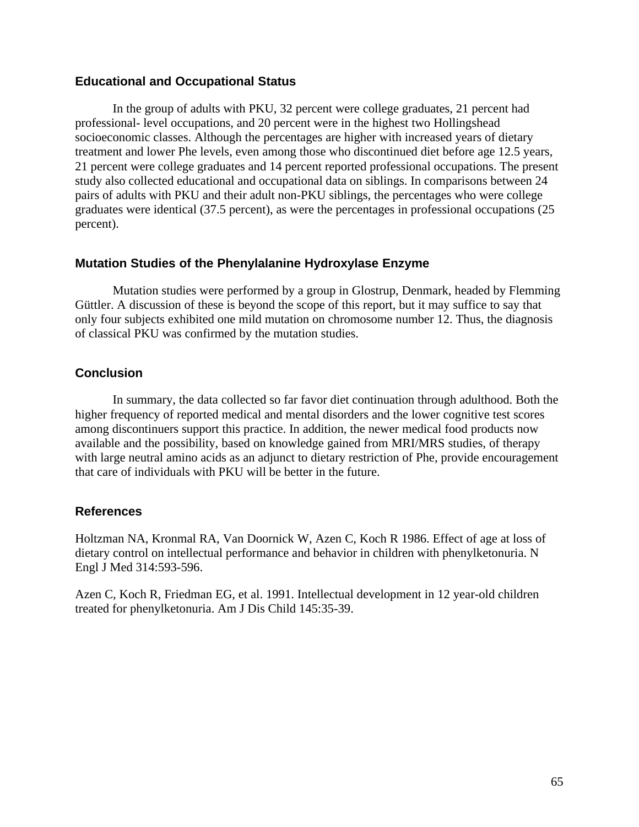### **Educational and Occupational Status**

In the group of adults with PKU, 32 percent were college graduates, 21 percent had professional- level occupations, and 20 percent were in the highest two Hollingshead socioeconomic classes. Although the percentages are higher with increased years of dietary treatment and lower Phe levels, even among those who discontinued diet before age 12.5 years, 21 percent were college graduates and 14 percent reported professional occupations. The present study also collected educational and occupational data on siblings. In comparisons between 24 pairs of adults with PKU and their adult non-PKU siblings, the percentages who were college graduates were identical (37.5 percent), as were the percentages in professional occupations (25 percent).

### **Mutation Studies of the Phenylalanine Hydroxylase Enzyme**

Mutation studies were performed by a group in Glostrup, Denmark, headed by Flemming Güttler. A discussion of these is beyond the scope of this report, but it may suffice to say that only four subjects exhibited one mild mutation on chromosome number 12. Thus, the diagnosis of classical PKU was confirmed by the mutation studies.

## **Conclusion**

In summary, the data collected so far favor diet continuation through adulthood. Both the higher frequency of reported medical and mental disorders and the lower cognitive test scores among discontinuers support this practice. In addition, the newer medical food products now available and the possibility, based on knowledge gained from MRI/MRS studies, of therapy with large neutral amino acids as an adjunct to dietary restriction of Phe, provide encouragement that care of individuals with PKU will be better in the future.

### **References**

Holtzman NA, Kronmal RA, Van Doornick W, Azen C, Koch R 1986. Effect of age at loss of dietary control on intellectual performance and behavior in children with phenylketonuria. N Engl J Med 314:593-596.

Azen C, Koch R, Friedman EG, et al. 1991. Intellectual development in 12 year-old children treated for phenylketonuria. Am J Dis Child 145:35-39.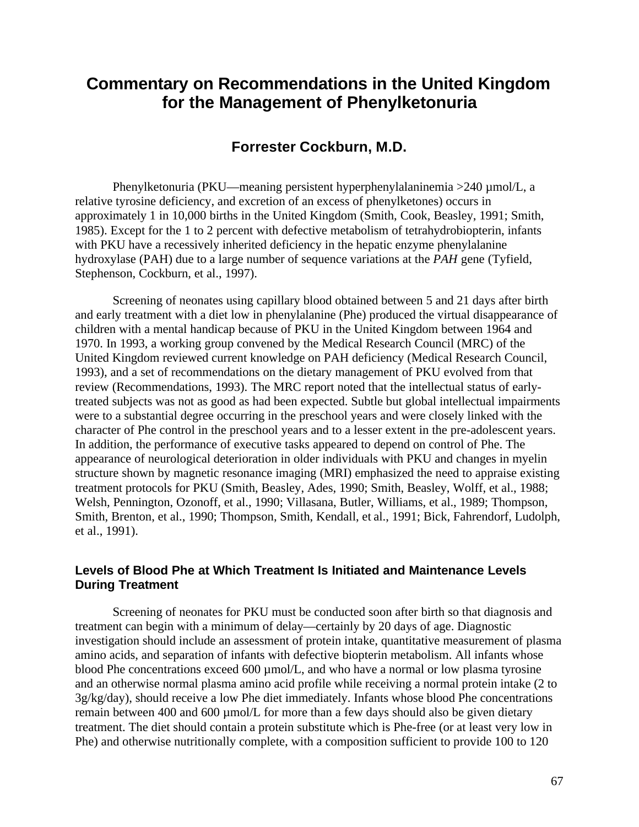# **Commentary on Recommendations in the United Kingdom for the Management of Phenylketonuria**

# **Forrester Cockburn, M.D.**

Phenylketonuria (PKU—meaning persistent hyperphenylalaninemia >240 µmol/L, a relative tyrosine deficiency, and excretion of an excess of phenylketones) occurs in approximately 1 in 10,000 births in the United Kingdom (Smith, Cook, Beasley, 1991; Smith, 1985). Except for the 1 to 2 percent with defective metabolism of tetrahydrobiopterin, infants with PKU have a recessively inherited deficiency in the hepatic enzyme phenylalanine hydroxylase (PAH) due to a large number of sequence variations at the *PAH* gene (Tyfield, Stephenson, Cockburn, et al., 1997).

Screening of neonates using capillary blood obtained between 5 and 21 days after birth and early treatment with a diet low in phenylalanine (Phe) produced the virtual disappearance of children with a mental handicap because of PKU in the United Kingdom between 1964 and 1970. In 1993, a working group convened by the Medical Research Council (MRC) of the United Kingdom reviewed current knowledge on PAH deficiency (Medical Research Council, 1993), and a set of recommendations on the dietary management of PKU evolved from that review (Recommendations, 1993). The MRC report noted that the intellectual status of earlytreated subjects was not as good as had been expected. Subtle but global intellectual impairments were to a substantial degree occurring in the preschool years and were closely linked with the character of Phe control in the preschool years and to a lesser extent in the pre-adolescent years. In addition, the performance of executive tasks appeared to depend on control of Phe. The appearance of neurological deterioration in older individuals with PKU and changes in myelin structure shown by magnetic resonance imaging (MRI) emphasized the need to appraise existing treatment protocols for PKU (Smith, Beasley, Ades, 1990; Smith, Beasley, Wolff, et al., 1988; Welsh, Pennington, Ozonoff, et al., 1990; Villasana, Butler, Williams, et al., 1989; Thompson, Smith, Brenton, et al., 1990; Thompson, Smith, Kendall, et al., 1991; Bick, Fahrendorf, Ludolph, et al., 1991).

### **Levels of Blood Phe at Which Treatment Is Initiated and Maintenance Levels During Treatment**

Screening of neonates for PKU must be conducted soon after birth so that diagnosis and treatment can begin with a minimum of delay—certainly by 20 days of age. Diagnostic investigation should include an assessment of protein intake, quantitative measurement of plasma amino acids, and separation of infants with defective biopterin metabolism. All infants whose blood Phe concentrations exceed 600 µmol/L, and who have a normal or low plasma tyrosine and an otherwise normal plasma amino acid profile while receiving a normal protein intake (2 to 3g/kg/day), should receive a low Phe diet immediately. Infants whose blood Phe concentrations remain between 400 and 600 µmol/L for more than a few days should also be given dietary treatment. The diet should contain a protein substitute which is Phe-free (or at least very low in Phe) and otherwise nutritionally complete, with a composition sufficient to provide 100 to 120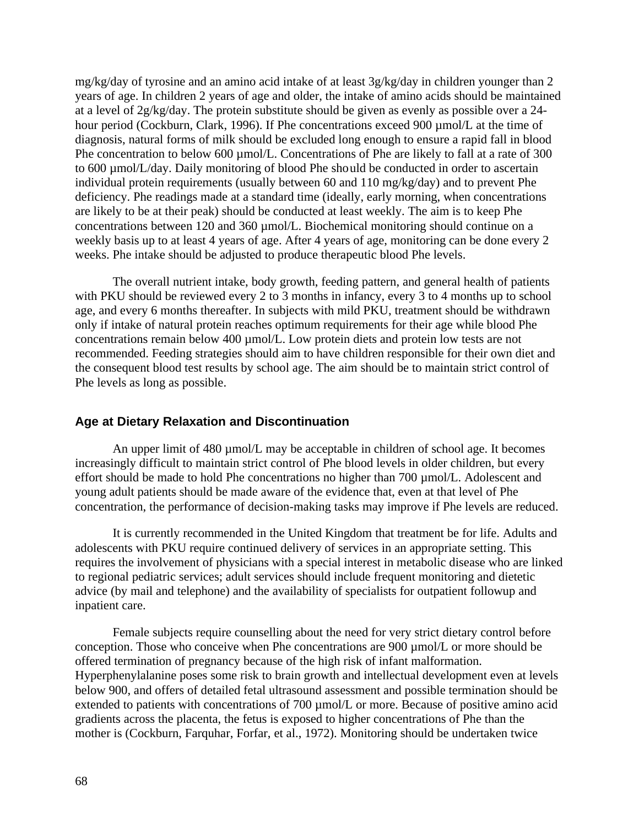mg/kg/day of tyrosine and an amino acid intake of at least 3g/kg/day in children younger than 2 years of age. In children 2 years of age and older, the intake of amino acids should be maintained at a level of 2g/kg/day. The protein substitute should be given as evenly as possible over a 24 hour period (Cockburn, Clark, 1996). If Phe concentrations exceed 900 µmol/L at the time of diagnosis, natural forms of milk should be excluded long enough to ensure a rapid fall in blood Phe concentration to below 600 µmol/L. Concentrations of Phe are likely to fall at a rate of 300 to 600 µmol/L/day. Daily monitoring of blood Phe should be conducted in order to ascertain individual protein requirements (usually between 60 and 110 mg/kg/day) and to prevent Phe deficiency. Phe readings made at a standard time (ideally, early morning, when concentrations are likely to be at their peak) should be conducted at least weekly. The aim is to keep Phe concentrations between 120 and 360 µmol/L. Biochemical monitoring should continue on a weekly basis up to at least 4 years of age. After 4 years of age, monitoring can be done every 2 weeks. Phe intake should be adjusted to produce therapeutic blood Phe levels.

The overall nutrient intake, body growth, feeding pattern, and general health of patients with PKU should be reviewed every 2 to 3 months in infancy, every 3 to 4 months up to school age, and every 6 months thereafter. In subjects with mild PKU, treatment should be withdrawn only if intake of natural protein reaches optimum requirements for their age while blood Phe concentrations remain below 400 µmol/L. Low protein diets and protein low tests are not recommended. Feeding strategies should aim to have children responsible for their own diet and the consequent blood test results by school age. The aim should be to maintain strict control of Phe levels as long as possible.

### **Age at Dietary Relaxation and Discontinuation**

An upper limit of 480 umol/L may be acceptable in children of school age. It becomes increasingly difficult to maintain strict control of Phe blood levels in older children, but every effort should be made to hold Phe concentrations no higher than 700 µmol/L. Adolescent and young adult patients should be made aware of the evidence that, even at that level of Phe concentration, the performance of decision-making tasks may improve if Phe levels are reduced.

It is currently recommended in the United Kingdom that treatment be for life. Adults and adolescents with PKU require continued delivery of services in an appropriate setting. This requires the involvement of physicians with a special interest in metabolic disease who are linked to regional pediatric services; adult services should include frequent monitoring and dietetic advice (by mail and telephone) and the availability of specialists for outpatient followup and inpatient care.

Female subjects require counselling about the need for very strict dietary control before conception. Those who conceive when Phe concentrations are 900 µmol/L or more should be offered termination of pregnancy because of the high risk of infant malformation. Hyperphenylalanine poses some risk to brain growth and intellectual development even at levels below 900, and offers of detailed fetal ultrasound assessment and possible termination should be extended to patients with concentrations of 700 µmol/L or more. Because of positive amino acid gradients across the placenta, the fetus is exposed to higher concentrations of Phe than the mother is (Cockburn, Farquhar, Forfar, et al., 1972). Monitoring should be undertaken twice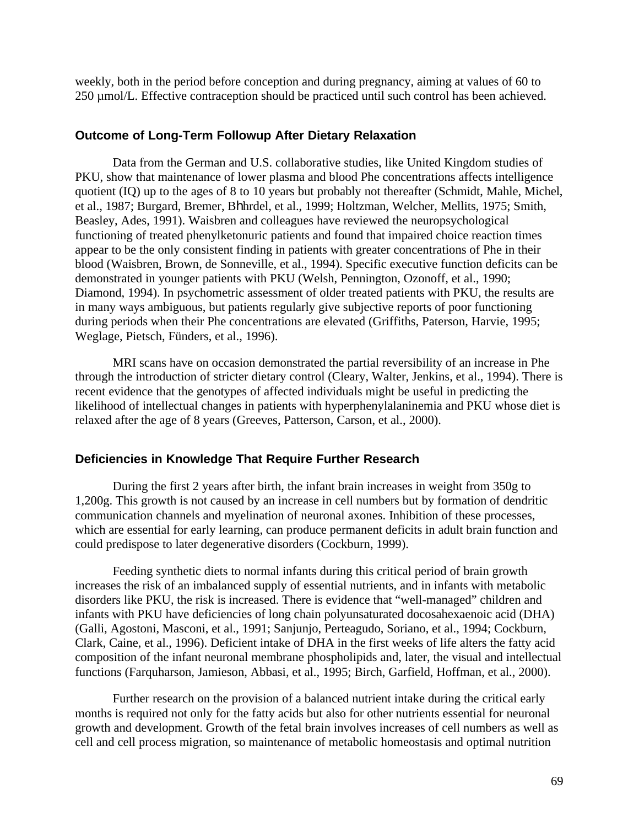weekly, both in the period before conception and during pregnancy, aiming at values of 60 to 250 µmol/L. Effective contraception should be practiced until such control has been achieved.

#### **Outcome of Long-Term Followup After Dietary Relaxation**

Data from the German and U.S. collaborative studies, like United Kingdom studies of PKU, show that maintenance of lower plasma and blood Phe concentrations affects intelligence quotient (IQ) up to the ages of 8 to 10 years but probably not thereafter (Schmidt, Mahle, Michel, et al., 1987; Burgard, Bremer, Bhhrdel, et al., 1999; Holtzman, Welcher, Mellits, 1975; Smith, Beasley, Ades, 1991). Waisbren and colleagues have reviewed the neuropsychological functioning of treated phenylketonuric patients and found that impaired choice reaction times appear to be the only consistent finding in patients with greater concentrations of Phe in their blood (Waisbren, Brown, de Sonneville, et al., 1994). Specific executive function deficits can be demonstrated in younger patients with PKU (Welsh, Pennington, Ozonoff, et al., 1990; Diamond, 1994). In psychometric assessment of older treated patients with PKU, the results are in many ways ambiguous, but patients regularly give subjective reports of poor functioning during periods when their Phe concentrations are elevated (Griffiths, Paterson, Harvie, 1995; Weglage, Pietsch, Fünders, et al., 1996).

MRI scans have on occasion demonstrated the partial reversibility of an increase in Phe through the introduction of stricter dietary control (Cleary, Walter, Jenkins, et al., 1994). There is recent evidence that the genotypes of affected individuals might be useful in predicting the likelihood of intellectual changes in patients with hyperphenylalaninemia and PKU whose diet is relaxed after the age of 8 years (Greeves, Patterson, Carson, et al., 2000).

#### **Deficiencies in Knowledge That Require Further Research**

During the first 2 years after birth, the infant brain increases in weight from 350g to 1,200g. This growth is not caused by an increase in cell numbers but by formation of dendritic communication channels and myelination of neuronal axones. Inhibition of these processes, which are essential for early learning, can produce permanent deficits in adult brain function and could predispose to later degenerative disorders (Cockburn, 1999).

Feeding synthetic diets to normal infants during this critical period of brain growth increases the risk of an imbalanced supply of essential nutrients, and in infants with metabolic disorders like PKU, the risk is increased. There is evidence that "well-managed" children and infants with PKU have deficiencies of long chain polyunsaturated docosahexaenoic acid (DHA) (Galli, Agostoni, Masconi, et al., 1991; Sanjunjo, Perteagudo, Soriano, et al., 1994; Cockburn, Clark, Caine, et al., 1996). Deficient intake of DHA in the first weeks of life alters the fatty acid composition of the infant neuronal membrane phospholipids and, later, the visual and intellectual functions (Farquharson, Jamieson, Abbasi, et al., 1995; Birch, Garfield, Hoffman, et al., 2000).

Further research on the provision of a balanced nutrient intake during the critical early months is required not only for the fatty acids but also for other nutrients essential for neuronal growth and development. Growth of the fetal brain involves increases of cell numbers as well as cell and cell process migration, so maintenance of metabolic homeostasis and optimal nutrition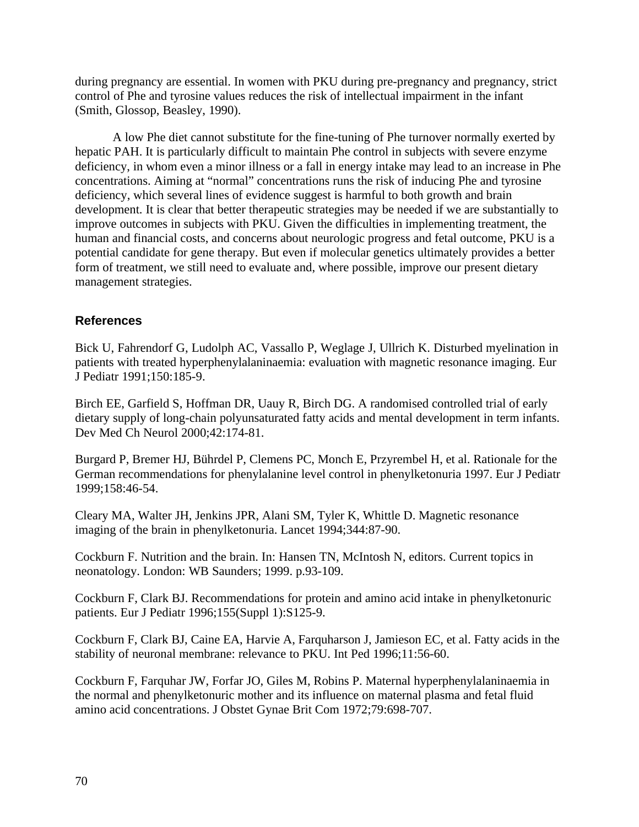during pregnancy are essential. In women with PKU during pre-pregnancy and pregnancy, strict control of Phe and tyrosine values reduces the risk of intellectual impairment in the infant (Smith, Glossop, Beasley, 1990).

A low Phe diet cannot substitute for the fine-tuning of Phe turnover normally exerted by hepatic PAH. It is particularly difficult to maintain Phe control in subjects with severe enzyme deficiency, in whom even a minor illness or a fall in energy intake may lead to an increase in Phe concentrations. Aiming at "normal" concentrations runs the risk of inducing Phe and tyrosine deficiency, which several lines of evidence suggest is harmful to both growth and brain development. It is clear that better therapeutic strategies may be needed if we are substantially to improve outcomes in subjects with PKU. Given the difficulties in implementing treatment, the human and financial costs, and concerns about neurologic progress and fetal outcome, PKU is a potential candidate for gene therapy. But even if molecular genetics ultimately provides a better form of treatment, we still need to evaluate and, where possible, improve our present dietary management strategies.

## **References**

Bick U, Fahrendorf G, Ludolph AC, Vassallo P, Weglage J, Ullrich K. Disturbed myelination in patients with treated hyperphenylalaninaemia: evaluation with magnetic resonance imaging. Eur J Pediatr 1991;150:185-9.

Birch EE, Garfield S, Hoffman DR, Uauy R, Birch DG. A randomised controlled trial of early dietary supply of long-chain polyunsaturated fatty acids and mental development in term infants. Dev Med Ch Neurol 2000;42:174-81.

Burgard P, Bremer HJ, Bührdel P, Clemens PC, Monch E, Przyrembel H, et al. Rationale for the German recommendations for phenylalanine level control in phenylketonuria 1997. Eur J Pediatr 1999;158:46-54.

Cleary MA, Walter JH, Jenkins JPR, Alani SM, Tyler K, Whittle D. Magnetic resonance imaging of the brain in phenylketonuria. Lancet 1994;344:87-90.

Cockburn F. Nutrition and the brain. In: Hansen TN, McIntosh N, editors. Current topics in neonatology. London: WB Saunders; 1999. p.93-109.

Cockburn F, Clark BJ. Recommendations for protein and amino acid intake in phenylketonuric patients. Eur J Pediatr 1996;155(Suppl 1):S125-9.

Cockburn F, Clark BJ, Caine EA, Harvie A, Farquharson J, Jamieson EC, et al. Fatty acids in the stability of neuronal membrane: relevance to PKU. Int Ped 1996;11:56-60.

Cockburn F, Farquhar JW, Forfar JO, Giles M, Robins P. Maternal hyperphenylalaninaemia in the normal and phenylketonuric mother and its influence on maternal plasma and fetal fluid amino acid concentrations. J Obstet Gynae Brit Com 1972;79:698-707.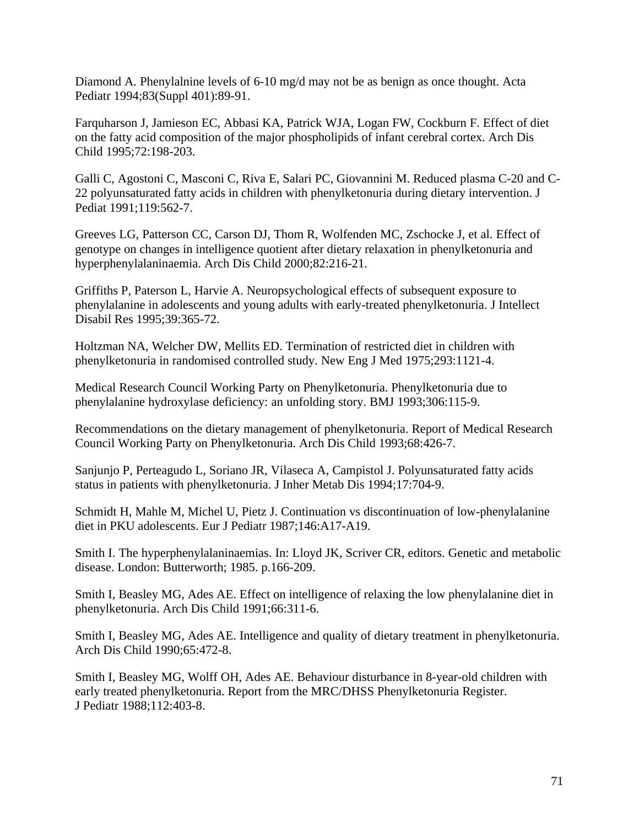Diamond A. Phenylalnine levels of 6-10 mg/d may not be as benign as once thought. Acta Pediatr 1994;83(Suppl 401):89-91.

Farquharson J, Jamieson EC, Abbasi KA, Patrick WJA, Logan FW, Cockburn F. Effect of diet on the fatty acid composition of the major phospholipids of infant cerebral cortex. Arch Dis Child 1995;72:198-203.

Galli C, Agostoni C, Masconi C, Riva E, Salari PC, Giovannini M. Reduced plasma C-20 and C-22 polyunsaturated fatty acids in children with phenylketonuria during dietary intervention. J Pediat 1991;119:562-7.

Greeves LG, Patterson CC, Carson DJ, Thom R, Wolfenden MC, Zschocke J, et al. Effect of genotype on changes in intelligence quotient after dietary relaxation in phenylketonuria and hyperphenylalaninaemia. Arch Dis Child 2000;82:216-21.

Griffiths P, Paterson L, Harvie A. Neuropsychological effects of subsequent exposure to phenylalanine in adolescents and young adults with early-treated phenylketonuria. J Intellect Disabil Res 1995;39:365-72.

Holtzman NA, Welcher DW, Mellits ED. Termination of restricted diet in children with phenylketonuria in randomised controlled study. New Eng J Med 1975;293:1121-4.

Medical Research Council Working Party on Phenylketonuria. Phenylketonuria due to phenylalanine hydroxylase deficiency: an unfolding story. BMJ 1993;306:115-9.

Recommendations on the dietary management of phenylketonuria. Report of Medical Research Council Working Party on Phenylketonuria. Arch Dis Child 1993;68:426-7.

Sanjunjo P, Perteagudo L, Soriano JR, Vilaseca A, Campistol J. Polyunsaturated fatty acids status in patients with phenylketonuria. J Inher Metab Dis 1994;17:704-9.

Schmidt H, Mahle M, Michel U, Pietz J. Continuation vs discontinuation of low-phenylalanine diet in PKU adolescents. Eur J Pediatr 1987;146:A17-A19.

Smith I. The hyperphenylalaninaemias. In: Lloyd JK, Scriver CR, editors. Genetic and metabolic disease. London: Butterworth; 1985. p.166-209.

Smith I, Beasley MG, Ades AE. Effect on intelligence of relaxing the low phenylalanine diet in phenylketonuria. Arch Dis Child 1991;66:311-6.

Smith I, Beasley MG, Ades AE. Intelligence and quality of dietary treatment in phenylketonuria. Arch Dis Child 1990;65:472-8.

Smith I, Beasley MG, Wolff OH, Ades AE. Behaviour disturbance in 8-year-old children with early treated phenylketonuria. Report from the MRC/DHSS Phenylketonuria Register. J Pediatr 1988;112:403-8.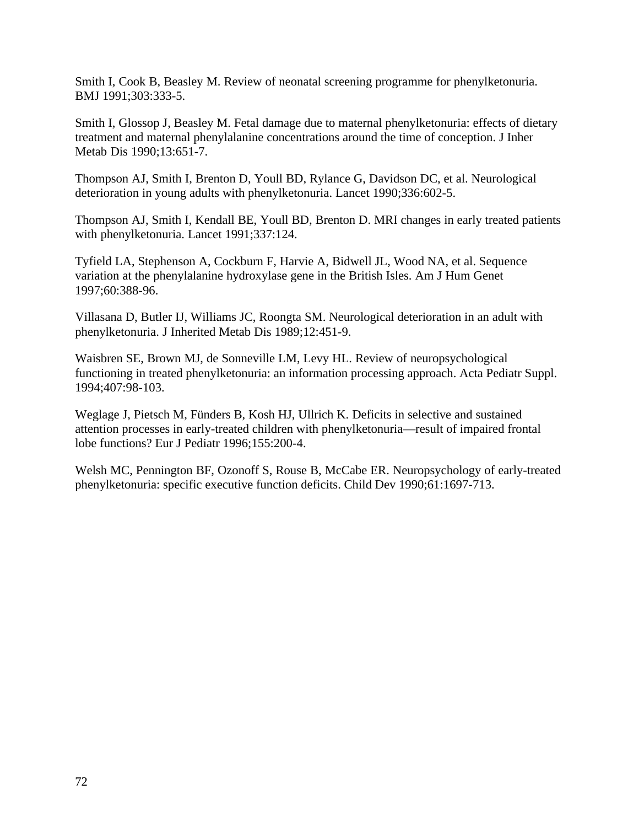Smith I, Cook B, Beasley M. Review of neonatal screening programme for phenylketonuria. BMJ 1991;303:333-5.

Smith I, Glossop J, Beasley M. Fetal damage due to maternal phenylketonuria: effects of dietary treatment and maternal phenylalanine concentrations around the time of conception. J Inher Metab Dis 1990;13:651-7.

Thompson AJ, Smith I, Brenton D, Youll BD, Rylance G, Davidson DC, et al. Neurological deterioration in young adults with phenylketonuria. Lancet 1990;336:602-5.

Thompson AJ, Smith I, Kendall BE, Youll BD, Brenton D. MRI changes in early treated patients with phenylketonuria. Lancet 1991;337:124.

Tyfield LA, Stephenson A, Cockburn F, Harvie A, Bidwell JL, Wood NA, et al. Sequence variation at the phenylalanine hydroxylase gene in the British Isles. Am J Hum Genet 1997;60:388-96.

Villasana D, Butler IJ, Williams JC, Roongta SM. Neurological deterioration in an adult with phenylketonuria. J Inherited Metab Dis 1989;12:451-9.

Waisbren SE, Brown MJ, de Sonneville LM, Levy HL. Review of neuropsychological functioning in treated phenylketonuria: an information processing approach. Acta Pediatr Suppl. 1994;407:98-103.

Weglage J, Pietsch M, Fünders B, Kosh HJ, Ullrich K. Deficits in selective and sustained attention processes in early-treated children with phenylketonuria—result of impaired frontal lobe functions? Eur J Pediatr 1996;155:200-4.

Welsh MC, Pennington BF, Ozonoff S, Rouse B, McCabe ER. Neuropsychology of early-treated phenylketonuria: specific executive function deficits. Child Dev 1990;61:1697-713.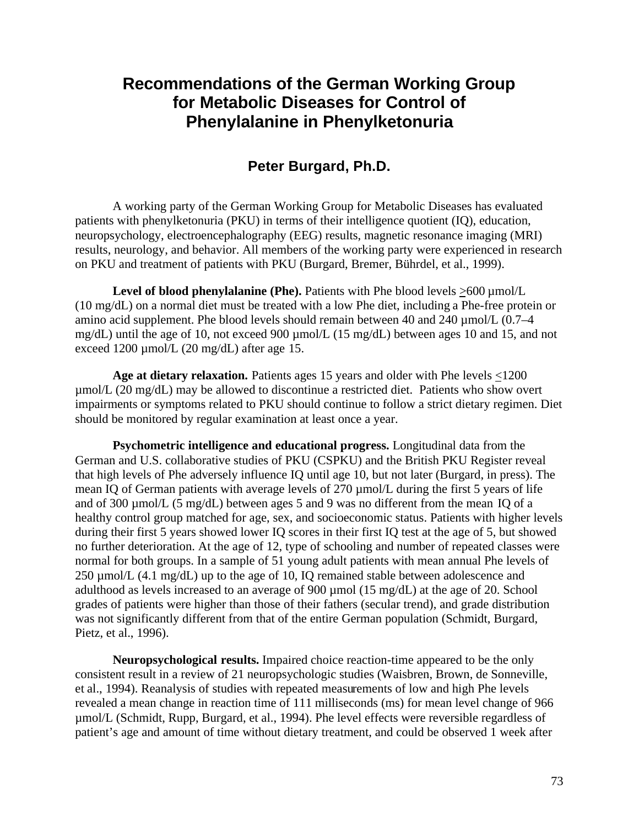# **Recommendations of the German Working Group for Metabolic Diseases for Control of Phenylalanine in Phenylketonuria**

# **Peter Burgard, Ph.D.**

A working party of the German Working Group for Metabolic Diseases has evaluated patients with phenylketonuria (PKU) in terms of their intelligence quotient (IQ), education, neuropsychology, electroencephalography (EEG) results, magnetic resonance imaging (MRI) results, neurology, and behavior. All members of the working party were experienced in research on PKU and treatment of patients with PKU (Burgard, Bremer, Bührdel, et al., 1999).

Level of blood phenylalanine (Phe). Patients with Phe blood levels  $>600 \mu$ mol/L (10 mg/dL) on a normal diet must be treated with a low Phe diet, including a Phe-free protein or amino acid supplement. Phe blood levels should remain between 40 and 240  $\mu$ mol/L (0.7–4) mg/dL) until the age of 10, not exceed 900 µmol/L (15 mg/dL) between ages 10 and 15, and not exceed 1200 µmol/L (20 mg/dL) after age 15.

**Age at dietary relaxation.** Patients ages 15 years and older with Phe levels <1200 µmol/L (20 mg/dL) may be allowed to discontinue a restricted diet. Patients who show overt impairments or symptoms related to PKU should continue to follow a strict dietary regimen. Diet should be monitored by regular examination at least once a year.

**Psychometric intelligence and educational progress.** Longitudinal data from the German and U.S. collaborative studies of PKU (CSPKU) and the British PKU Register reveal that high levels of Phe adversely influence IQ until age 10, but not later (Burgard, in press). The mean IQ of German patients with average levels of 270 µmol/L during the first 5 years of life and of 300 µmol/L (5 mg/dL) between ages 5 and 9 was no different from the mean IQ of a healthy control group matched for age, sex, and socioeconomic status. Patients with higher levels during their first 5 years showed lower IQ scores in their first IQ test at the age of 5, but showed no further deterioration. At the age of 12, type of schooling and number of repeated classes were normal for both groups. In a sample of 51 young adult patients with mean annual Phe levels of 250 µmol/L (4.1 mg/dL) up to the age of 10, IQ remained stable between adolescence and adulthood as levels increased to an average of 900 µmol (15 mg/dL) at the age of 20. School grades of patients were higher than those of their fathers (secular trend), and grade distribution was not significantly different from that of the entire German population (Schmidt, Burgard, Pietz, et al., 1996).

**Neuropsychological results.** Impaired choice reaction-time appeared to be the only consistent result in a review of 21 neuropsychologic studies (Waisbren, Brown, de Sonneville, et al., 1994). Reanalysis of studies with repeated measurements of low and high Phe levels revealed a mean change in reaction time of 111 milliseconds (ms) for mean level change of 966 µmol/L (Schmidt, Rupp, Burgard, et al., 1994). Phe level effects were reversible regardless of patient's age and amount of time without dietary treatment, and could be observed 1 week after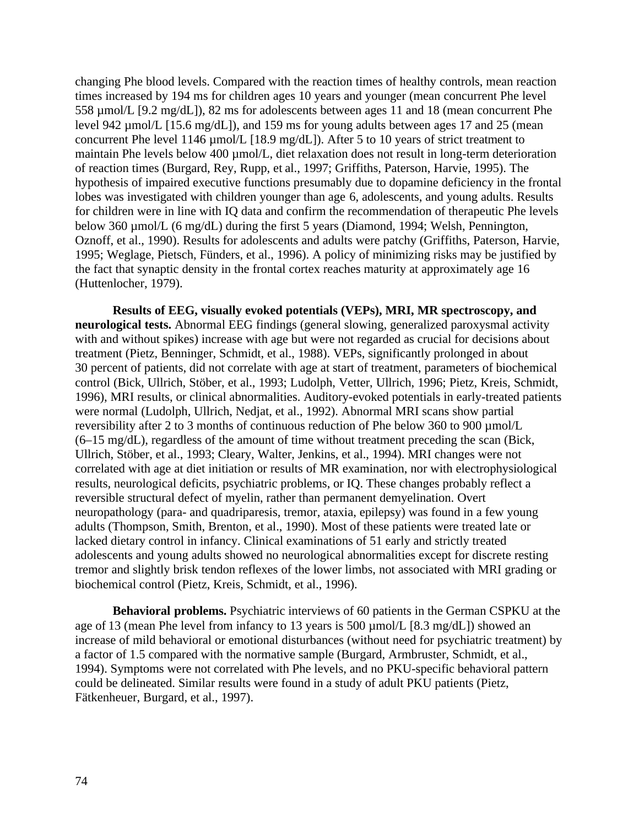changing Phe blood levels. Compared with the reaction times of healthy controls, mean reaction times increased by 194 ms for children ages 10 years and younger (mean concurrent Phe level 558 µmol/L [9.2 mg/dL]), 82 ms for adolescents between ages 11 and 18 (mean concurrent Phe level 942 µmol/L [15.6 mg/dL]), and 159 ms for young adults between ages 17 and 25 (mean concurrent Phe level 1146 µmol/L [18.9 mg/dL]). After 5 to 10 years of strict treatment to maintain Phe levels below 400  $\mu$ mol/L, diet relaxation does not result in long-term deterioration of reaction times (Burgard, Rey, Rupp, et al., 1997; Griffiths, Paterson, Harvie, 1995). The hypothesis of impaired executive functions presumably due to dopamine deficiency in the frontal lobes was investigated with children younger than age 6, adolescents, and young adults. Results for children were in line with IQ data and confirm the recommendation of therapeutic Phe levels below 360 µmol/L (6 mg/dL) during the first 5 years (Diamond, 1994; Welsh, Pennington, Oznoff, et al., 1990). Results for adolescents and adults were patchy (Griffiths, Paterson, Harvie, 1995; Weglage, Pietsch, Fünders, et al., 1996). A policy of minimizing risks may be justified by the fact that synaptic density in the frontal cortex reaches maturity at approximately age 16 (Huttenlocher, 1979).

**Results of EEG, visually evoked potentials (VEPs), MRI, MR spectroscopy, and neurological tests.** Abnormal EEG findings (general slowing, generalized paroxysmal activity with and without spikes) increase with age but were not regarded as crucial for decisions about treatment (Pietz, Benninger, Schmidt, et al., 1988). VEPs, significantly prolonged in about 30 percent of patients, did not correlate with age at start of treatment, parameters of biochemical control (Bick, Ullrich, Stöber, et al., 1993; Ludolph, Vetter, Ullrich, 1996; Pietz, Kreis, Schmidt, 1996), MRI results, or clinical abnormalities. Auditory-evoked potentials in early-treated patients were normal (Ludolph, Ullrich, Nedjat, et al., 1992). Abnormal MRI scans show partial reversibility after 2 to 3 months of continuous reduction of Phe below 360 to 900 µmol/L (6–15 mg/dL), regardless of the amount of time without treatment preceding the scan (Bick, Ullrich, Stöber, et al., 1993; Cleary, Walter, Jenkins, et al., 1994). MRI changes were not correlated with age at diet initiation or results of MR examination, nor with electrophysiological results, neurological deficits, psychiatric problems, or IQ. These changes probably reflect a reversible structural defect of myelin, rather than permanent demyelination. Overt neuropathology (para- and quadriparesis, tremor, ataxia, epilepsy) was found in a few young adults (Thompson, Smith, Brenton, et al., 1990). Most of these patients were treated late or lacked dietary control in infancy. Clinical examinations of 51 early and strictly treated adolescents and young adults showed no neurological abnormalities except for discrete resting tremor and slightly brisk tendon reflexes of the lower limbs, not associated with MRI grading or biochemical control (Pietz, Kreis, Schmidt, et al., 1996).

**Behavioral problems.** Psychiatric interviews of 60 patients in the German CSPKU at the age of 13 (mean Phe level from infancy to 13 years is 500 µmol/L [8.3 mg/dL]) showed an increase of mild behavioral or emotional disturbances (without need for psychiatric treatment) by a factor of 1.5 compared with the normative sample (Burgard, Armbruster, Schmidt, et al., 1994). Symptoms were not correlated with Phe levels, and no PKU-specific behavioral pattern could be delineated. Similar results were found in a study of adult PKU patients (Pietz, Fätkenheuer, Burgard, et al., 1997).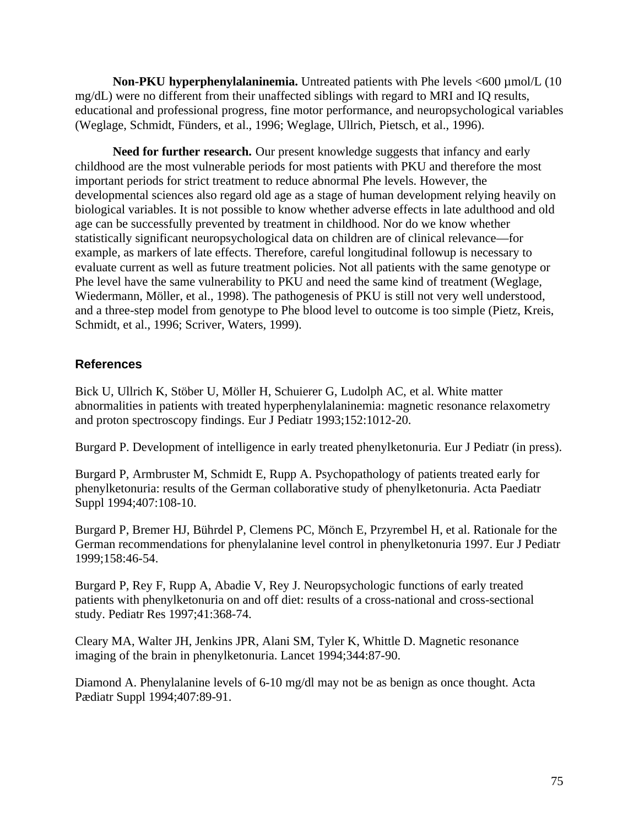**Non-PKU hyperphenylalaninemia.** Untreated patients with Phe levels <600 µmol/L (10) mg/dL) were no different from their unaffected siblings with regard to MRI and IQ results, educational and professional progress, fine motor performance, and neuropsychological variables (Weglage, Schmidt, Fünders, et al., 1996; Weglage, Ullrich, Pietsch, et al., 1996).

**Need for further research.** Our present knowledge suggests that infancy and early childhood are the most vulnerable periods for most patients with PKU and therefore the most important periods for strict treatment to reduce abnormal Phe levels. However, the developmental sciences also regard old age as a stage of human development relying heavily on biological variables. It is not possible to know whether adverse effects in late adulthood and old age can be successfully prevented by treatment in childhood. Nor do we know whether statistically significant neuropsychological data on children are of clinical relevance—for example, as markers of late effects. Therefore, careful longitudinal followup is necessary to evaluate current as well as future treatment policies. Not all patients with the same genotype or Phe level have the same vulnerability to PKU and need the same kind of treatment (Weglage, Wiedermann, Möller, et al., 1998). The pathogenesis of PKU is still not very well understood, and a three-step model from genotype to Phe blood level to outcome is too simple (Pietz, Kreis, Schmidt, et al., 1996; Scriver, Waters, 1999).

## **References**

Bick U, Ullrich K, Stöber U, Möller H, Schuierer G, Ludolph AC, et al. White matter abnormalities in patients with treated hyperphenylalaninemia: magnetic resonance relaxometry and proton spectroscopy findings. Eur J Pediatr 1993;152:1012-20.

Burgard P. Development of intelligence in early treated phenylketonuria. Eur J Pediatr (in press).

Burgard P, Armbruster M, Schmidt E, Rupp A. Psychopathology of patients treated early for phenylketonuria: results of the German collaborative study of phenylketonuria. Acta Paediatr Suppl 1994;407:108-10.

Burgard P, Bremer HJ, Bührdel P, Clemens PC, Mönch E, Przyrembel H, et al. Rationale for the German recommendations for phenylalanine level control in phenylketonuria 1997. Eur J Pediatr 1999;158:46-54.

Burgard P, Rey F, Rupp A, Abadie V, Rey J. Neuropsychologic functions of early treated patients with phenylketonuria on and off diet: results of a cross-national and cross-sectional study. Pediatr Res 1997;41:368-74.

Cleary MA, Walter JH, Jenkins JPR, Alani SM, Tyler K, Whittle D. Magnetic resonance imaging of the brain in phenylketonuria. Lancet 1994;344:87-90.

Diamond A. Phenylalanine levels of 6-10 mg/dl may not be as benign as once thought. Acta Pædiatr Suppl 1994;407:89-91.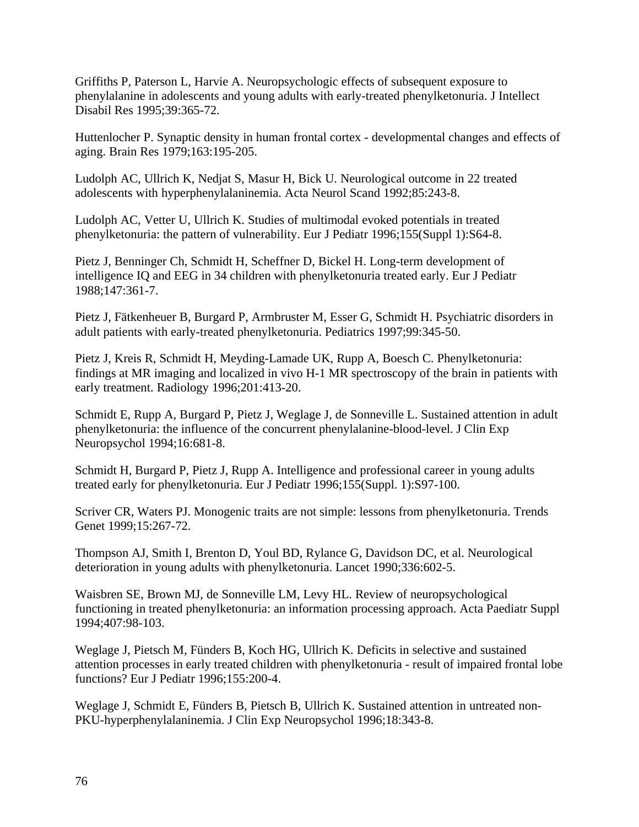Griffiths P, Paterson L, Harvie A. Neuropsychologic effects of subsequent exposure to phenylalanine in adolescents and young adults with early-treated phenylketonuria. J Intellect Disabil Res 1995;39:365-72.

Huttenlocher P. Synaptic density in human frontal cortex - developmental changes and effects of aging. Brain Res 1979;163:195-205.

Ludolph AC, Ullrich K, Nedjat S, Masur H, Bick U. Neurological outcome in 22 treated adolescents with hyperphenylalaninemia. Acta Neurol Scand 1992;85:243-8.

Ludolph AC, Vetter U, Ullrich K. Studies of multimodal evoked potentials in treated phenylketonuria: the pattern of vulnerability. Eur J Pediatr 1996;155(Suppl 1):S64-8.

Pietz J, Benninger Ch, Schmidt H, Scheffner D, Bickel H. Long-term development of intelligence IQ and EEG in 34 children with phenylketonuria treated early. Eur J Pediatr 1988;147:361-7.

Pietz J, Fätkenheuer B, Burgard P, Armbruster M, Esser G, Schmidt H. Psychiatric disorders in adult patients with early-treated phenylketonuria. Pediatrics 1997;99:345-50.

Pietz J, Kreis R, Schmidt H, Meyding-Lamade UK, Rupp A, Boesch C. Phenylketonuria: findings at MR imaging and localized in vivo H-1 MR spectroscopy of the brain in patients with early treatment. Radiology 1996;201:413-20.

Schmidt E, Rupp A, Burgard P, Pietz J, Weglage J, de Sonneville L. Sustained attention in adult phenylketonuria: the influence of the concurrent phenylalanine-blood-level. J Clin Exp Neuropsychol 1994;16:681-8.

Schmidt H, Burgard P, Pietz J, Rupp A. Intelligence and professional career in young adults treated early for phenylketonuria. Eur J Pediatr 1996;155(Suppl. 1):S97-100.

Scriver CR, Waters PJ. Monogenic traits are not simple: lessons from phenylketonuria. Trends Genet 1999;15:267-72.

Thompson AJ, Smith I, Brenton D, Youl BD, Rylance G, Davidson DC, et al. Neurological deterioration in young adults with phenylketonuria. Lancet 1990;336:602-5.

Waisbren SE, Brown MJ, de Sonneville LM, Levy HL. Review of neuropsychological functioning in treated phenylketonuria: an information processing approach. Acta Paediatr Suppl 1994;407:98-103.

Weglage J, Pietsch M, Fünders B, Koch HG, Ullrich K. Deficits in selective and sustained attention processes in early treated children with phenylketonuria - result of impaired frontal lobe functions? Eur J Pediatr 1996;155:200-4.

Weglage J, Schmidt E, Fünders B, Pietsch B, Ullrich K. Sustained attention in untreated non-PKU-hyperphenylalaninemia. J Clin Exp Neuropsychol 1996;18:343-8.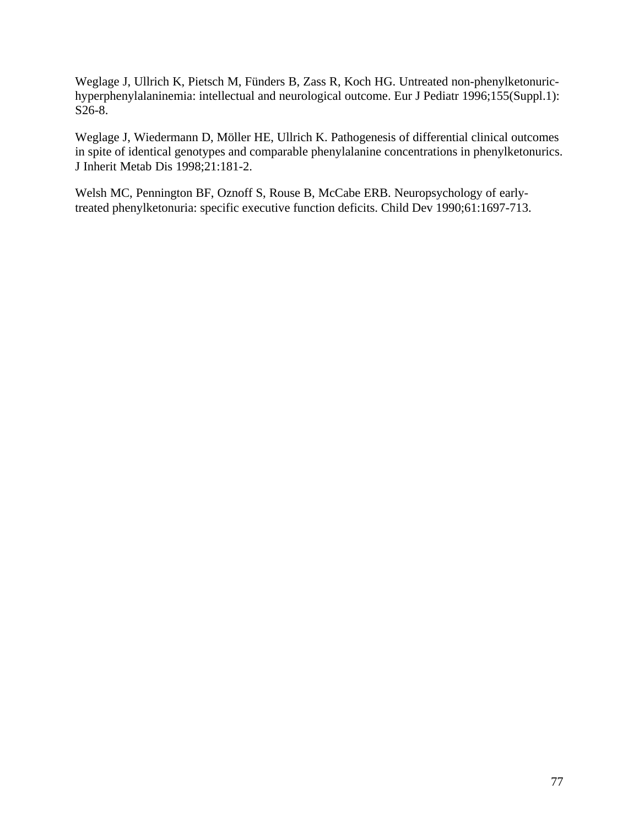Weglage J, Ullrich K, Pietsch M, Fünders B, Zass R, Koch HG. Untreated non-phenylketonurichyperphenylalaninemia: intellectual and neurological outcome. Eur J Pediatr 1996;155(Suppl.1): S26-8.

Weglage J, Wiedermann D, Möller HE, Ullrich K. Pathogenesis of differential clinical outcomes in spite of identical genotypes and comparable phenylalanine concentrations in phenylketonurics. J Inherit Metab Dis 1998;21:181-2.

Welsh MC, Pennington BF, Oznoff S, Rouse B, McCabe ERB. Neuropsychology of earlytreated phenylketonuria: specific executive function deficits. Child Dev 1990;61:1697-713.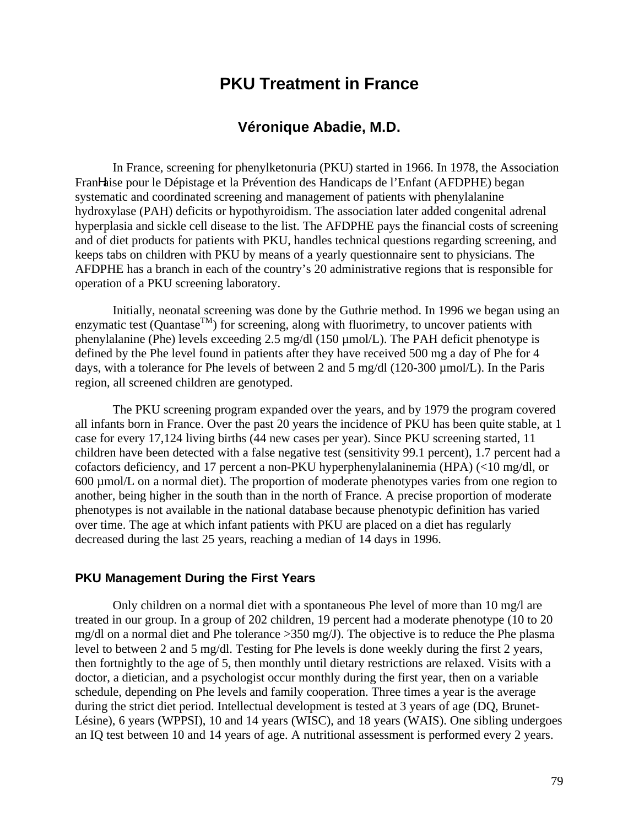# **PKU Treatment in France**

## **Véronique Abadie, M.D.**

In France, screening for phenylketonuria (PKU) started in 1966. In 1978, the Association FranHaise pour le Dépistage et la Prévention des Handicaps de l'Enfant (AFDPHE) began systematic and coordinated screening and management of patients with phenylalanine hydroxylase (PAH) deficits or hypothyroidism. The association later added congenital adrenal hyperplasia and sickle cell disease to the list. The AFDPHE pays the financial costs of screening and of diet products for patients with PKU, handles technical questions regarding screening, and keeps tabs on children with PKU by means of a yearly questionnaire sent to physicians. The AFDPHE has a branch in each of the country's 20 administrative regions that is responsible for operation of a PKU screening laboratory.

Initially, neonatal screening was done by the Guthrie method. In 1996 we began using an enzymatic test (Quantase<sup>TM</sup>) for screening, along with fluorimetry, to uncover patients with phenylalanine (Phe) levels exceeding 2.5 mg/dl (150 µmol/L). The PAH deficit phenotype is defined by the Phe level found in patients after they have received 500 mg a day of Phe for 4 days, with a tolerance for Phe levels of between 2 and 5 mg/dl (120-300 µmol/L). In the Paris region, all screened children are genotyped.

The PKU screening program expanded over the years, and by 1979 the program covered all infants born in France. Over the past 20 years the incidence of PKU has been quite stable, at 1 case for every 17,124 living births (44 new cases per year). Since PKU screening started, 11 children have been detected with a false negative test (sensitivity 99.1 percent), 1.7 percent had a cofactors deficiency, and 17 percent a non-PKU hyperphenylalaninemia (HPA) (<10 mg/dl, or 600 µmol/L on a normal diet). The proportion of moderate phenotypes varies from one region to another, being higher in the south than in the north of France. A precise proportion of moderate phenotypes is not available in the national database because phenotypic definition has varied over time. The age at which infant patients with PKU are placed on a diet has regularly decreased during the last 25 years, reaching a median of 14 days in 1996.

#### **PKU Management During the First Years**

Only children on a normal diet with a spontaneous Phe level of more than 10 mg/l are treated in our group. In a group of 202 children, 19 percent had a moderate phenotype (10 to 20 mg/dl on a normal diet and Phe tolerance >350 mg/J). The objective is to reduce the Phe plasma level to between 2 and 5 mg/dl. Testing for Phe levels is done weekly during the first 2 years, then fortnightly to the age of 5, then monthly until dietary restrictions are relaxed. Visits with a doctor, a dietician, and a psychologist occur monthly during the first year, then on a variable schedule, depending on Phe levels and family cooperation. Three times a year is the average during the strict diet period. Intellectual development is tested at 3 years of age (DQ, Brunet-Lésine), 6 years (WPPSI), 10 and 14 years (WISC), and 18 years (WAIS). One sibling undergoes an IQ test between 10 and 14 years of age. A nutritional assessment is performed every 2 years.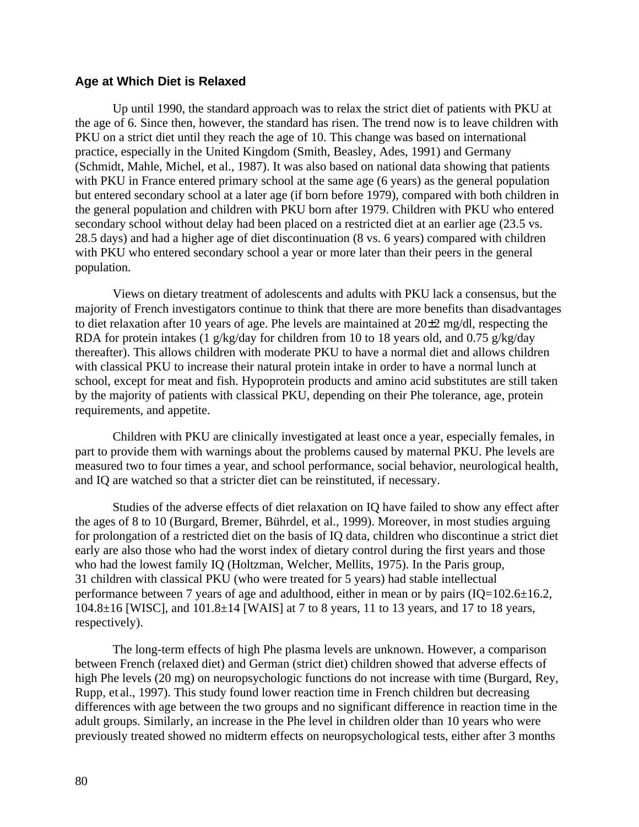#### **Age at Which Diet is Relaxed**

Up until 1990, the standard approach was to relax the strict diet of patients with PKU at the age of 6. Since then, however, the standard has risen. The trend now is to leave children with PKU on a strict diet until they reach the age of 10. This change was based on international practice, especially in the United Kingdom (Smith, Beasley, Ades, 1991) and Germany (Schmidt, Mahle, Michel, et al., 1987). It was also based on national data showing that patients with PKU in France entered primary school at the same age (6 years) as the general population but entered secondary school at a later age (if born before 1979), compared with both children in the general population and children with PKU born after 1979. Children with PKU who entered secondary school without delay had been placed on a restricted diet at an earlier age (23.5 vs. 28.5 days) and had a higher age of diet discontinuation (8 vs. 6 years) compared with children with PKU who entered secondary school a year or more later than their peers in the general population.

Views on dietary treatment of adolescents and adults with PKU lack a consensus, but the majority of French investigators continue to think that there are more benefits than disadvantages to diet relaxation after 10 years of age. Phe levels are maintained at  $20\pm 2$  mg/dl, respecting the RDA for protein intakes (1 g/kg/day for children from 10 to 18 years old, and 0.75 g/kg/day thereafter). This allows children with moderate PKU to have a normal diet and allows children with classical PKU to increase their natural protein intake in order to have a normal lunch at school, except for meat and fish. Hypoprotein products and amino acid substitutes are still taken by the majority of patients with classical PKU, depending on their Phe tolerance, age, protein requirements, and appetite.

Children with PKU are clinically investigated at least once a year, especially females, in part to provide them with warnings about the problems caused by maternal PKU. Phe levels are measured two to four times a year, and school performance, social behavior, neurological health, and IQ are watched so that a stricter diet can be reinstituted, if necessary.

Studies of the adverse effects of diet relaxation on IQ have failed to show any effect after the ages of 8 to 10 (Burgard, Bremer, Bührdel, et al., 1999). Moreover, in most studies arguing for prolongation of a restricted diet on the basis of IQ data, children who discontinue a strict diet early are also those who had the worst index of dietary control during the first years and those who had the lowest family IQ (Holtzman, Welcher, Mellits, 1975). In the Paris group, 31 children with classical PKU (who were treated for 5 years) had stable intellectual performance between 7 years of age and adulthood, either in mean or by pairs (IQ=102.6±16.2, 104.8 $\pm$ 16 [WISC], and 101.8 $\pm$ 14 [WAIS] at 7 to 8 years, 11 to 13 years, and 17 to 18 years, respectively).

The long-term effects of high Phe plasma levels are unknown. However, a comparison between French (relaxed diet) and German (strict diet) children showed that adverse effects of high Phe levels (20 mg) on neuropsychologic functions do not increase with time (Burgard, Rey, Rupp, et al., 1997). This study found lower reaction time in French children but decreasing differences with age between the two groups and no significant difference in reaction time in the adult groups. Similarly, an increase in the Phe level in children older than 10 years who were previously treated showed no midterm effects on neuropsychological tests, either after 3 months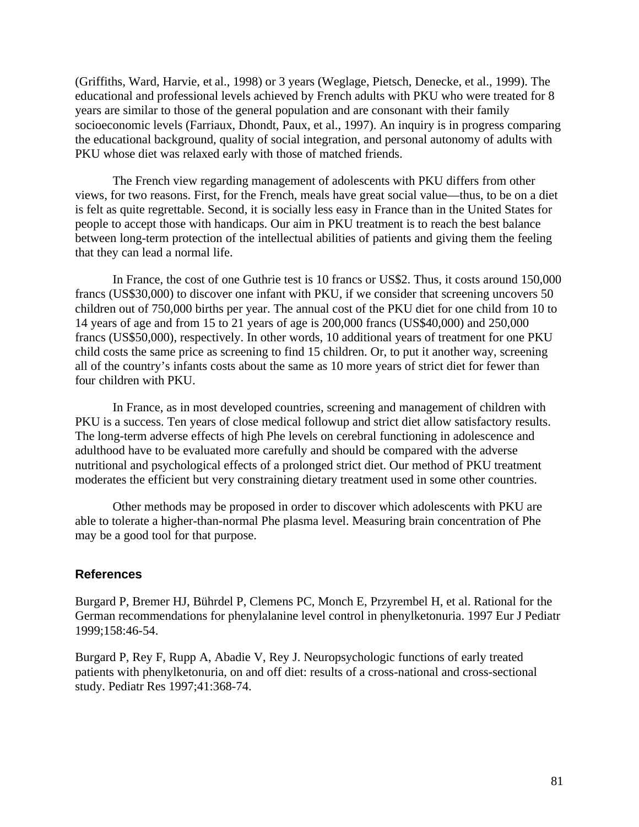(Griffiths, Ward, Harvie, et al., 1998) or 3 years (Weglage, Pietsch, Denecke, et al., 1999). The educational and professional levels achieved by French adults with PKU who were treated for 8 years are similar to those of the general population and are consonant with their family socioeconomic levels (Farriaux, Dhondt, Paux, et al., 1997). An inquiry is in progress comparing the educational background, quality of social integration, and personal autonomy of adults with PKU whose diet was relaxed early with those of matched friends.

The French view regarding management of adolescents with PKU differs from other views, for two reasons. First, for the French, meals have great social value—thus, to be on a diet is felt as quite regrettable. Second, it is socially less easy in France than in the United States for people to accept those with handicaps. Our aim in PKU treatment is to reach the best balance between long-term protection of the intellectual abilities of patients and giving them the feeling that they can lead a normal life.

In France, the cost of one Guthrie test is 10 francs or US\$2. Thus, it costs around 150,000 francs (US\$30,000) to discover one infant with PKU, if we consider that screening uncovers 50 children out of 750,000 births per year. The annual cost of the PKU diet for one child from 10 to 14 years of age and from 15 to 21 years of age is 200,000 francs (US\$40,000) and 250,000 francs (US\$50,000), respectively. In other words, 10 additional years of treatment for one PKU child costs the same price as screening to find 15 children. Or, to put it another way, screening all of the country's infants costs about the same as 10 more years of strict diet for fewer than four children with PKU.

In France, as in most developed countries, screening and management of children with PKU is a success. Ten years of close medical followup and strict diet allow satisfactory results. The long-term adverse effects of high Phe levels on cerebral functioning in adolescence and adulthood have to be evaluated more carefully and should be compared with the adverse nutritional and psychological effects of a prolonged strict diet. Our method of PKU treatment moderates the efficient but very constraining dietary treatment used in some other countries.

Other methods may be proposed in order to discover which adolescents with PKU are able to tolerate a higher-than-normal Phe plasma level. Measuring brain concentration of Phe may be a good tool for that purpose.

#### **References**

Burgard P, Bremer HJ, Bührdel P, Clemens PC, Monch E, Przyrembel H, et al. Rational for the German recommendations for phenylalanine level control in phenylketonuria. 1997 Eur J Pediatr 1999;158:46-54.

Burgard P, Rey F, Rupp A, Abadie V, Rey J. Neuropsychologic functions of early treated patients with phenylketonuria, on and off diet: results of a cross-national and cross-sectional study. Pediatr Res 1997;41:368-74.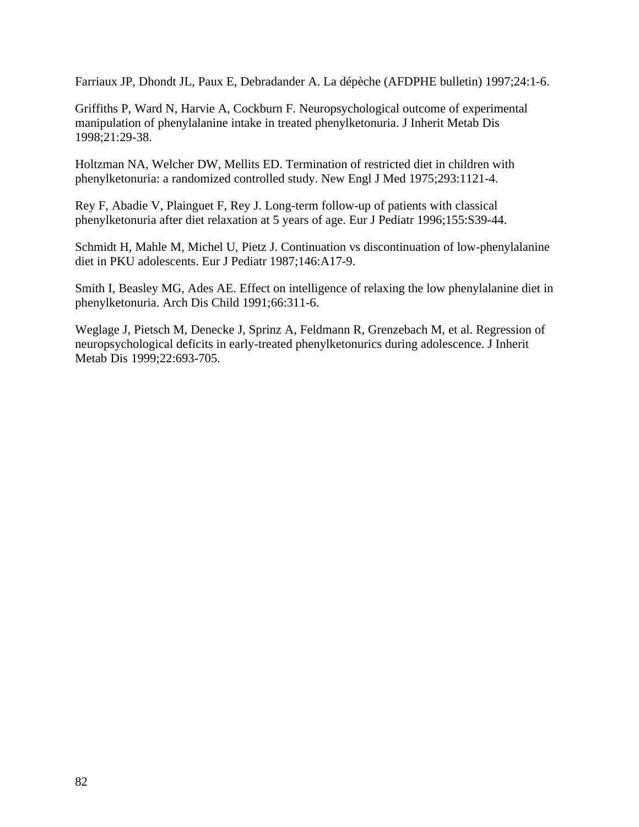Farriaux JP, Dhondt JL, Paux E, Debradander A. La dépèche (AFDPHE bulletin) 1997;24:1-6.

Griffiths P, Ward N, Harvie A, Cockburn F. Neuropsychological outcome of experimental manipulation of phenylalanine intake in treated phenylketonuria. J Inherit Metab Dis 1998;21:29-38.

Holtzman NA, Welcher DW, Mellits ED. Termination of restricted diet in children with phenylketonuria: a randomized controlled study. New Engl J Med 1975;293:1121-4.

Rey F, Abadie V, Plainguet F, Rey J. Long-term follow-up of patients with classical phenylketonuria after diet relaxation at 5 years of age. Eur J Pediatr 1996;155:S39-44.

Schmidt H, Mahle M, Michel U, Pietz J. Continuation vs discontinuation of low-phenylalanine diet in PKU adolescents. Eur J Pediatr 1987;146:A17-9.

Smith I, Beasley MG, Ades AE. Effect on intelligence of relaxing the low phenylalanine diet in phenylketonuria. Arch Dis Child 1991;66:311-6.

Weglage J, Pietsch M, Denecke J, Sprinz A, Feldmann R, Grenzebach M, et al. Regression of neuropsychological deficits in early-treated phenylketonurics during adolescence. J Inherit Metab Dis 1999;22:693-705.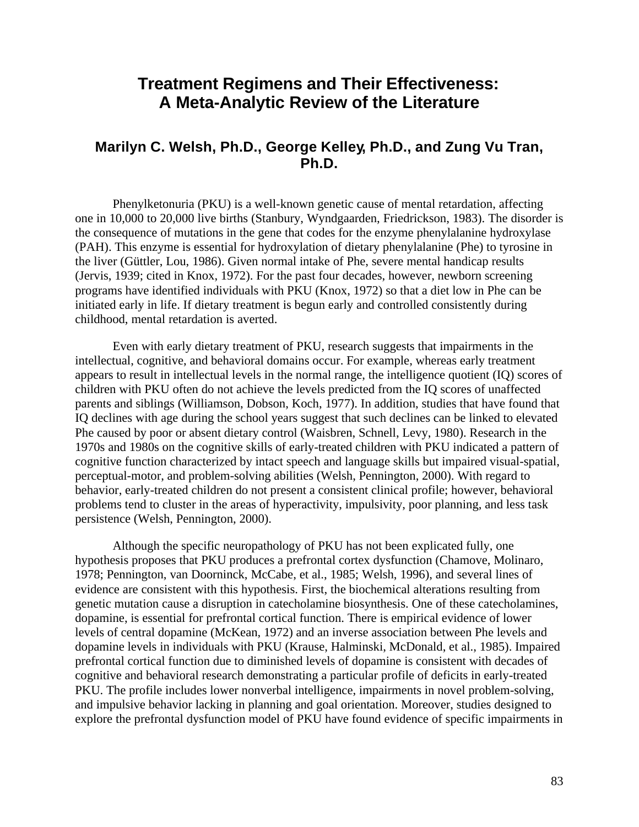# **Treatment Regimens and Their Effectiveness: A Meta-Analytic Review of the Literature**

## **Marilyn C. Welsh, Ph.D., George Kelley, Ph.D., and Zung Vu Tran, Ph.D.**

Phenylketonuria (PKU) is a well-known genetic cause of mental retardation, affecting one in 10,000 to 20,000 live births (Stanbury, Wyndgaarden, Friedrickson, 1983). The disorder is the consequence of mutations in the gene that codes for the enzyme phenylalanine hydroxylase (PAH). This enzyme is essential for hydroxylation of dietary phenylalanine (Phe) to tyrosine in the liver (Güttler, Lou, 1986). Given normal intake of Phe, severe mental handicap results (Jervis, 1939; cited in Knox, 1972). For the past four decades, however, newborn screening programs have identified individuals with PKU (Knox, 1972) so that a diet low in Phe can be initiated early in life. If dietary treatment is begun early and controlled consistently during childhood, mental retardation is averted.

Even with early dietary treatment of PKU, research suggests that impairments in the intellectual, cognitive, and behavioral domains occur. For example, whereas early treatment appears to result in intellectual levels in the normal range, the intelligence quotient (IQ) scores of children with PKU often do not achieve the levels predicted from the IQ scores of unaffected parents and siblings (Williamson, Dobson, Koch, 1977). In addition, studies that have found that IQ declines with age during the school years suggest that such declines can be linked to elevated Phe caused by poor or absent dietary control (Waisbren, Schnell, Levy, 1980). Research in the 1970s and 1980s on the cognitive skills of early-treated children with PKU indicated a pattern of cognitive function characterized by intact speech and language skills but impaired visual-spatial, perceptual-motor, and problem-solving abilities (Welsh, Pennington, 2000). With regard to behavior, early-treated children do not present a consistent clinical profile; however, behavioral problems tend to cluster in the areas of hyperactivity, impulsivity, poor planning, and less task persistence (Welsh, Pennington, 2000).

Although the specific neuropathology of PKU has not been explicated fully, one hypothesis proposes that PKU produces a prefrontal cortex dysfunction (Chamove, Molinaro, 1978; Pennington, van Doorninck, McCabe, et al., 1985; Welsh, 1996), and several lines of evidence are consistent with this hypothesis. First, the biochemical alterations resulting from genetic mutation cause a disruption in catecholamine biosynthesis. One of these catecholamines, dopamine, is essential for prefrontal cortical function. There is empirical evidence of lower levels of central dopamine (McKean, 1972) and an inverse association between Phe levels and dopamine levels in individuals with PKU (Krause, Halminski, McDonald, et al., 1985). Impaired prefrontal cortical function due to diminished levels of dopamine is consistent with decades of cognitive and behavioral research demonstrating a particular profile of deficits in early-treated PKU. The profile includes lower nonverbal intelligence, impairments in novel problem-solving, and impulsive behavior lacking in planning and goal orientation. Moreover, studies designed to explore the prefrontal dysfunction model of PKU have found evidence of specific impairments in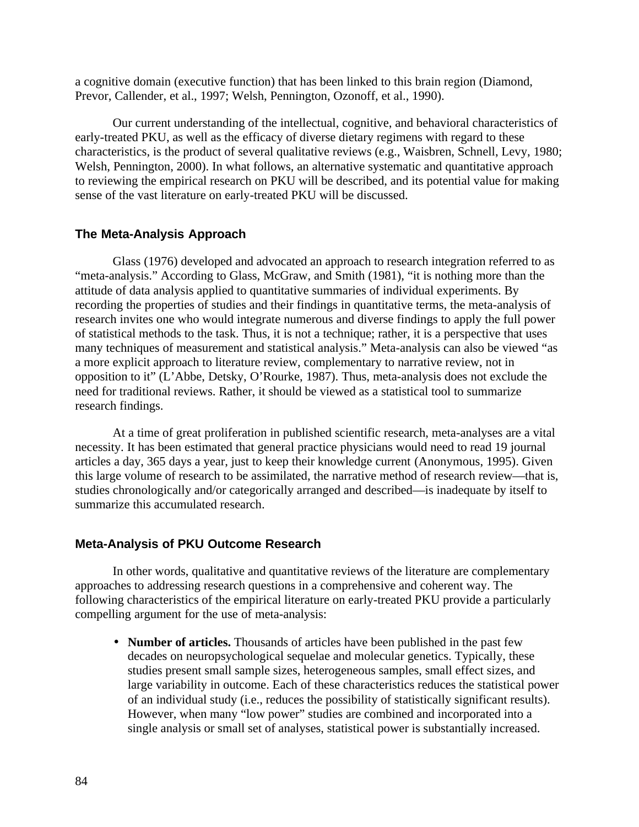a cognitive domain (executive function) that has been linked to this brain region (Diamond, Prevor, Callender, et al., 1997; Welsh, Pennington, Ozonoff, et al., 1990).

Our current understanding of the intellectual, cognitive, and behavioral characteristics of early-treated PKU, as well as the efficacy of diverse dietary regimens with regard to these characteristics, is the product of several qualitative reviews (e.g., Waisbren, Schnell, Levy, 1980; Welsh, Pennington, 2000). In what follows, an alternative systematic and quantitative approach to reviewing the empirical research on PKU will be described, and its potential value for making sense of the vast literature on early-treated PKU will be discussed.

#### **The Meta-Analysis Approach**

Glass (1976) developed and advocated an approach to research integration referred to as "meta-analysis." According to Glass, McGraw, and Smith (1981), "it is nothing more than the attitude of data analysis applied to quantitative summaries of individual experiments. By recording the properties of studies and their findings in quantitative terms, the meta-analysis of research invites one who would integrate numerous and diverse findings to apply the full power of statistical methods to the task. Thus, it is not a technique; rather, it is a perspective that uses many techniques of measurement and statistical analysis." Meta-analysis can also be viewed "as a more explicit approach to literature review, complementary to narrative review, not in opposition to it" (L'Abbe, Detsky, O'Rourke, 1987). Thus, meta-analysis does not exclude the need for traditional reviews. Rather, it should be viewed as a statistical tool to summarize research findings.

At a time of great proliferation in published scientific research, meta-analyses are a vital necessity. It has been estimated that general practice physicians would need to read 19 journal articles a day, 365 days a year, just to keep their knowledge current (Anonymous, 1995). Given this large volume of research to be assimilated, the narrative method of research review—that is, studies chronologically and/or categorically arranged and described—is inadequate by itself to summarize this accumulated research.

#### **Meta-Analysis of PKU Outcome Research**

In other words, qualitative and quantitative reviews of the literature are complementary approaches to addressing research questions in a comprehensive and coherent way. The following characteristics of the empirical literature on early-treated PKU provide a particularly compelling argument for the use of meta-analysis:

• **Number of articles.** Thousands of articles have been published in the past few decades on neuropsychological sequelae and molecular genetics. Typically, these studies present small sample sizes, heterogeneous samples, small effect sizes, and large variability in outcome. Each of these characteristics reduces the statistical power of an individual study (i.e., reduces the possibility of statistically significant results). However, when many "low power" studies are combined and incorporated into a single analysis or small set of analyses, statistical power is substantially increased.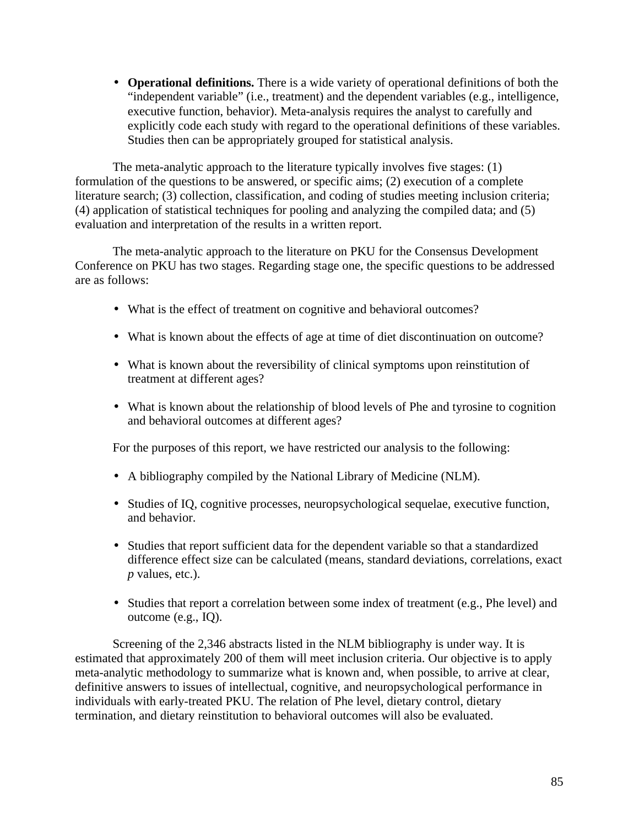• **Operational definitions.** There is a wide variety of operational definitions of both the "independent variable" (i.e., treatment) and the dependent variables (e.g., intelligence, executive function, behavior). Meta-analysis requires the analyst to carefully and explicitly code each study with regard to the operational definitions of these variables. Studies then can be appropriately grouped for statistical analysis.

The meta-analytic approach to the literature typically involves five stages: (1) formulation of the questions to be answered, or specific aims; (2) execution of a complete literature search; (3) collection, classification, and coding of studies meeting inclusion criteria; (4) application of statistical techniques for pooling and analyzing the compiled data; and (5) evaluation and interpretation of the results in a written report.

The meta-analytic approach to the literature on PKU for the Consensus Development Conference on PKU has two stages. Regarding stage one, the specific questions to be addressed are as follows:

- What is the effect of treatment on cognitive and behavioral outcomes?
- What is known about the effects of age at time of diet discontinuation on outcome?
- What is known about the reversibility of clinical symptoms upon reinstitution of treatment at different ages?
- What is known about the relationship of blood levels of Phe and tyrosine to cognition and behavioral outcomes at different ages?

For the purposes of this report, we have restricted our analysis to the following:

- • A bibliography compiled by the National Library of Medicine (NLM).
- Studies of IQ, cognitive processes, neuropsychological sequelae, executive function, and behavior.
- Studies that report sufficient data for the dependent variable so that a standardized difference effect size can be calculated (means, standard deviations, correlations, exact *p* values, etc.).
- Studies that report a correlation between some index of treatment (e.g., Phe level) and outcome (e.g., IQ).

Screening of the 2,346 abstracts listed in the NLM bibliography is under way. It is estimated that approximately 200 of them will meet inclusion criteria. Our objective is to apply meta-analytic methodology to summarize what is known and, when possible, to arrive at clear, definitive answers to issues of intellectual, cognitive, and neuropsychological performance in individuals with early-treated PKU. The relation of Phe level, dietary control, dietary termination, and dietary reinstitution to behavioral outcomes will also be evaluated.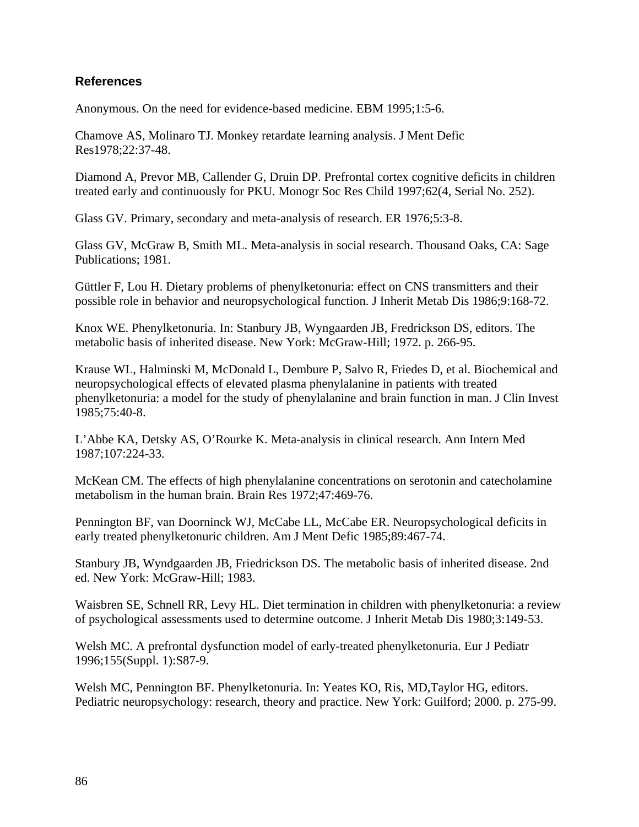## **References**

Anonymous. On the need for evidence-based medicine. EBM 1995;1:5-6.

Chamove AS, Molinaro TJ. Monkey retardate learning analysis. J Ment Defic Res1978;22:37-48.

Diamond A, Prevor MB, Callender G, Druin DP. Prefrontal cortex cognitive deficits in children treated early and continuously for PKU. Monogr Soc Res Child 1997;62(4, Serial No. 252).

Glass GV. Primary, secondary and meta-analysis of research. ER 1976;5:3-8.

Glass GV, McGraw B, Smith ML. Meta-analysis in social research. Thousand Oaks, CA: Sage Publications; 1981.

Güttler F, Lou H. Dietary problems of phenylketonuria: effect on CNS transmitters and their possible role in behavior and neuropsychological function. J Inherit Metab Dis 1986;9:168-72.

Knox WE. Phenylketonuria. In: Stanbury JB, Wyngaarden JB, Fredrickson DS, editors. The metabolic basis of inherited disease. New York: McGraw-Hill; 1972. p. 266-95.

Krause WL, Halminski M, McDonald L, Dembure P, Salvo R, Friedes D, et al. Biochemical and neuropsychological effects of elevated plasma phenylalanine in patients with treated phenylketonuria: a model for the study of phenylalanine and brain function in man. J Clin Invest 1985;75:40-8.

L'Abbe KA, Detsky AS, O'Rourke K. Meta-analysis in clinical research. Ann Intern Med 1987;107:224-33.

McKean CM. The effects of high phenylalanine concentrations on serotonin and catecholamine metabolism in the human brain. Brain Res 1972;47:469-76.

Pennington BF, van Doorninck WJ, McCabe LL, McCabe ER. Neuropsychological deficits in early treated phenylketonuric children. Am J Ment Defic 1985;89:467-74.

Stanbury JB, Wyndgaarden JB, Friedrickson DS. The metabolic basis of inherited disease. 2nd ed. New York: McGraw-Hill; 1983.

Waisbren SE, Schnell RR, Levy HL. Diet termination in children with phenylketonuria: a review of psychological assessments used to determine outcome. J Inherit Metab Dis 1980;3:149-53.

Welsh MC. A prefrontal dysfunction model of early-treated phenylketonuria. Eur J Pediatr 1996;155(Suppl. 1):S87-9.

Welsh MC, Pennington BF. Phenylketonuria. In: Yeates KO, Ris, MD,Taylor HG, editors. Pediatric neuropsychology: research, theory and practice. New York: Guilford; 2000. p. 275-99.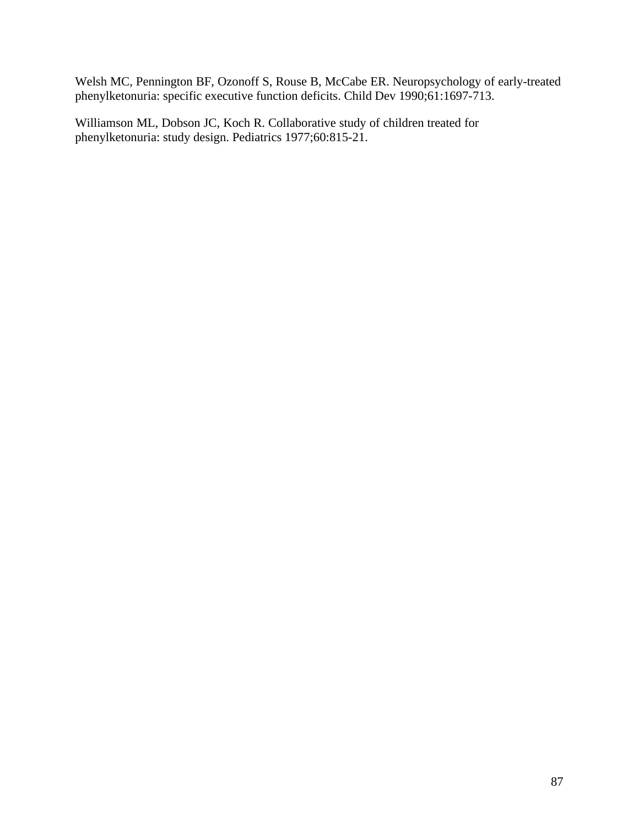Welsh MC, Pennington BF, Ozonoff S, Rouse B, McCabe ER. Neuropsychology of early-treated phenylketonuria: specific executive function deficits. Child Dev 1990;61:1697-713.

Williamson ML, Dobson JC, Koch R. Collaborative study of children treated for phenylketonuria: study design. Pediatrics 1977;60:815-21.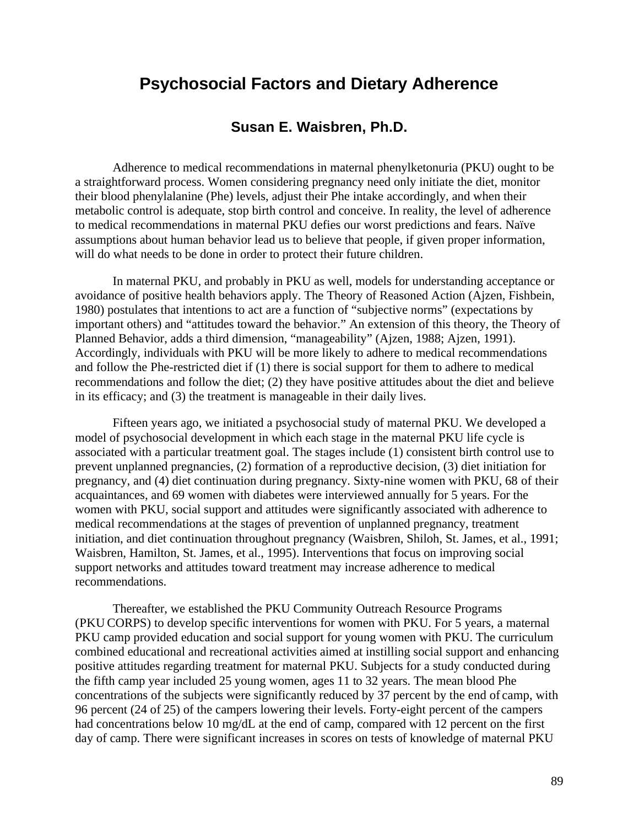# **Psychosocial Factors and Dietary Adherence**

## **Susan E. Waisbren, Ph.D.**

Adherence to medical recommendations in maternal phenylketonuria (PKU) ought to be a straightforward process. Women considering pregnancy need only initiate the diet, monitor their blood phenylalanine (Phe) levels, adjust their Phe intake accordingly, and when their metabolic control is adequate, stop birth control and conceive. In reality, the level of adherence to medical recommendations in maternal PKU defies our worst predictions and fears. Naïve assumptions about human behavior lead us to believe that people, if given proper information, will do what needs to be done in order to protect their future children.

In maternal PKU, and probably in PKU as well, models for understanding acceptance or avoidance of positive health behaviors apply. The Theory of Reasoned Action (Ajzen, Fishbein, 1980) postulates that intentions to act are a function of "subjective norms" (expectations by important others) and "attitudes toward the behavior." An extension of this theory, the Theory of Planned Behavior, adds a third dimension, "manageability" (Ajzen, 1988; Ajzen, 1991). Accordingly, individuals with PKU will be more likely to adhere to medical recommendations and follow the Phe-restricted diet if (1) there is social support for them to adhere to medical recommendations and follow the diet; (2) they have positive attitudes about the diet and believe in its efficacy; and (3) the treatment is manageable in their daily lives.

Fifteen years ago, we initiated a psychosocial study of maternal PKU. We developed a model of psychosocial development in which each stage in the maternal PKU life cycle is associated with a particular treatment goal. The stages include (1) consistent birth control use to prevent unplanned pregnancies, (2) formation of a reproductive decision, (3) diet initiation for pregnancy, and (4) diet continuation during pregnancy. Sixty-nine women with PKU, 68 of their acquaintances, and 69 women with diabetes were interviewed annually for 5 years. For the women with PKU, social support and attitudes were significantly associated with adherence to medical recommendations at the stages of prevention of unplanned pregnancy, treatment initiation, and diet continuation throughout pregnancy (Waisbren, Shiloh, St. James, et al., 1991; Waisbren, Hamilton, St. James, et al., 1995). Interventions that focus on improving social support networks and attitudes toward treatment may increase adherence to medical recommendations.

Thereafter, we established the PKU Community Outreach Resource Programs (PKU CORPS) to develop specific interventions for women with PKU. For 5 years, a maternal PKU camp provided education and social support for young women with PKU. The curriculum combined educational and recreational activities aimed at instilling social support and enhancing positive attitudes regarding treatment for maternal PKU. Subjects for a study conducted during the fifth camp year included 25 young women, ages 11 to 32 years. The mean blood Phe concentrations of the subjects were significantly reduced by 37 percent by the end of camp, with 96 percent (24 of 25) of the campers lowering their levels. Forty-eight percent of the campers had concentrations below 10 mg/dL at the end of camp, compared with 12 percent on the first day of camp. There were significant increases in scores on tests of knowledge of maternal PKU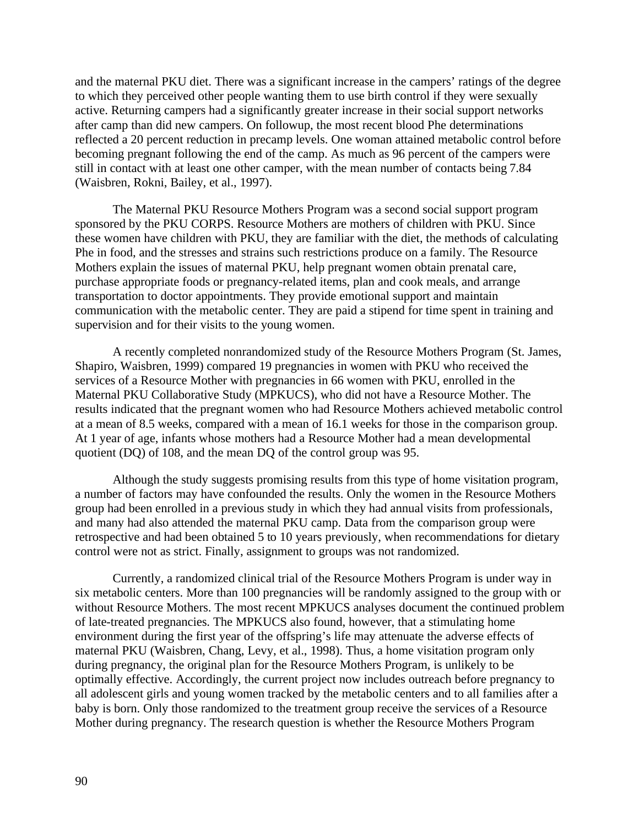and the maternal PKU diet. There was a significant increase in the campers' ratings of the degree to which they perceived other people wanting them to use birth control if they were sexually active. Returning campers had a significantly greater increase in their social support networks after camp than did new campers. On followup, the most recent blood Phe determinations reflected a 20 percent reduction in precamp levels. One woman attained metabolic control before becoming pregnant following the end of the camp. As much as 96 percent of the campers were still in contact with at least one other camper, with the mean number of contacts being 7.84 (Waisbren, Rokni, Bailey, et al., 1997).

The Maternal PKU Resource Mothers Program was a second social support program sponsored by the PKU CORPS. Resource Mothers are mothers of children with PKU. Since these women have children with PKU, they are familiar with the diet, the methods of calculating Phe in food, and the stresses and strains such restrictions produce on a family. The Resource Mothers explain the issues of maternal PKU, help pregnant women obtain prenatal care, purchase appropriate foods or pregnancy-related items, plan and cook meals, and arrange transportation to doctor appointments. They provide emotional support and maintain communication with the metabolic center. They are paid a stipend for time spent in training and supervision and for their visits to the young women.

A recently completed nonrandomized study of the Resource Mothers Program (St. James, Shapiro, Waisbren, 1999) compared 19 pregnancies in women with PKU who received the services of a Resource Mother with pregnancies in 66 women with PKU, enrolled in the Maternal PKU Collaborative Study (MPKUCS), who did not have a Resource Mother. The results indicated that the pregnant women who had Resource Mothers achieved metabolic control at a mean of 8.5 weeks, compared with a mean of 16.1 weeks for those in the comparison group. At 1 year of age, infants whose mothers had a Resource Mother had a mean developmental quotient (DQ) of 108, and the mean DQ of the control group was 95.

Although the study suggests promising results from this type of home visitation program, a number of factors may have confounded the results. Only the women in the Resource Mothers group had been enrolled in a previous study in which they had annual visits from professionals, and many had also attended the maternal PKU camp. Data from the comparison group were retrospective and had been obtained 5 to 10 years previously, when recommendations for dietary control were not as strict. Finally, assignment to groups was not randomized.

Currently, a randomized clinical trial of the Resource Mothers Program is under way in six metabolic centers. More than 100 pregnancies will be randomly assigned to the group with or without Resource Mothers. The most recent MPKUCS analyses document the continued problem of late-treated pregnancies. The MPKUCS also found, however, that a stimulating home environment during the first year of the offspring's life may attenuate the adverse effects of maternal PKU (Waisbren, Chang, Levy, et al., 1998). Thus, a home visitation program only during pregnancy, the original plan for the Resource Mothers Program, is unlikely to be optimally effective. Accordingly, the current project now includes outreach before pregnancy to all adolescent girls and young women tracked by the metabolic centers and to all families after a baby is born. Only those randomized to the treatment group receive the services of a Resource Mother during pregnancy. The research question is whether the Resource Mothers Program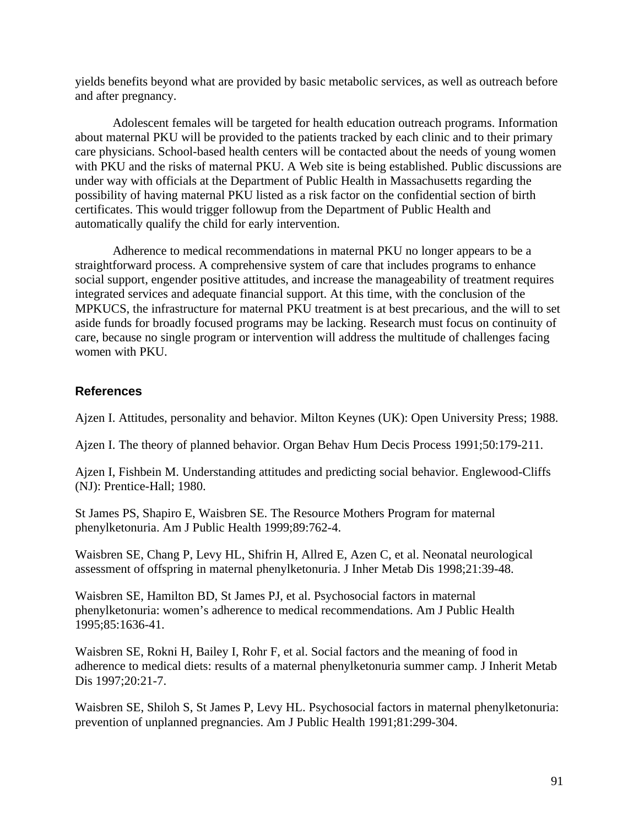yields benefits beyond what are provided by basic metabolic services, as well as outreach before and after pregnancy.

Adolescent females will be targeted for health education outreach programs. Information about maternal PKU will be provided to the patients tracked by each clinic and to their primary care physicians. School-based health centers will be contacted about the needs of young women with PKU and the risks of maternal PKU. A Web site is being established. Public discussions are under way with officials at the Department of Public Health in Massachusetts regarding the possibility of having maternal PKU listed as a risk factor on the confidential section of birth certificates. This would trigger followup from the Department of Public Health and automatically qualify the child for early intervention.

Adherence to medical recommendations in maternal PKU no longer appears to be a straightforward process. A comprehensive system of care that includes programs to enhance social support, engender positive attitudes, and increase the manageability of treatment requires integrated services and adequate financial support. At this time, with the conclusion of the MPKUCS, the infrastructure for maternal PKU treatment is at best precarious, and the will to set aside funds for broadly focused programs may be lacking. Research must focus on continuity of care, because no single program or intervention will address the multitude of challenges facing women with PKU.

## **References**

Ajzen I. Attitudes, personality and behavior. Milton Keynes (UK): Open University Press; 1988.

Ajzen I. The theory of planned behavior. Organ Behav Hum Decis Process 1991;50:179-211.

Ajzen I, Fishbein M. Understanding attitudes and predicting social behavior. Englewood-Cliffs (NJ): Prentice-Hall; 1980.

St James PS, Shapiro E, Waisbren SE. The Resource Mothers Program for maternal phenylketonuria. Am J Public Health 1999;89:762-4.

Waisbren SE, Chang P, Levy HL, Shifrin H, Allred E, Azen C, et al. Neonatal neurological assessment of offspring in maternal phenylketonuria. J Inher Metab Dis 1998;21:39-48.

Waisbren SE, Hamilton BD, St James PJ, et al. Psychosocial factors in maternal phenylketonuria: women's adherence to medical recommendations. Am J Public Health 1995;85:1636-41.

Waisbren SE, Rokni H, Bailey I, Rohr F, et al. Social factors and the meaning of food in adherence to medical diets: results of a maternal phenylketonuria summer camp. J Inherit Metab Dis 1997;20:21-7.

Waisbren SE, Shiloh S, St James P, Levy HL. Psychosocial factors in maternal phenylketonuria: prevention of unplanned pregnancies. Am J Public Health 1991;81:299-304.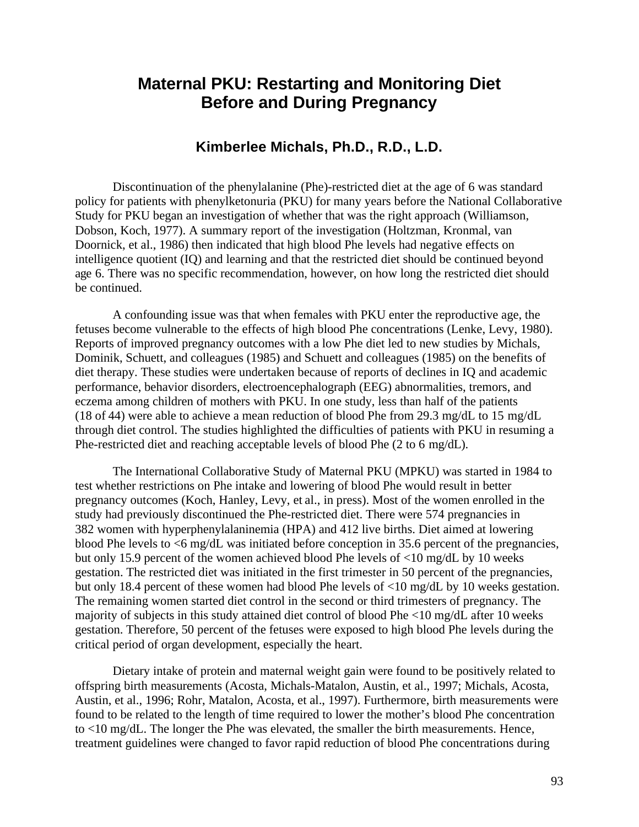# **Maternal PKU: Restarting and Monitoring Diet Before and During Pregnancy**

## **Kimberlee Michals, Ph.D., R.D., L.D.**

Discontinuation of the phenylalanine (Phe)-restricted diet at the age of 6 was standard policy for patients with phenylketonuria (PKU) for many years before the National Collaborative Study for PKU began an investigation of whether that was the right approach (Williamson, Dobson, Koch, 1977). A summary report of the investigation (Holtzman, Kronmal, van Doornick, et al., 1986) then indicated that high blood Phe levels had negative effects on intelligence quotient (IQ) and learning and that the restricted diet should be continued beyond age 6. There was no specific recommendation, however, on how long the restricted diet should be continued.

A confounding issue was that when females with PKU enter the reproductive age, the fetuses become vulnerable to the effects of high blood Phe concentrations (Lenke, Levy, 1980). Reports of improved pregnancy outcomes with a low Phe diet led to new studies by Michals, Dominik, Schuett, and colleagues (1985) and Schuett and colleagues (1985) on the benefits of diet therapy. These studies were undertaken because of reports of declines in IQ and academic performance, behavior disorders, electroencephalograph (EEG) abnormalities, tremors, and eczema among children of mothers with PKU. In one study, less than half of the patients (18 of 44) were able to achieve a mean reduction of blood Phe from 29.3 mg/dL to 15 mg/dL through diet control. The studies highlighted the difficulties of patients with PKU in resuming a Phe-restricted diet and reaching acceptable levels of blood Phe (2 to 6 mg/dL).

The International Collaborative Study of Maternal PKU (MPKU) was started in 1984 to test whether restrictions on Phe intake and lowering of blood Phe would result in better pregnancy outcomes (Koch, Hanley, Levy, et al., in press). Most of the women enrolled in the study had previously discontinued the Phe-restricted diet. There were 574 pregnancies in 382 women with hyperphenylalaninemia (HPA) and 412 live births. Diet aimed at lowering blood Phe levels to <6 mg/dL was initiated before conception in 35.6 percent of the pregnancies, but only 15.9 percent of the women achieved blood Phe levels of <10 mg/dL by 10 weeks gestation. The restricted diet was initiated in the first trimester in 50 percent of the pregnancies, but only 18.4 percent of these women had blood Phe levels of <10 mg/dL by 10 weeks gestation. The remaining women started diet control in the second or third trimesters of pregnancy. The majority of subjects in this study attained diet control of blood Phe <10 mg/dL after 10 weeks gestation. Therefore, 50 percent of the fetuses were exposed to high blood Phe levels during the critical period of organ development, especially the heart.

Dietary intake of protein and maternal weight gain were found to be positively related to offspring birth measurements (Acosta, Michals-Matalon, Austin, et al., 1997; Michals, Acosta, Austin, et al., 1996; Rohr, Matalon, Acosta, et al., 1997). Furthermore, birth measurements were found to be related to the length of time required to lower the mother's blood Phe concentration to <10 mg/dL. The longer the Phe was elevated, the smaller the birth measurements. Hence, treatment guidelines were changed to favor rapid reduction of blood Phe concentrations during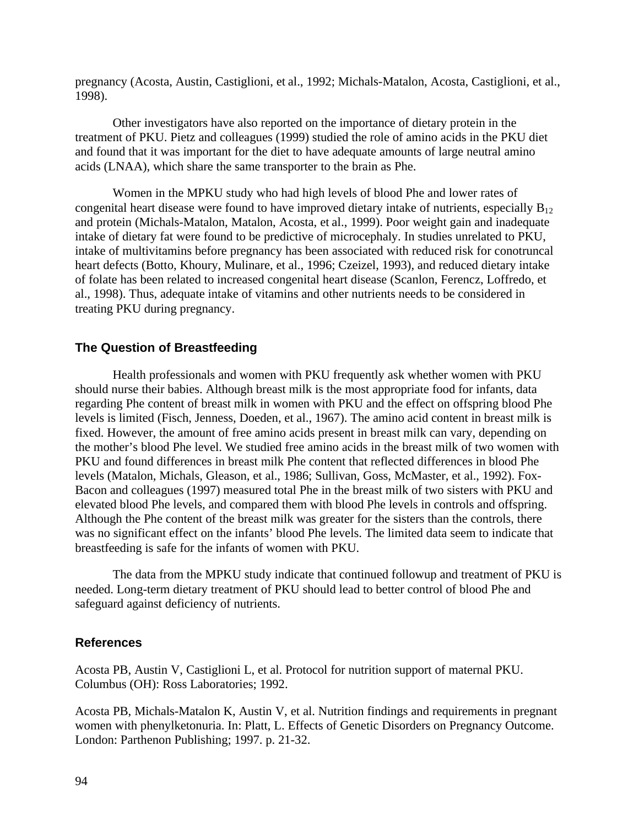pregnancy (Acosta, Austin, Castiglioni, et al., 1992; Michals-Matalon, Acosta, Castiglioni, et al., 1998).

Other investigators have also reported on the importance of dietary protein in the treatment of PKU. Pietz and colleagues (1999) studied the role of amino acids in the PKU diet and found that it was important for the diet to have adequate amounts of large neutral amino acids (LNAA), which share the same transporter to the brain as Phe.

Women in the MPKU study who had high levels of blood Phe and lower rates of congenital heart disease were found to have improved dietary intake of nutrients, especially  $B_{12}$ and protein (Michals-Matalon, Matalon, Acosta, et al., 1999). Poor weight gain and inadequate intake of dietary fat were found to be predictive of microcephaly. In studies unrelated to PKU, intake of multivitamins before pregnancy has been associated with reduced risk for conotruncal heart defects (Botto, Khoury, Mulinare, et al., 1996; Czeizel, 1993), and reduced dietary intake of folate has been related to increased congenital heart disease (Scanlon, Ferencz, Loffredo, et al., 1998). Thus, adequate intake of vitamins and other nutrients needs to be considered in treating PKU during pregnancy.

#### **The Question of Breastfeeding**

Health professionals and women with PKU frequently ask whether women with PKU should nurse their babies. Although breast milk is the most appropriate food for infants, data regarding Phe content of breast milk in women with PKU and the effect on offspring blood Phe levels is limited (Fisch, Jenness, Doeden, et al., 1967). The amino acid content in breast milk is fixed. However, the amount of free amino acids present in breast milk can vary, depending on the mother's blood Phe level. We studied free amino acids in the breast milk of two women with PKU and found differences in breast milk Phe content that reflected differences in blood Phe levels (Matalon, Michals, Gleason, et al., 1986; Sullivan, Goss, McMaster, et al., 1992). Fox-Bacon and colleagues (1997) measured total Phe in the breast milk of two sisters with PKU and elevated blood Phe levels, and compared them with blood Phe levels in controls and offspring. Although the Phe content of the breast milk was greater for the sisters than the controls, there was no significant effect on the infants' blood Phe levels. The limited data seem to indicate that breastfeeding is safe for the infants of women with PKU.

The data from the MPKU study indicate that continued followup and treatment of PKU is needed. Long-term dietary treatment of PKU should lead to better control of blood Phe and safeguard against deficiency of nutrients.

### **References**

Acosta PB, Austin V, Castiglioni L, et al. Protocol for nutrition support of maternal PKU. Columbus (OH): Ross Laboratories; 1992.

Acosta PB, Michals-Matalon K, Austin V, et al. Nutrition findings and requirements in pregnant women with phenylketonuria. In: Platt, L. Effects of Genetic Disorders on Pregnancy Outcome. London: Parthenon Publishing; 1997. p. 21-32.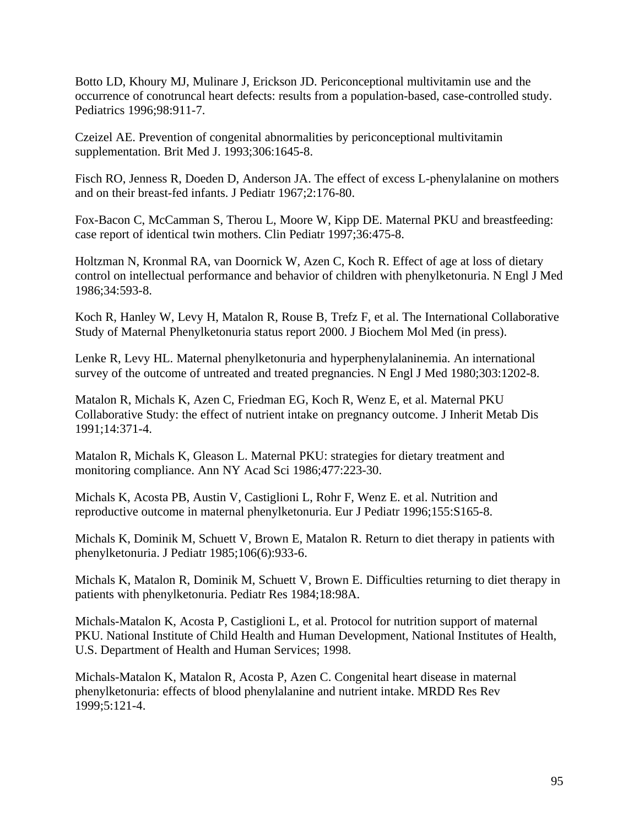Botto LD, Khoury MJ, Mulinare J, Erickson JD. Periconceptional multivitamin use and the occurrence of conotruncal heart defects: results from a population-based, case-controlled study. Pediatrics 1996;98:911-7.

Czeizel AE. Prevention of congenital abnormalities by periconceptional multivitamin supplementation. Brit Med J. 1993;306:1645-8.

Fisch RO, Jenness R, Doeden D, Anderson JA. The effect of excess L-phenylalanine on mothers and on their breast-fed infants. J Pediatr 1967;2:176-80.

Fox-Bacon C, McCamman S, Therou L, Moore W, Kipp DE. Maternal PKU and breastfeeding: case report of identical twin mothers. Clin Pediatr 1997;36:475-8.

Holtzman N, Kronmal RA, van Doornick W, Azen C, Koch R. Effect of age at loss of dietary control on intellectual performance and behavior of children with phenylketonuria. N Engl J Med 1986;34:593-8.

Koch R, Hanley W, Levy H, Matalon R, Rouse B, Trefz F, et al. The International Collaborative Study of Maternal Phenylketonuria status report 2000. J Biochem Mol Med (in press).

Lenke R, Levy HL. Maternal phenylketonuria and hyperphenylalaninemia. An international survey of the outcome of untreated and treated pregnancies. N Engl J Med 1980;303:1202-8.

Matalon R, Michals K, Azen C, Friedman EG, Koch R, Wenz E, et al. Maternal PKU Collaborative Study: the effect of nutrient intake on pregnancy outcome. J Inherit Metab Dis 1991;14:371-4.

Matalon R, Michals K, Gleason L. Maternal PKU: strategies for dietary treatment and monitoring compliance. Ann NY Acad Sci 1986;477:223-30.

Michals K, Acosta PB, Austin V, Castiglioni L, Rohr F, Wenz E. et al. Nutrition and reproductive outcome in maternal phenylketonuria. Eur J Pediatr 1996;155:S165-8.

Michals K, Dominik M, Schuett V, Brown E, Matalon R. Return to diet therapy in patients with phenylketonuria. J Pediatr 1985;106(6):933-6.

Michals K, Matalon R, Dominik M, Schuett V, Brown E. Difficulties returning to diet therapy in patients with phenylketonuria. Pediatr Res 1984;18:98A.

Michals-Matalon K, Acosta P, Castiglioni L, et al. Protocol for nutrition support of maternal PKU. National Institute of Child Health and Human Development, National Institutes of Health, U.S. Department of Health and Human Services; 1998.

Michals-Matalon K, Matalon R, Acosta P, Azen C. Congenital heart disease in maternal phenylketonuria: effects of blood phenylalanine and nutrient intake. MRDD Res Rev 1999;5:121-4.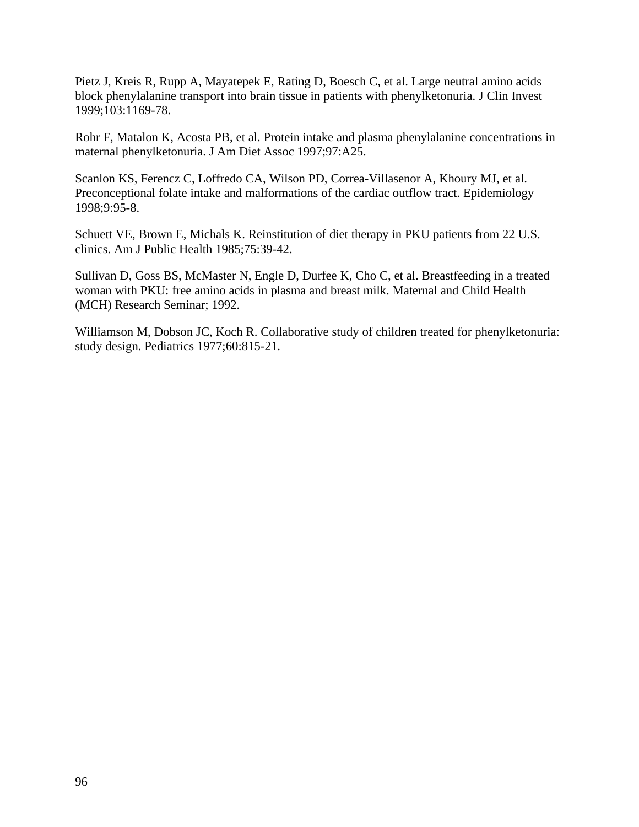Pietz J, Kreis R, Rupp A, Mayatepek E, Rating D, Boesch C, et al. Large neutral amino acids block phenylalanine transport into brain tissue in patients with phenylketonuria. J Clin Invest 1999;103:1169-78.

Rohr F, Matalon K, Acosta PB, et al. Protein intake and plasma phenylalanine concentrations in maternal phenylketonuria. J Am Diet Assoc 1997;97:A25.

Scanlon KS, Ferencz C, Loffredo CA, Wilson PD, Correa-Villasenor A, Khoury MJ, et al. Preconceptional folate intake and malformations of the cardiac outflow tract. Epidemiology 1998;9:95-8.

Schuett VE, Brown E, Michals K. Reinstitution of diet therapy in PKU patients from 22 U.S. clinics. Am J Public Health 1985;75:39-42.

Sullivan D, Goss BS, McMaster N, Engle D, Durfee K, Cho C, et al. Breastfeeding in a treated woman with PKU: free amino acids in plasma and breast milk. Maternal and Child Health (MCH) Research Seminar; 1992.

Williamson M, Dobson JC, Koch R. Collaborative study of children treated for phenylketonuria: study design. Pediatrics 1977;60:815-21.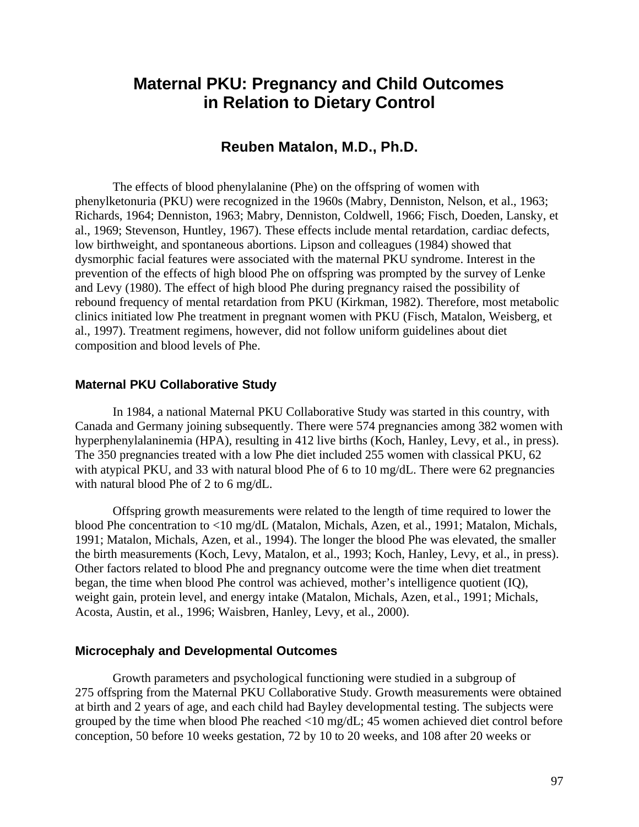# **Maternal PKU: Pregnancy and Child Outcomes in Relation to Dietary Control**

## **Reuben Matalon, M.D., Ph.D.**

The effects of blood phenylalanine (Phe) on the offspring of women with phenylketonuria (PKU) were recognized in the 1960s (Mabry, Denniston, Nelson, et al., 1963; Richards, 1964; Denniston, 1963; Mabry, Denniston, Coldwell, 1966; Fisch, Doeden, Lansky, et al., 1969; Stevenson, Huntley, 1967). These effects include mental retardation, cardiac defects, low birthweight, and spontaneous abortions. Lipson and colleagues (1984) showed that dysmorphic facial features were associated with the maternal PKU syndrome. Interest in the prevention of the effects of high blood Phe on offspring was prompted by the survey of Lenke and Levy (1980). The effect of high blood Phe during pregnancy raised the possibility of rebound frequency of mental retardation from PKU (Kirkman, 1982). Therefore, most metabolic clinics initiated low Phe treatment in pregnant women with PKU (Fisch, Matalon, Weisberg, et al., 1997). Treatment regimens, however, did not follow uniform guidelines about diet composition and blood levels of Phe.

#### **Maternal PKU Collaborative Study**

In 1984, a national Maternal PKU Collaborative Study was started in this country, with Canada and Germany joining subsequently. There were 574 pregnancies among 382 women with hyperphenylalaninemia (HPA), resulting in 412 live births (Koch, Hanley, Levy, et al., in press). The 350 pregnancies treated with a low Phe diet included 255 women with classical PKU, 62 with atypical PKU, and 33 with natural blood Phe of 6 to 10 mg/dL. There were 62 pregnancies with natural blood Phe of 2 to 6 mg/dL.

Offspring growth measurements were related to the length of time required to lower the blood Phe concentration to <10 mg/dL (Matalon, Michals, Azen, et al., 1991; Matalon, Michals, 1991; Matalon, Michals, Azen, et al., 1994). The longer the blood Phe was elevated, the smaller the birth measurements (Koch, Levy, Matalon, et al., 1993; Koch, Hanley, Levy, et al., in press). Other factors related to blood Phe and pregnancy outcome were the time when diet treatment began, the time when blood Phe control was achieved, mother's intelligence quotient (IQ), weight gain, protein level, and energy intake (Matalon, Michals, Azen, et al., 1991; Michals, Acosta, Austin, et al., 1996; Waisbren, Hanley, Levy, et al., 2000).

#### **Microcephaly and Developmental Outcomes**

Growth parameters and psychological functioning were studied in a subgroup of 275 offspring from the Maternal PKU Collaborative Study. Growth measurements were obtained at birth and 2 years of age, and each child had Bayley developmental testing. The subjects were grouped by the time when blood Phe reached <10 mg/dL; 45 women achieved diet control before conception, 50 before 10 weeks gestation, 72 by 10 to 20 weeks, and 108 after 20 weeks or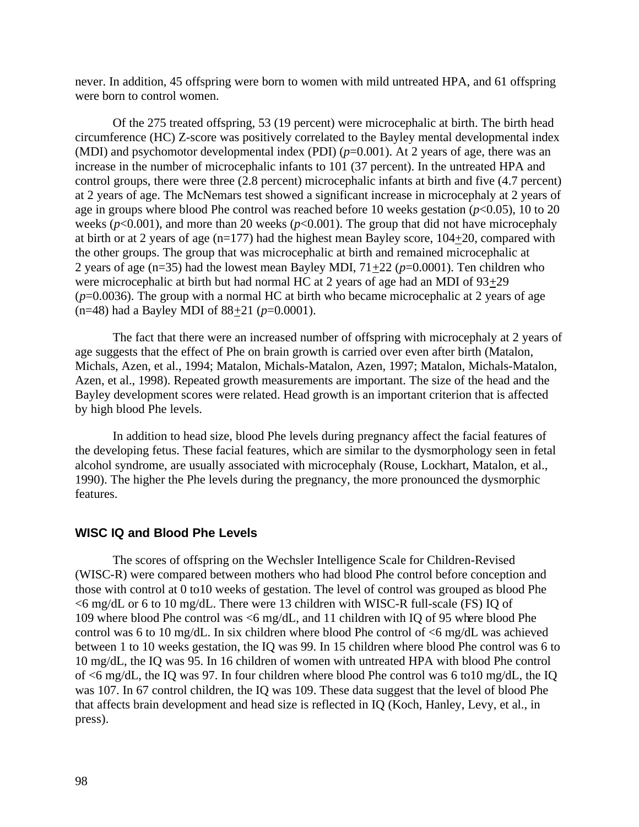never. In addition, 45 offspring were born to women with mild untreated HPA, and 61 offspring were born to control women.

Of the 275 treated offspring, 53 (19 percent) were microcephalic at birth. The birth head circumference (HC) Z-score was positively correlated to the Bayley mental developmental index (MDI) and psychomotor developmental index (PDI) (*p*=0.001). At 2 years of age, there was an increase in the number of microcephalic infants to 101 (37 percent). In the untreated HPA and control groups, there were three (2.8 percent) microcephalic infants at birth and five (4.7 percent) at 2 years of age. The McNemars test showed a significant increase in microcephaly at 2 years of age in groups where blood Phe control was reached before 10 weeks gestation  $(p<0.05)$ , 10 to 20 weeks ( $p$ <0.001), and more than 20 weeks ( $p$ <0.001). The group that did not have microcephaly at birth or at 2 years of age (n=177) had the highest mean Bayley score, 104+20, compared with the other groups. The group that was microcephalic at birth and remained microcephalic at 2 years of age ( $n=35$ ) had the lowest mean Bayley MDI,  $71+22$  ( $p=0.0001$ ). Ten children who were microcephalic at birth but had normal HC at 2 years of age had an MDI of 93+29  $(p=0.0036)$ . The group with a normal HC at birth who became microcephalic at 2 years of age (n=48) had a Bayley MDI of 88+21 (*p*=0.0001).

The fact that there were an increased number of offspring with microcephaly at 2 years of age suggests that the effect of Phe on brain growth is carried over even after birth (Matalon, Michals, Azen, et al., 1994; Matalon, Michals-Matalon, Azen, 1997; Matalon, Michals-Matalon, Azen, et al., 1998). Repeated growth measurements are important. The size of the head and the Bayley development scores were related. Head growth is an important criterion that is affected by high blood Phe levels.

In addition to head size, blood Phe levels during pregnancy affect the facial features of the developing fetus. These facial features, which are similar to the dysmorphology seen in fetal alcohol syndrome, are usually associated with microcephaly (Rouse, Lockhart, Matalon, et al., 1990). The higher the Phe levels during the pregnancy, the more pronounced the dysmorphic features.

#### **WISC IQ and Blood Phe Levels**

The scores of offspring on the Wechsler Intelligence Scale for Children-Revised (WISC-R) were compared between mothers who had blood Phe control before conception and those with control at 0 to10 weeks of gestation. The level of control was grouped as blood Phe <6 mg/dL or 6 to 10 mg/dL. There were 13 children with WISC-R full-scale (FS) IQ of 109 where blood Phe control was <6 mg/dL, and 11 children with IQ of 95 where blood Phe control was 6 to 10 mg/dL. In six children where blood Phe control of <6 mg/dL was achieved between 1 to 10 weeks gestation, the IQ was 99. In 15 children where blood Phe control was 6 to 10 mg/dL, the IQ was 95. In 16 children of women with untreated HPA with blood Phe control of <6 mg/dL, the IQ was 97. In four children where blood Phe control was 6 to10 mg/dL, the IQ was 107. In 67 control children, the IQ was 109. These data suggest that the level of blood Phe that affects brain development and head size is reflected in IQ (Koch, Hanley, Levy, et al., in press).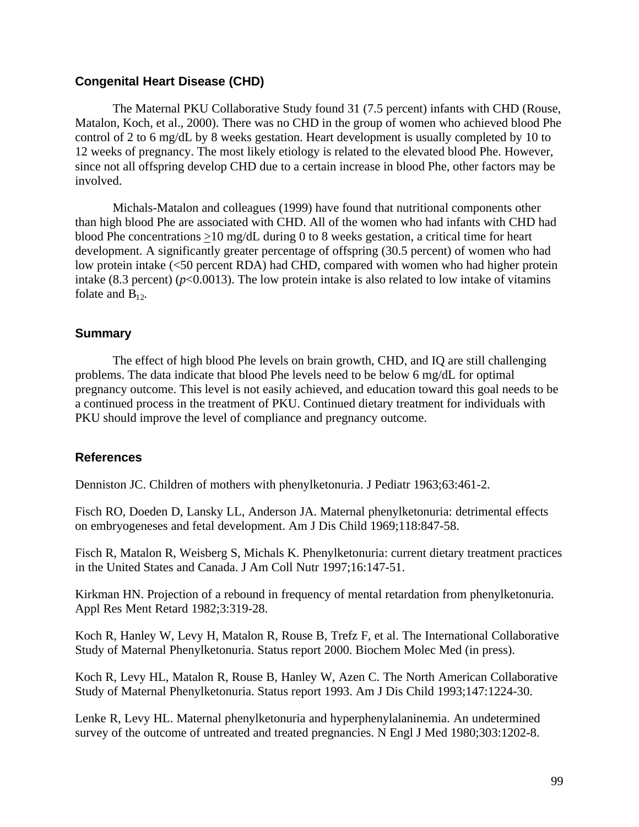#### **Congenital Heart Disease (CHD)**

The Maternal PKU Collaborative Study found 31 (7.5 percent) infants with CHD (Rouse, Matalon, Koch, et al., 2000). There was no CHD in the group of women who achieved blood Phe control of 2 to 6 mg/dL by 8 weeks gestation. Heart development is usually completed by 10 to 12 weeks of pregnancy. The most likely etiology is related to the elevated blood Phe. However, since not all offspring develop CHD due to a certain increase in blood Phe, other factors may be involved.

Michals-Matalon and colleagues (1999) have found that nutritional components other than high blood Phe are associated with CHD. All of the women who had infants with CHD had blood Phe concentrations >10 mg/dL during 0 to 8 weeks gestation, a critical time for heart development. A significantly greater percentage of offspring (30.5 percent) of women who had low protein intake (<50 percent RDA) had CHD, compared with women who had higher protein intake (8.3 percent) ( $p$ <0.0013). The low protein intake is also related to low intake of vitamins folate and  $B_{12}$ .

#### **Summary**

The effect of high blood Phe levels on brain growth, CHD, and IQ are still challenging problems. The data indicate that blood Phe levels need to be below 6 mg/dL for optimal pregnancy outcome. This level is not easily achieved, and education toward this goal needs to be a continued process in the treatment of PKU. Continued dietary treatment for individuals with PKU should improve the level of compliance and pregnancy outcome.

#### **References**

Denniston JC. Children of mothers with phenylketonuria. J Pediatr 1963;63:461-2.

Fisch RO, Doeden D, Lansky LL, Anderson JA. Maternal phenylketonuria: detrimental effects on embryogeneses and fetal development. Am J Dis Child 1969;118:847-58.

Fisch R, Matalon R, Weisberg S, Michals K. Phenylketonuria: current dietary treatment practices in the United States and Canada. J Am Coll Nutr 1997;16:147-51.

Kirkman HN. Projection of a rebound in frequency of mental retardation from phenylketonuria. Appl Res Ment Retard 1982;3:319-28.

Koch R, Hanley W, Levy H, Matalon R, Rouse B, Trefz F, et al. The International Collaborative Study of Maternal Phenylketonuria. Status report 2000. Biochem Molec Med (in press).

Koch R, Levy HL, Matalon R, Rouse B, Hanley W, Azen C. The North American Collaborative Study of Maternal Phenylketonuria. Status report 1993. Am J Dis Child 1993;147:1224-30.

Lenke R, Levy HL. Maternal phenylketonuria and hyperphenylalaninemia. An undetermined survey of the outcome of untreated and treated pregnancies. N Engl J Med 1980;303:1202-8.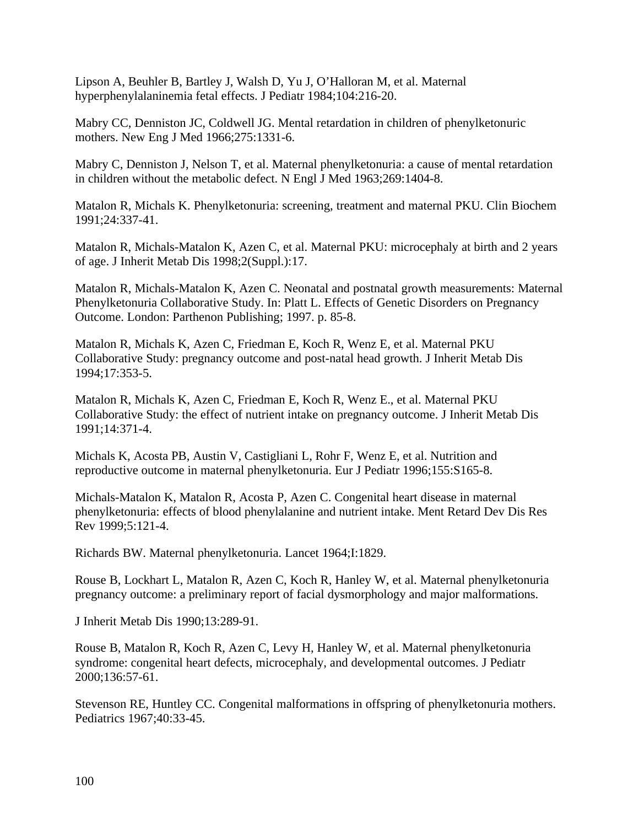Lipson A, Beuhler B, Bartley J, Walsh D, Yu J, O'Halloran M, et al. Maternal hyperphenylalaninemia fetal effects. J Pediatr 1984;104:216-20.

Mabry CC, Denniston JC, Coldwell JG. Mental retardation in children of phenylketonuric mothers. New Eng J Med 1966;275:1331-6.

Mabry C, Denniston J, Nelson T, et al. Maternal phenylketonuria: a cause of mental retardation in children without the metabolic defect. N Engl J Med 1963;269:1404-8.

Matalon R, Michals K. Phenylketonuria: screening, treatment and maternal PKU. Clin Biochem 1991;24:337-41.

Matalon R, Michals-Matalon K, Azen C, et al. Maternal PKU: microcephaly at birth and 2 years of age. J Inherit Metab Dis 1998;2(Suppl.):17.

Matalon R, Michals-Matalon K, Azen C. Neonatal and postnatal growth measurements: Maternal Phenylketonuria Collaborative Study. In: Platt L. Effects of Genetic Disorders on Pregnancy Outcome. London: Parthenon Publishing; 1997. p. 85-8.

Matalon R, Michals K, Azen C, Friedman E, Koch R, Wenz E, et al. Maternal PKU Collaborative Study: pregnancy outcome and post-natal head growth. J Inherit Metab Dis 1994;17:353-5.

Matalon R, Michals K, Azen C, Friedman E, Koch R, Wenz E., et al. Maternal PKU Collaborative Study: the effect of nutrient intake on pregnancy outcome. J Inherit Metab Dis 1991;14:371-4.

Michals K, Acosta PB, Austin V, Castigliani L, Rohr F, Wenz E, et al. Nutrition and reproductive outcome in maternal phenylketonuria. Eur J Pediatr 1996;155:S165-8.

Michals-Matalon K, Matalon R, Acosta P, Azen C. Congenital heart disease in maternal phenylketonuria: effects of blood phenylalanine and nutrient intake. Ment Retard Dev Dis Res Rev 1999;5:121-4.

Richards BW. Maternal phenylketonuria. Lancet 1964;I:1829.

Rouse B, Lockhart L, Matalon R, Azen C, Koch R, Hanley W, et al. Maternal phenylketonuria pregnancy outcome: a preliminary report of facial dysmorphology and major malformations.

J Inherit Metab Dis 1990;13:289-91.

Rouse B, Matalon R, Koch R, Azen C, Levy H, Hanley W, et al. Maternal phenylketonuria syndrome: congenital heart defects, microcephaly, and developmental outcomes. J Pediatr 2000;136:57-61.

Stevenson RE, Huntley CC. Congenital malformations in offspring of phenylketonuria mothers. Pediatrics 1967;40:33-45.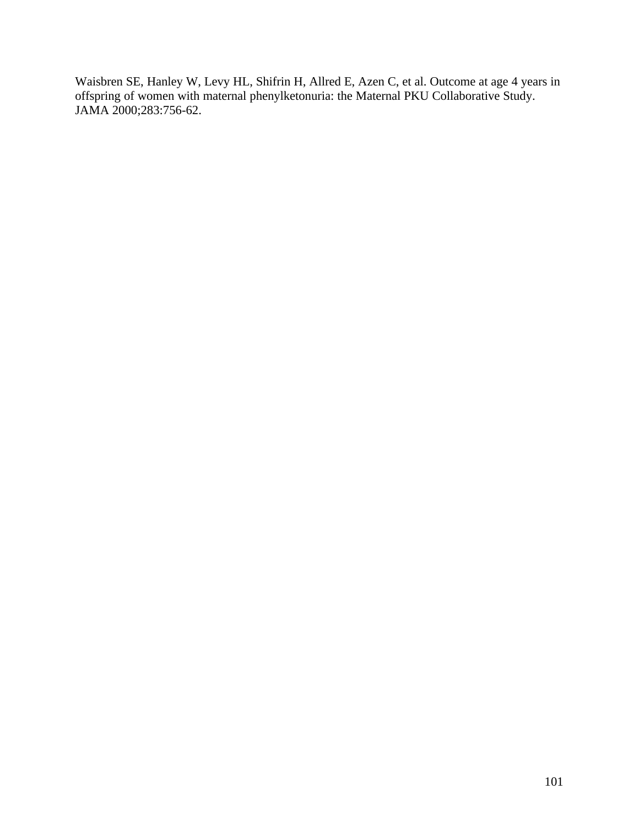Waisbren SE, Hanley W, Levy HL, Shifrin H, Allred E, Azen C, et al. Outcome at age 4 years in offspring of women with maternal phenylketonuria: the Maternal PKU Collaborative Study. JAMA 2000;283:756-62.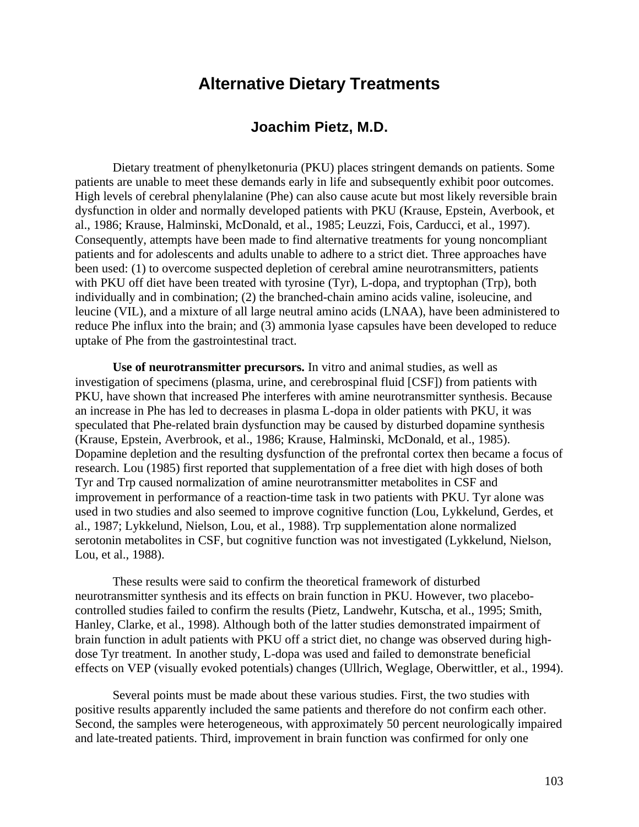# **Alternative Dietary Treatments**

## **Joachim Pietz, M.D.**

Dietary treatment of phenylketonuria (PKU) places stringent demands on patients. Some patients are unable to meet these demands early in life and subsequently exhibit poor outcomes. High levels of cerebral phenylalanine (Phe) can also cause acute but most likely reversible brain dysfunction in older and normally developed patients with PKU (Krause, Epstein, Averbook, et al., 1986; Krause, Halminski, McDonald, et al., 1985; Leuzzi, Fois, Carducci, et al., 1997). Consequently, attempts have been made to find alternative treatments for young noncompliant patients and for adolescents and adults unable to adhere to a strict diet. Three approaches have been used: (1) to overcome suspected depletion of cerebral amine neurotransmitters, patients with PKU off diet have been treated with tyrosine (Tyr), L-dopa, and tryptophan (Trp), both individually and in combination; (2) the branched-chain amino acids valine, isoleucine, and leucine (VIL), and a mixture of all large neutral amino acids (LNAA), have been administered to reduce Phe influx into the brain; and (3) ammonia lyase capsules have been developed to reduce uptake of Phe from the gastrointestinal tract.

**Use of neurotransmitter precursors.** In vitro and animal studies, as well as investigation of specimens (plasma, urine, and cerebrospinal fluid [CSF]) from patients with PKU, have shown that increased Phe interferes with amine neurotransmitter synthesis. Because an increase in Phe has led to decreases in plasma L-dopa in older patients with PKU, it was speculated that Phe-related brain dysfunction may be caused by disturbed dopamine synthesis (Krause, Epstein, Averbrook, et al., 1986; Krause, Halminski, McDonald, et al., 1985). Dopamine depletion and the resulting dysfunction of the prefrontal cortex then became a focus of research. Lou (1985) first reported that supplementation of a free diet with high doses of both Tyr and Trp caused normalization of amine neurotransmitter metabolites in CSF and improvement in performance of a reaction-time task in two patients with PKU. Tyr alone was used in two studies and also seemed to improve cognitive function (Lou, Lykkelund, Gerdes, et al., 1987; Lykkelund, Nielson, Lou, et al., 1988). Trp supplementation alone normalized serotonin metabolites in CSF, but cognitive function was not investigated (Lykkelund, Nielson, Lou, et al., 1988).

These results were said to confirm the theoretical framework of disturbed neurotransmitter synthesis and its effects on brain function in PKU. However, two placebocontrolled studies failed to confirm the results (Pietz, Landwehr, Kutscha, et al., 1995; Smith, Hanley, Clarke, et al., 1998). Although both of the latter studies demonstrated impairment of brain function in adult patients with PKU off a strict diet, no change was observed during highdose Tyr treatment. In another study, L-dopa was used and failed to demonstrate beneficial effects on VEP (visually evoked potentials) changes (Ullrich, Weglage, Oberwittler, et al., 1994).

Several points must be made about these various studies. First, the two studies with positive results apparently included the same patients and therefore do not confirm each other. Second, the samples were heterogeneous, with approximately 50 percent neurologically impaired and late-treated patients. Third, improvement in brain function was confirmed for only one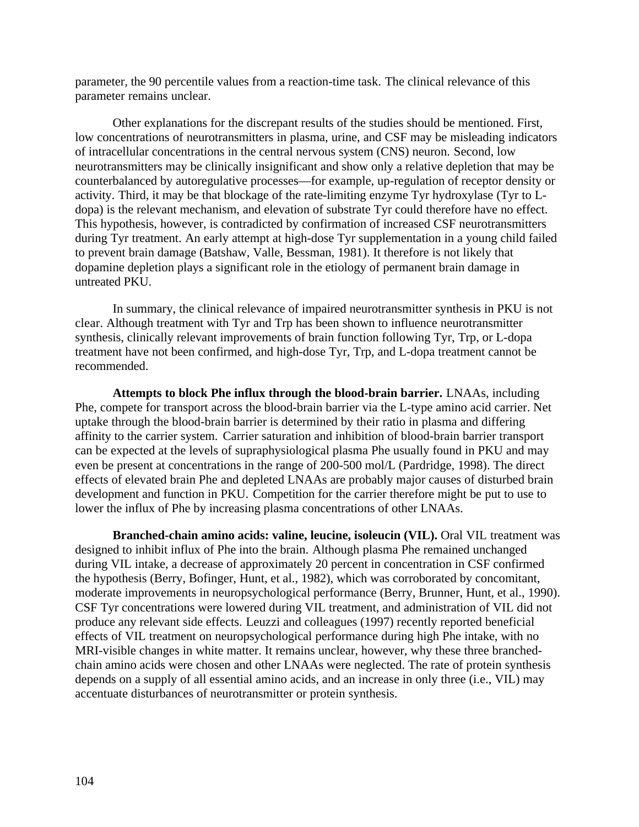parameter, the 90 percentile values from a reaction-time task. The clinical relevance of this parameter remains unclear.

Other explanations for the discrepant results of the studies should be mentioned. First, low concentrations of neurotransmitters in plasma, urine, and CSF may be misleading indicators of intracellular concentrations in the central nervous system (CNS) neuron. Second, low neurotransmitters may be clinically insignificant and show only a relative depletion that may be counterbalanced by autoregulative processes—for example, up-regulation of receptor density or activity. Third, it may be that blockage of the rate-limiting enzyme Tyr hydroxylase (Tyr to Ldopa) is the relevant mechanism, and elevation of substrate Tyr could therefore have no effect. This hypothesis, however, is contradicted by confirmation of increased CSF neurotransmitters during Tyr treatment. An early attempt at high-dose Tyr supplementation in a young child failed to prevent brain damage (Batshaw, Valle, Bessman, 1981). It therefore is not likely that dopamine depletion plays a significant role in the etiology of permanent brain damage in untreated PKU.

In summary, the clinical relevance of impaired neurotransmitter synthesis in PKU is not clear. Although treatment with Tyr and Trp has been shown to influence neurotransmitter synthesis, clinically relevant improvements of brain function following Tyr, Trp, or L-dopa treatment have not been confirmed, and high-dose Tyr, Trp, and L-dopa treatment cannot be recommended.

**Attempts to block Phe influx through the blood-brain barrier.** LNAAs, including Phe, compete for transport across the blood-brain barrier via the L-type amino acid carrier. Net uptake through the blood-brain barrier is determined by their ratio in plasma and differing affinity to the carrier system. Carrier saturation and inhibition of blood-brain barrier transport can be expected at the levels of supraphysiological plasma Phe usually found in PKU and may even be present at concentrations in the range of 200-500 mol/L (Pardridge, 1998). The direct effects of elevated brain Phe and depleted LNAAs are probably major causes of disturbed brain development and function in PKU. Competition for the carrier therefore might be put to use to lower the influx of Phe by increasing plasma concentrations of other LNAAs.

**Branched-chain amino acids: valine, leucine, isoleucin (VIL).** Oral VIL treatment was designed to inhibit influx of Phe into the brain. Although plasma Phe remained unchanged during VIL intake, a decrease of approximately 20 percent in concentration in CSF confirmed the hypothesis (Berry, Bofinger, Hunt, et al., 1982), which was corroborated by concomitant, moderate improvements in neuropsychological performance (Berry, Brunner, Hunt, et al., 1990). CSF Tyr concentrations were lowered during VIL treatment, and administration of VIL did not produce any relevant side effects. Leuzzi and colleagues (1997) recently reported beneficial effects of VIL treatment on neuropsychological performance during high Phe intake, with no MRI-visible changes in white matter. It remains unclear, however, why these three branchedchain amino acids were chosen and other LNAAs were neglected. The rate of protein synthesis depends on a supply of all essential amino acids, and an increase in only three (i.e., VIL) may accentuate disturbances of neurotransmitter or protein synthesis.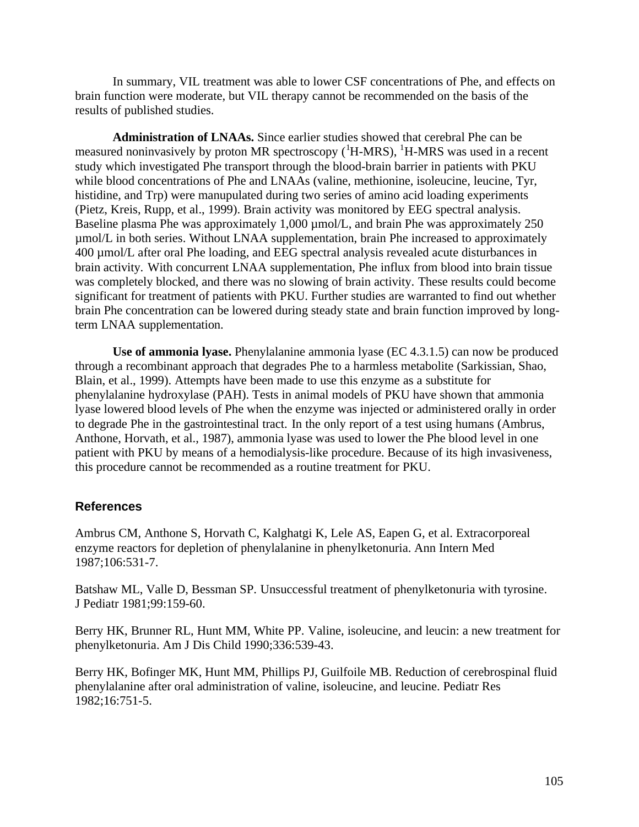In summary, VIL treatment was able to lower CSF concentrations of Phe, and effects on brain function were moderate, but VIL therapy cannot be recommended on the basis of the results of published studies.

**Administration of LNAAs.** Since earlier studies showed that cerebral Phe can be measured noninvasively by proton MR spectroscopy  $(^1H-MRS)$ ,  $^1H-MRS$  was used in a recent study which investigated Phe transport through the blood-brain barrier in patients with PKU while blood concentrations of Phe and LNAAs (valine, methionine, isoleucine, leucine, Tyr, histidine, and Trp) were manupulated during two series of amino acid loading experiments (Pietz, Kreis, Rupp, et al., 1999). Brain activity was monitored by EEG spectral analysis. Baseline plasma Phe was approximately  $1,000 \mu$  mol/L, and brain Phe was approximately 250 µmol/L in both series. Without LNAA supplementation, brain Phe increased to approximately 400 µmol/L after oral Phe loading, and EEG spectral analysis revealed acute disturbances in brain activity. With concurrent LNAA supplementation, Phe influx from blood into brain tissue was completely blocked, and there was no slowing of brain activity. These results could become significant for treatment of patients with PKU. Further studies are warranted to find out whether brain Phe concentration can be lowered during steady state and brain function improved by longterm LNAA supplementation.

**Use of ammonia lyase.** Phenylalanine ammonia lyase (EC 4.3.1.5) can now be produced through a recombinant approach that degrades Phe to a harmless metabolite (Sarkissian, Shao, Blain, et al., 1999). Attempts have been made to use this enzyme as a substitute for phenylalanine hydroxylase (PAH). Tests in animal models of PKU have shown that ammonia lyase lowered blood levels of Phe when the enzyme was injected or administered orally in order to degrade Phe in the gastrointestinal tract. In the only report of a test using humans (Ambrus, Anthone, Horvath, et al., 1987), ammonia lyase was used to lower the Phe blood level in one patient with PKU by means of a hemodialysis-like procedure. Because of its high invasiveness, this procedure cannot be recommended as a routine treatment for PKU.

### **References**

Ambrus CM, Anthone S, Horvath C, Kalghatgi K, Lele AS, Eapen G, et al. Extracorporeal enzyme reactors for depletion of phenylalanine in phenylketonuria. Ann Intern Med 1987;106:531-7.

Batshaw ML, Valle D, Bessman SP. Unsuccessful treatment of phenylketonuria with tyrosine. J Pediatr 1981;99:159-60.

Berry HK, Brunner RL, Hunt MM, White PP. Valine, isoleucine, and leucin: a new treatment for phenylketonuria. Am J Dis Child 1990;336:539-43.

Berry HK, Bofinger MK, Hunt MM, Phillips PJ, Guilfoile MB. Reduction of cerebrospinal fluid phenylalanine after oral administration of valine, isoleucine, and leucine. Pediatr Res 1982;16:751-5.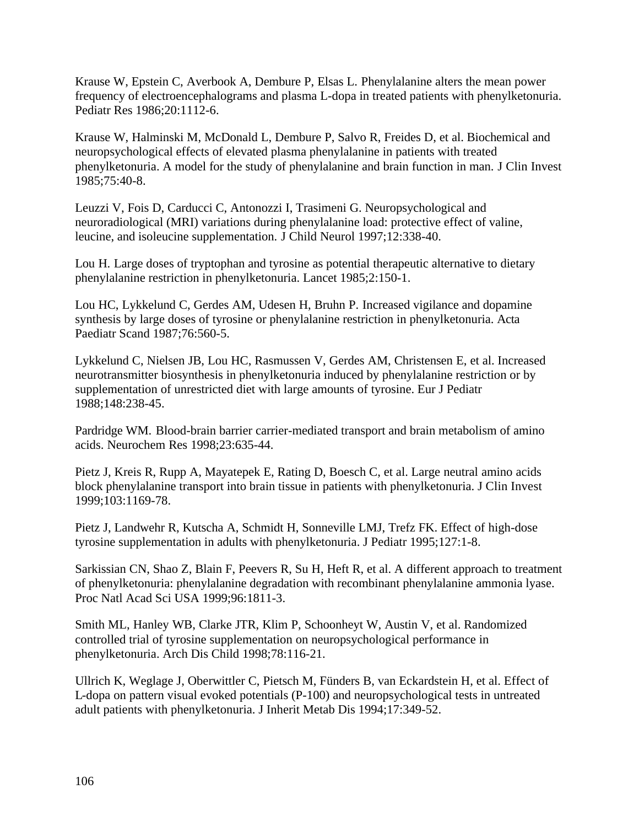Krause W, Epstein C, Averbook A, Dembure P, Elsas L. Phenylalanine alters the mean power frequency of electroencephalograms and plasma L-dopa in treated patients with phenylketonuria. Pediatr Res 1986;20:1112-6.

Krause W, Halminski M, McDonald L, Dembure P, Salvo R, Freides D, et al. Biochemical and neuropsychological effects of elevated plasma phenylalanine in patients with treated phenylketonuria. A model for the study of phenylalanine and brain function in man. J Clin Invest 1985;75:40-8.

Leuzzi V, Fois D, Carducci C, Antonozzi I, Trasimeni G. Neuropsychological and neuroradiological (MRI) variations during phenylalanine load: protective effect of valine, leucine, and isoleucine supplementation. J Child Neurol 1997;12:338-40.

Lou H. Large doses of tryptophan and tyrosine as potential therapeutic alternative to dietary phenylalanine restriction in phenylketonuria. Lancet 1985;2:150-1.

Lou HC, Lykkelund C, Gerdes AM, Udesen H, Bruhn P. Increased vigilance and dopamine synthesis by large doses of tyrosine or phenylalanine restriction in phenylketonuria. Acta Paediatr Scand 1987;76:560-5.

Lykkelund C, Nielsen JB, Lou HC, Rasmussen V, Gerdes AM, Christensen E, et al. Increased neurotransmitter biosynthesis in phenylketonuria induced by phenylalanine restriction or by supplementation of unrestricted diet with large amounts of tyrosine. Eur J Pediatr 1988;148:238-45.

Pardridge WM. Blood-brain barrier carrier-mediated transport and brain metabolism of amino acids. Neurochem Res 1998;23:635-44.

Pietz J, Kreis R, Rupp A, Mayatepek E, Rating D, Boesch C, et al. Large neutral amino acids block phenylalanine transport into brain tissue in patients with phenylketonuria. J Clin Invest 1999;103:1169-78.

Pietz J, Landwehr R, Kutscha A, Schmidt H, Sonneville LMJ, Trefz FK. Effect of high-dose tyrosine supplementation in adults with phenylketonuria. J Pediatr 1995;127:1-8.

Sarkissian CN, Shao Z, Blain F, Peevers R, Su H, Heft R, et al. A different approach to treatment of phenylketonuria: phenylalanine degradation with recombinant phenylalanine ammonia lyase. Proc Natl Acad Sci USA 1999;96:1811-3.

Smith ML, Hanley WB, Clarke JTR, Klim P, Schoonheyt W, Austin V, et al. Randomized controlled trial of tyrosine supplementation on neuropsychological performance in phenylketonuria. Arch Dis Child 1998;78:116-21.

Ullrich K, Weglage J, Oberwittler C, Pietsch M, Fünders B, van Eckardstein H, et al. Effect of L-dopa on pattern visual evoked potentials (P-100) and neuropsychological tests in untreated adult patients with phenylketonuria. J Inherit Metab Dis 1994;17:349-52.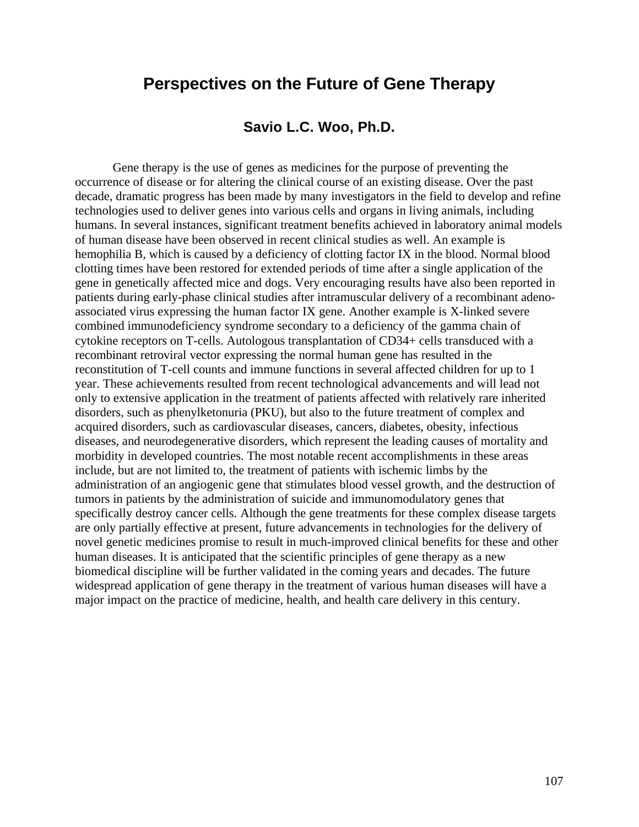## **Perspectives on the Future of Gene Therapy**

## **Savio L.C. Woo, Ph.D.**

Gene therapy is the use of genes as medicines for the purpose of preventing the occurrence of disease or for altering the clinical course of an existing disease. Over the past decade, dramatic progress has been made by many investigators in the field to develop and refine technologies used to deliver genes into various cells and organs in living animals, including humans. In several instances, significant treatment benefits achieved in laboratory animal models of human disease have been observed in recent clinical studies as well. An example is hemophilia B, which is caused by a deficiency of clotting factor IX in the blood. Normal blood clotting times have been restored for extended periods of time after a single application of the gene in genetically affected mice and dogs. Very encouraging results have also been reported in patients during early-phase clinical studies after intramuscular delivery of a recombinant adenoassociated virus expressing the human factor IX gene. Another example is X-linked severe combined immunodeficiency syndrome secondary to a deficiency of the gamma chain of cytokine receptors on T-cells. Autologous transplantation of CD34+ cells transduced with a recombinant retroviral vector expressing the normal human gene has resulted in the reconstitution of T-cell counts and immune functions in several affected children for up to 1 year. These achievements resulted from recent technological advancements and will lead not only to extensive application in the treatment of patients affected with relatively rare inherited disorders, such as phenylketonuria (PKU), but also to the future treatment of complex and acquired disorders, such as cardiovascular diseases, cancers, diabetes, obesity, infectious diseases, and neurodegenerative disorders, which represent the leading causes of mortality and morbidity in developed countries. The most notable recent accomplishments in these areas include, but are not limited to, the treatment of patients with ischemic limbs by the administration of an angiogenic gene that stimulates blood vessel growth, and the destruction of tumors in patients by the administration of suicide and immunomodulatory genes that specifically destroy cancer cells. Although the gene treatments for these complex disease targets are only partially effective at present, future advancements in technologies for the delivery of novel genetic medicines promise to result in much-improved clinical benefits for these and other human diseases. It is anticipated that the scientific principles of gene therapy as a new biomedical discipline will be further validated in the coming years and decades. The future widespread application of gene therapy in the treatment of various human diseases will have a major impact on the practice of medicine, health, and health care delivery in this century.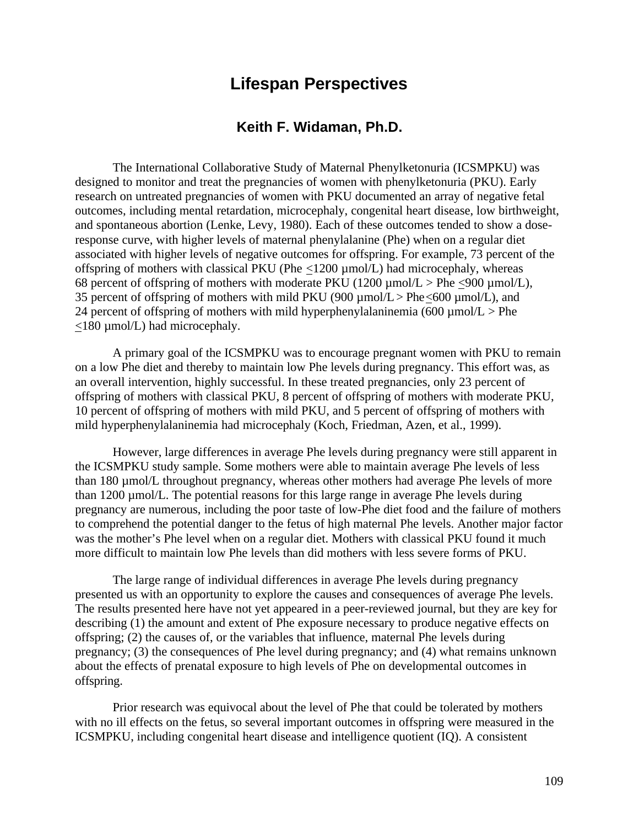# **Lifespan Perspectives**

## **Keith F. Widaman, Ph.D.**

The International Collaborative Study of Maternal Phenylketonuria (ICSMPKU) was designed to monitor and treat the pregnancies of women with phenylketonuria (PKU). Early research on untreated pregnancies of women with PKU documented an array of negative fetal outcomes, including mental retardation, microcephaly, congenital heart disease, low birthweight, and spontaneous abortion (Lenke, Levy, 1980). Each of these outcomes tended to show a doseresponse curve, with higher levels of maternal phenylalanine (Phe) when on a regular diet associated with higher levels of negative outcomes for offspring. For example, 73 percent of the offspring of mothers with classical PKU (Phe  $\langle 1200 \mu mol/L \rangle$  had microcephaly, whereas 68 percent of offspring of mothers with moderate PKU (1200  $\mu$ mol/L > Phe <900  $\mu$ mol/L), 35 percent of offspring of mothers with mild PKU (900  $\mu$ mol/L > Phe<600  $\mu$ mol/L), and 24 percent of offspring of mothers with mild hyperphenylalaninemia (600  $\mu$ mol/L > Phe <180 µmol/L) had microcephaly.

A primary goal of the ICSMPKU was to encourage pregnant women with PKU to remain on a low Phe diet and thereby to maintain low Phe levels during pregnancy. This effort was, as an overall intervention, highly successful. In these treated pregnancies, only 23 percent of offspring of mothers with classical PKU, 8 percent of offspring of mothers with moderate PKU, 10 percent of offspring of mothers with mild PKU, and 5 percent of offspring of mothers with mild hyperphenylalaninemia had microcephaly (Koch, Friedman, Azen, et al., 1999).

However, large differences in average Phe levels during pregnancy were still apparent in the ICSMPKU study sample. Some mothers were able to maintain average Phe levels of less than 180 µmol/L throughout pregnancy, whereas other mothers had average Phe levels of more than 1200 µmol/L. The potential reasons for this large range in average Phe levels during pregnancy are numerous, including the poor taste of low-Phe diet food and the failure of mothers to comprehend the potential danger to the fetus of high maternal Phe levels. Another major factor was the mother's Phe level when on a regular diet. Mothers with classical PKU found it much more difficult to maintain low Phe levels than did mothers with less severe forms of PKU.

The large range of individual differences in average Phe levels during pregnancy presented us with an opportunity to explore the causes and consequences of average Phe levels. The results presented here have not yet appeared in a peer-reviewed journal, but they are key for describing (1) the amount and extent of Phe exposure necessary to produce negative effects on offspring; (2) the causes of, or the variables that influence, maternal Phe levels during pregnancy; (3) the consequences of Phe level during pregnancy; and (4) what remains unknown about the effects of prenatal exposure to high levels of Phe on developmental outcomes in offspring.

Prior research was equivocal about the level of Phe that could be tolerated by mothers with no ill effects on the fetus, so several important outcomes in offspring were measured in the ICSMPKU, including congenital heart disease and intelligence quotient (IQ). A consistent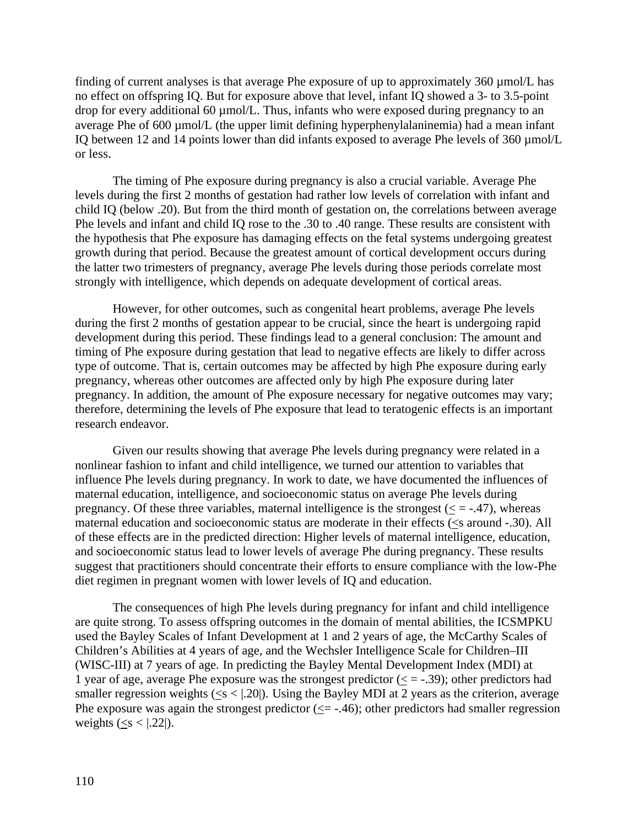finding of current analyses is that average Phe exposure of up to approximately 360 µmol/L has no effect on offspring IQ. But for exposure above that level, infant IQ showed a 3- to 3.5-point drop for every additional 60 µmol/L. Thus, infants who were exposed during pregnancy to an average Phe of 600 µmol/L (the upper limit defining hyperphenylalaninemia) had a mean infant IQ between 12 and 14 points lower than did infants exposed to average Phe levels of 360 µmol/L or less.

The timing of Phe exposure during pregnancy is also a crucial variable. Average Phe levels during the first 2 months of gestation had rather low levels of correlation with infant and child IQ (below .20). But from the third month of gestation on, the correlations between average Phe levels and infant and child IQ rose to the .30 to .40 range. These results are consistent with the hypothesis that Phe exposure has damaging effects on the fetal systems undergoing greatest growth during that period. Because the greatest amount of cortical development occurs during the latter two trimesters of pregnancy, average Phe levels during those periods correlate most strongly with intelligence, which depends on adequate development of cortical areas.

However, for other outcomes, such as congenital heart problems, average Phe levels during the first 2 months of gestation appear to be crucial, since the heart is undergoing rapid development during this period. These findings lead to a general conclusion: The amount and timing of Phe exposure during gestation that lead to negative effects are likely to differ across type of outcome. That is, certain outcomes may be affected by high Phe exposure during early pregnancy, whereas other outcomes are affected only by high Phe exposure during later pregnancy. In addition, the amount of Phe exposure necessary for negative outcomes may vary; therefore, determining the levels of Phe exposure that lead to teratogenic effects is an important research endeavor.

Given our results showing that average Phe levels during pregnancy were related in a nonlinear fashion to infant and child intelligence, we turned our attention to variables that influence Phe levels during pregnancy. In work to date, we have documented the influences of maternal education, intelligence, and socioeconomic status on average Phe levels during pregnancy. Of these three variables, maternal intelligence is the strongest  $(< = -0.47)$ , whereas maternal education and socioeconomic status are moderate in their effects (<s around -.30). All of these effects are in the predicted direction: Higher levels of maternal intelligence, education, and socioeconomic status lead to lower levels of average Phe during pregnancy. These results suggest that practitioners should concentrate their efforts to ensure compliance with the low-Phe diet regimen in pregnant women with lower levels of IQ and education.

The consequences of high Phe levels during pregnancy for infant and child intelligence are quite strong. To assess offspring outcomes in the domain of mental abilities, the ICSMPKU used the Bayley Scales of Infant Development at 1 and 2 years of age, the McCarthy Scales of Children's Abilities at 4 years of age, and the Wechsler Intelligence Scale for Children–III (WISC-III) at 7 years of age. In predicting the Bayley Mental Development Index (MDI) at 1 year of age, average Phe exposure was the strongest predictor  $(< = -0.39)$ ; other predictors had smaller regression weights ( $\leq s$  <  $|20|$ ). Using the Bayley MDI at 2 years as the criterion, average Phe exposure was again the strongest predictor  $(\leq -0.46)$ ; other predictors had smaller regression weights ( $\leq s$  < |.22|).